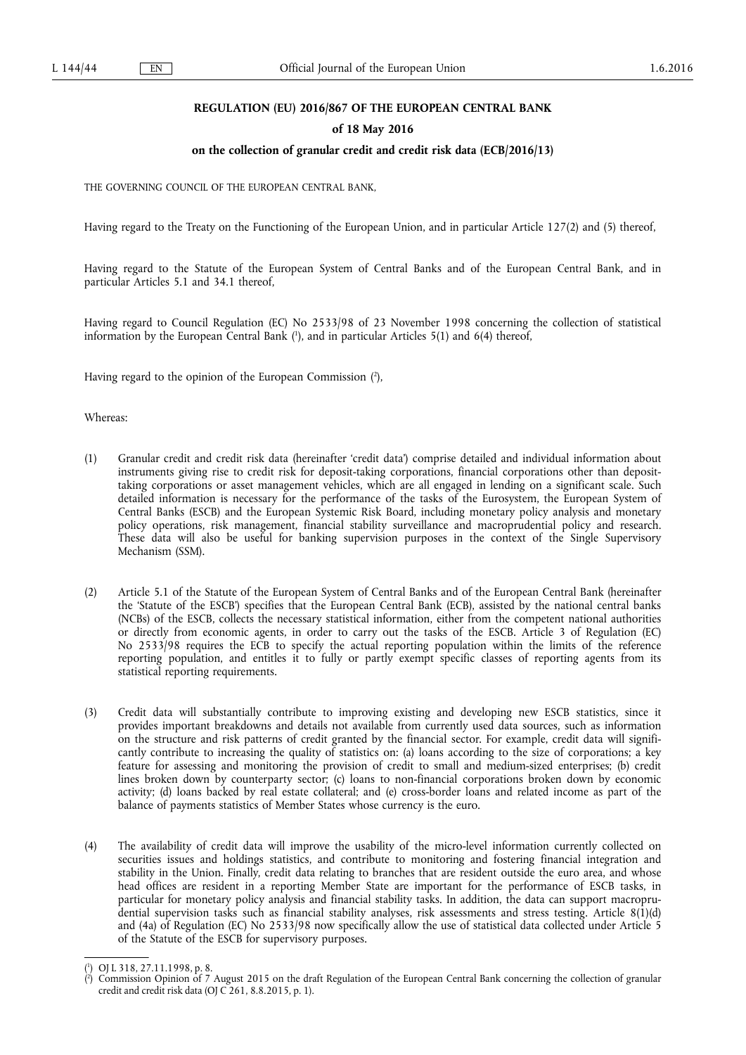#### **REGULATION (EU) 2016/867 OF THE EUROPEAN CENTRAL BANK**

#### **of 18 May 2016**

#### **on the collection of granular credit and credit risk data (ECB/2016/13)**

THE GOVERNING COUNCIL OF THE EUROPEAN CENTRAL BANK,

Having regard to the Treaty on the Functioning of the European Union, and in particular Article 127(2) and (5) thereof,

Having regard to the Statute of the European System of Central Banks and of the European Central Bank, and in particular Articles 5.1 and 34.1 thereof,

Having regard to Council Regulation (EC) No 2533/98 of 23 November 1998 concerning the collection of statistical information by the European Central Bank ('), and in particular Articles 5(1) and 6(4) thereof,

Having regard to the opinion of the European Commission ( 2 ),

Whereas:

- (1) Granular credit and credit risk data (hereinafter 'credit data') comprise detailed and individual information about instruments giving rise to credit risk for deposit-taking corporations, financial corporations other than deposittaking corporations or asset management vehicles, which are all engaged in lending on a significant scale. Such detailed information is necessary for the performance of the tasks of the Eurosystem, the European System of Central Banks (ESCB) and the European Systemic Risk Board, including monetary policy analysis and monetary policy operations, risk management, financial stability surveillance and macroprudential policy and research. These data will also be useful for banking supervision purposes in the context of the Single Supervisory Mechanism (SSM).
- (2) Article 5.1 of the Statute of the European System of Central Banks and of the European Central Bank (hereinafter the 'Statute of the ESCB') specifies that the European Central Bank (ECB), assisted by the national central banks (NCBs) of the ESCB, collects the necessary statistical information, either from the competent national authorities or directly from economic agents, in order to carry out the tasks of the ESCB. Article 3 of Regulation (EC) No 2533/98 requires the ECB to specify the actual reporting population within the limits of the reference reporting population, and entitles it to fully or partly exempt specific classes of reporting agents from its statistical reporting requirements.
- (3) Credit data will substantially contribute to improving existing and developing new ESCB statistics, since it provides important breakdowns and details not available from currently used data sources, such as information on the structure and risk patterns of credit granted by the financial sector. For example, credit data will significantly contribute to increasing the quality of statistics on: (a) loans according to the size of corporations; a key feature for assessing and monitoring the provision of credit to small and medium-sized enterprises; (b) credit lines broken down by counterparty sector; (c) loans to non-financial corporations broken down by economic activity; (d) loans backed by real estate collateral; and (e) cross-border loans and related income as part of the balance of payments statistics of Member States whose currency is the euro.
- (4) The availability of credit data will improve the usability of the micro-level information currently collected on securities issues and holdings statistics, and contribute to monitoring and fostering financial integration and stability in the Union. Finally, credit data relating to branches that are resident outside the euro area, and whose head offices are resident in a reporting Member State are important for the performance of ESCB tasks, in particular for monetary policy analysis and financial stability tasks. In addition, the data can support macroprudential supervision tasks such as financial stability analyses, risk assessments and stress testing. Article  $8(1)(d)$ and (4a) of Regulation (EC) No 2533/98 now specifically allow the use of statistical data collected under Article 5 of the Statute of the ESCB for supervisory purposes.

<sup>(</sup> 1 ) OJ L 318, 27.11.1998, p. 8.

<sup>(</sup> 2 ) Commission Opinion of 7 August 2015 on the draft Regulation of the European Central Bank concerning the collection of granular credit and credit risk data (OJ C 261, 8.8.2015, p. 1).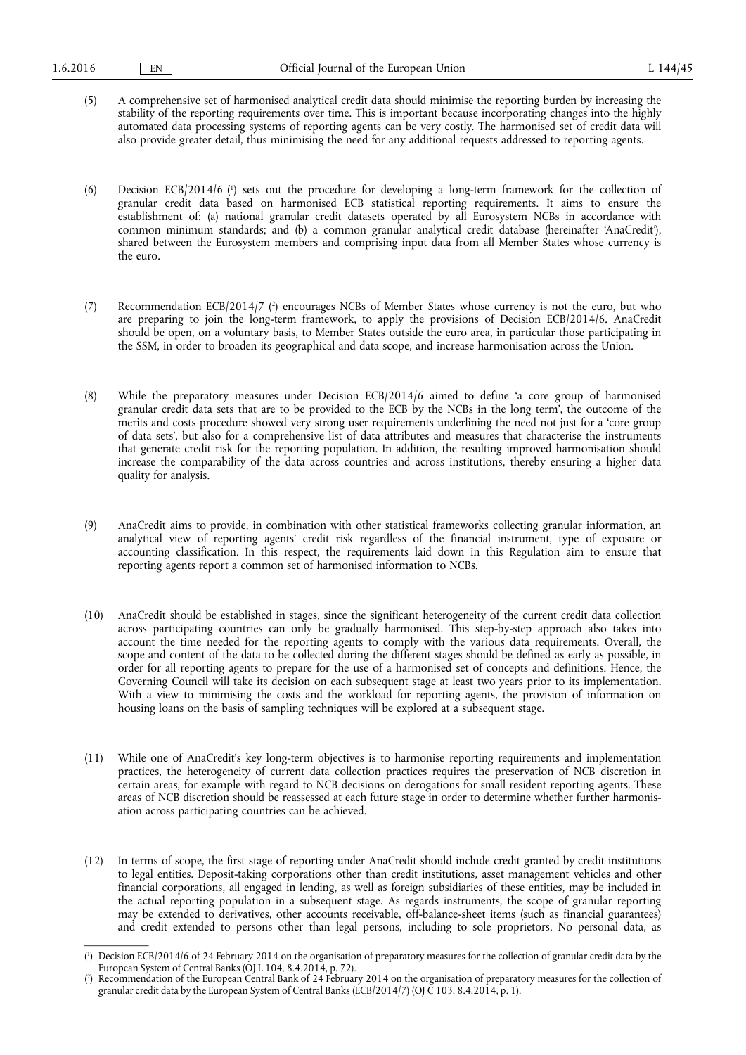(5) A comprehensive set of harmonised analytical credit data should minimise the reporting burden by increasing the stability of the reporting requirements over time. This is important because incorporating changes into the highly automated data processing systems of reporting agents can be very costly. The harmonised set of credit data will also provide greater detail, thus minimising the need for any additional requests addressed to reporting agents.

(6) Decision ECB/2014/6 ( 1 ) sets out the procedure for developing a long-term framework for the collection of granular credit data based on harmonised ECB statistical reporting requirements. It aims to ensure the establishment of: (a) national granular credit datasets operated by all Eurosystem NCBs in accordance with common minimum standards; and (b) a common granular analytical credit database (hereinafter 'AnaCredit'), shared between the Eurosystem members and comprising input data from all Member States whose currency is the euro.

- (7) Recommendation ECB/2014/7 ( 2 ) encourages NCBs of Member States whose currency is not the euro, but who are preparing to join the long-term framework, to apply the provisions of Decision ECB/2014/6. AnaCredit should be open, on a voluntary basis, to Member States outside the euro area, in particular those participating in the SSM, in order to broaden its geographical and data scope, and increase harmonisation across the Union.
- (8) While the preparatory measures under Decision ECB/2014/6 aimed to define 'a core group of harmonised granular credit data sets that are to be provided to the ECB by the NCBs in the long term', the outcome of the merits and costs procedure showed very strong user requirements underlining the need not just for a 'core group of data sets', but also for a comprehensive list of data attributes and measures that characterise the instruments that generate credit risk for the reporting population. In addition, the resulting improved harmonisation should increase the comparability of the data across countries and across institutions, thereby ensuring a higher data quality for analysis.
- (9) AnaCredit aims to provide, in combination with other statistical frameworks collecting granular information, an analytical view of reporting agents' credit risk regardless of the financial instrument, type of exposure or accounting classification. In this respect, the requirements laid down in this Regulation aim to ensure that reporting agents report a common set of harmonised information to NCBs.
- (10) AnaCredit should be established in stages, since the significant heterogeneity of the current credit data collection across participating countries can only be gradually harmonised. This step-by-step approach also takes into account the time needed for the reporting agents to comply with the various data requirements. Overall, the scope and content of the data to be collected during the different stages should be defined as early as possible, in order for all reporting agents to prepare for the use of a harmonised set of concepts and definitions. Hence, the Governing Council will take its decision on each subsequent stage at least two years prior to its implementation. With a view to minimising the costs and the workload for reporting agents, the provision of information on housing loans on the basis of sampling techniques will be explored at a subsequent stage.
- (11) While one of AnaCredit's key long-term objectives is to harmonise reporting requirements and implementation practices, the heterogeneity of current data collection practices requires the preservation of NCB discretion in certain areas, for example with regard to NCB decisions on derogations for small resident reporting agents. These areas of NCB discretion should be reassessed at each future stage in order to determine whether further harmonisation across participating countries can be achieved.
- (12) In terms of scope, the first stage of reporting under AnaCredit should include credit granted by credit institutions to legal entities. Deposit-taking corporations other than credit institutions, asset management vehicles and other financial corporations, all engaged in lending, as well as foreign subsidiaries of these entities, may be included in the actual reporting population in a subsequent stage. As regards instruments, the scope of granular reporting may be extended to derivatives, other accounts receivable, off-balance-sheet items (such as financial guarantees) and credit extended to persons other than legal persons, including to sole proprietors. No personal data, as

<sup>(</sup> 1 ) Decision ECB/2014/6 of 24 February 2014 on the organisation of preparatory measures for the collection of granular credit data by the European System of Central Banks (OJ L 104, 8.4.2014, p. 72).

<sup>(</sup> 2 ) Recommendation of the European Central Bank of 24 February 2014 on the organisation of preparatory measures for the collection of granular credit data by the European System of Central Banks (ECB/2014/7) (OJ C 103, 8.4.2014, p. 1).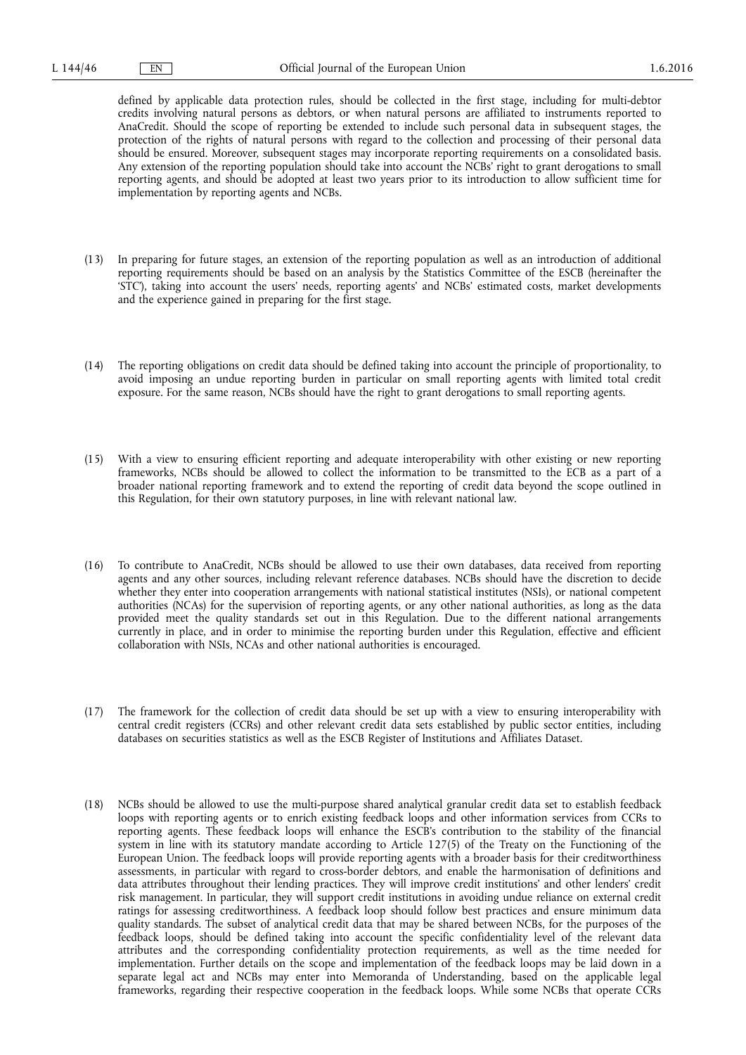defined by applicable data protection rules, should be collected in the first stage, including for multi-debtor credits involving natural persons as debtors, or when natural persons are affiliated to instruments reported to AnaCredit. Should the scope of reporting be extended to include such personal data in subsequent stages, the protection of the rights of natural persons with regard to the collection and processing of their personal data should be ensured. Moreover, subsequent stages may incorporate reporting requirements on a consolidated basis. Any extension of the reporting population should take into account the NCBs' right to grant derogations to small reporting agents, and should be adopted at least two years prior to its introduction to allow sufficient time for implementation by reporting agents and NCBs.

- (13) In preparing for future stages, an extension of the reporting population as well as an introduction of additional reporting requirements should be based on an analysis by the Statistics Committee of the ESCB (hereinafter the 'STC'), taking into account the users' needs, reporting agents' and NCBs' estimated costs, market developments and the experience gained in preparing for the first stage.
- (14) The reporting obligations on credit data should be defined taking into account the principle of proportionality, to avoid imposing an undue reporting burden in particular on small reporting agents with limited total credit exposure. For the same reason, NCBs should have the right to grant derogations to small reporting agents.
- (15) With a view to ensuring efficient reporting and adequate interoperability with other existing or new reporting frameworks, NCBs should be allowed to collect the information to be transmitted to the ECB as a part of a broader national reporting framework and to extend the reporting of credit data beyond the scope outlined in this Regulation, for their own statutory purposes, in line with relevant national law.
- (16) To contribute to AnaCredit, NCBs should be allowed to use their own databases, data received from reporting agents and any other sources, including relevant reference databases. NCBs should have the discretion to decide whether they enter into cooperation arrangements with national statistical institutes (NSIs), or national competent authorities (NCAs) for the supervision of reporting agents, or any other national authorities, as long as the data provided meet the quality standards set out in this Regulation. Due to the different national arrangements currently in place, and in order to minimise the reporting burden under this Regulation, effective and efficient collaboration with NSIs, NCAs and other national authorities is encouraged.
- (17) The framework for the collection of credit data should be set up with a view to ensuring interoperability with central credit registers (CCRs) and other relevant credit data sets established by public sector entities, including databases on securities statistics as well as the ESCB Register of Institutions and Affiliates Dataset.
- (18) NCBs should be allowed to use the multi-purpose shared analytical granular credit data set to establish feedback loops with reporting agents or to enrich existing feedback loops and other information services from CCRs to reporting agents. These feedback loops will enhance the ESCB's contribution to the stability of the financial system in line with its statutory mandate according to Article 127(5) of the Treaty on the Functioning of the European Union. The feedback loops will provide reporting agents with a broader basis for their creditworthiness assessments, in particular with regard to cross-border debtors, and enable the harmonisation of definitions and data attributes throughout their lending practices. They will improve credit institutions' and other lenders' credit risk management. In particular, they will support credit institutions in avoiding undue reliance on external credit ratings for assessing creditworthiness. A feedback loop should follow best practices and ensure minimum data quality standards. The subset of analytical credit data that may be shared between NCBs, for the purposes of the feedback loops, should be defined taking into account the specific confidentiality level of the relevant data attributes and the corresponding confidentiality protection requirements, as well as the time needed for implementation. Further details on the scope and implementation of the feedback loops may be laid down in a separate legal act and NCBs may enter into Memoranda of Understanding, based on the applicable legal frameworks, regarding their respective cooperation in the feedback loops. While some NCBs that operate CCRs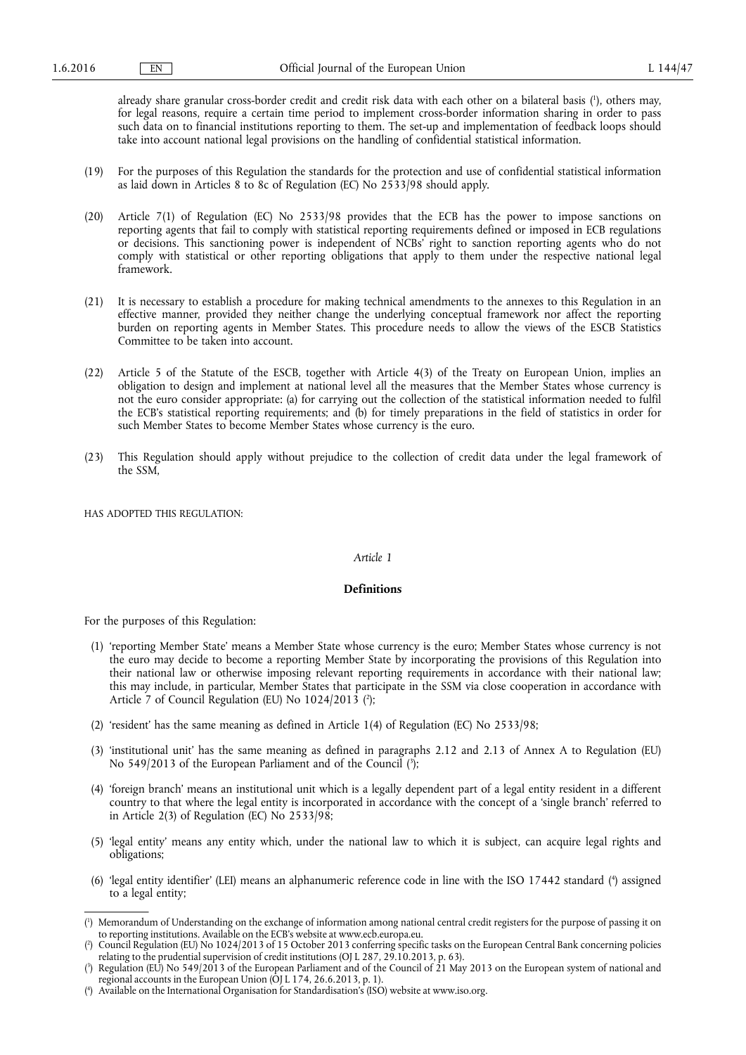already share granular cross-border credit and credit risk data with each other on a bilateral basis ( 1 ), others may, for legal reasons, require a certain time period to implement cross-border information sharing in order to pass such data on to financial institutions reporting to them. The set-up and implementation of feedback loops should take into account national legal provisions on the handling of confidential statistical information.

- (19) For the purposes of this Regulation the standards for the protection and use of confidential statistical information as laid down in Articles 8 to 8c of Regulation (EC) No 2533/98 should apply.
- (20) Article 7(1) of Regulation (EC) No 2533/98 provides that the ECB has the power to impose sanctions on reporting agents that fail to comply with statistical reporting requirements defined or imposed in ECB regulations or decisions. This sanctioning power is independent of NCBs' right to sanction reporting agents who do not comply with statistical or other reporting obligations that apply to them under the respective national legal framework.
- (21) It is necessary to establish a procedure for making technical amendments to the annexes to this Regulation in an effective manner, provided they neither change the underlying conceptual framework nor affect the reporting burden on reporting agents in Member States. This procedure needs to allow the views of the ESCB Statistics Committee to be taken into account.
- (22) Article 5 of the Statute of the ESCB, together with Article 4(3) of the Treaty on European Union, implies an obligation to design and implement at national level all the measures that the Member States whose currency is not the euro consider appropriate: (a) for carrying out the collection of the statistical information needed to fulfil the ECB's statistical reporting requirements; and (b) for timely preparations in the field of statistics in order for such Member States to become Member States whose currency is the euro.
- (23) This Regulation should apply without prejudice to the collection of credit data under the legal framework of the SSM,

HAS ADOPTED THIS REGULATION:

#### *Article 1*

#### **Definitions**

For the purposes of this Regulation:

- (1) 'reporting Member State' means a Member State whose currency is the euro; Member States whose currency is not the euro may decide to become a reporting Member State by incorporating the provisions of this Regulation into their national law or otherwise imposing relevant reporting requirements in accordance with their national law; this may include, in particular, Member States that participate in the SSM via close cooperation in accordance with Article 7 of Council Regulation (EU) No 1024/2013 ( 2 );
- (2) 'resident' has the same meaning as defined in Article 1(4) of Regulation (EC) No 2533/98;
- (3) 'institutional unit' has the same meaning as defined in paragraphs 2.12 and 2.13 of Annex A to Regulation (EU) No 549/2013 of the European Parliament and of the Council (3);
- (4) 'foreign branch' means an institutional unit which is a legally dependent part of a legal entity resident in a different country to that where the legal entity is incorporated in accordance with the concept of a 'single branch' referred to in Article 2(3) of Regulation (EC) No 2533/98;
- (5) 'legal entity' means any entity which, under the national law to which it is subject, can acquire legal rights and obligations;
- (6) 'legal entity identifier' (LEI) means an alphanumeric reference code in line with the ISO 17442 standard ( 4 ) assigned to a legal entity;

<sup>(</sup> 1 ) Memorandum of Understanding on the exchange of information among national central credit registers for the purpose of passing it on to reporting institutions. Available on the ECB's website at [www.ecb.europa.eu.](http://www.ecb.europa.eu)

<sup>(</sup> 2 ) Council Regulation (EU) No 1024/2013 of 15 October 2013 conferring specific tasks on the European Central Bank concerning policies relating to the prudential supervision of credit institutions (OJ L 287, 29.10.2013, p. 63).

<sup>(</sup> 3 ) Regulation (EU) No 549/2013 of the European Parliament and of the Council of 21 May 2013 on the European system of national and regional accounts in the European Union (OJ L 174, 26.6.2013, p. 1).

<sup>(</sup> 4 ) Available on the International Organisation for Standardisation's (ISO) website at [www.iso.org](http://www.iso.org).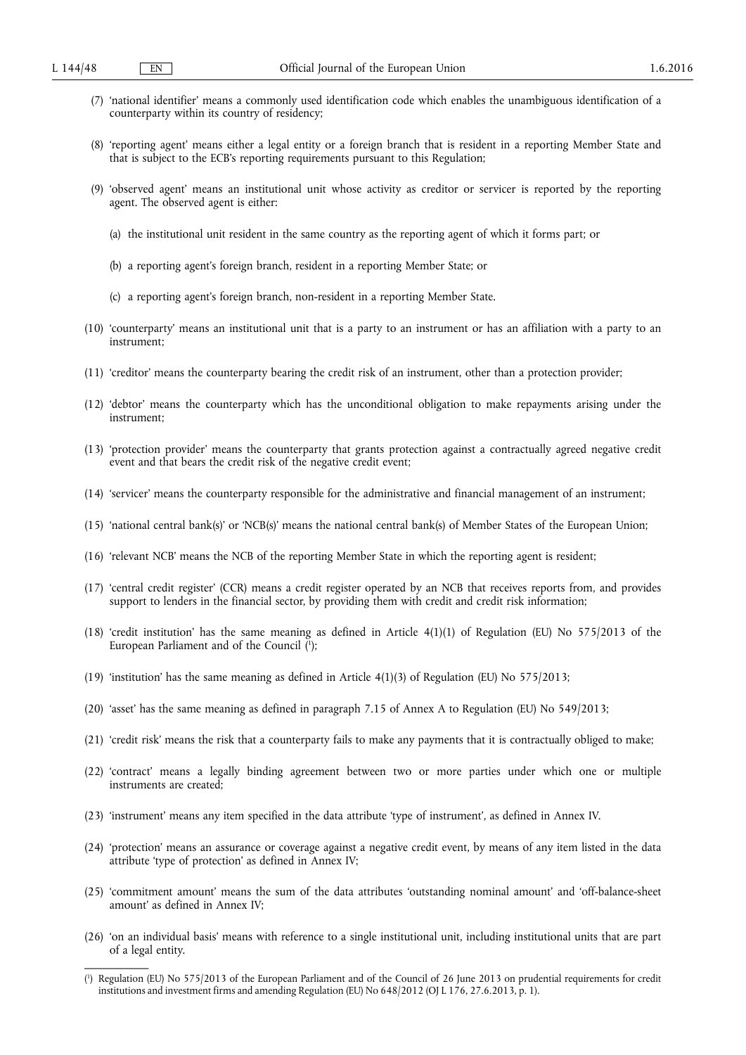- (7) 'national identifier' means a commonly used identification code which enables the unambiguous identification of a counterparty within its country of residency;
- (8) 'reporting agent' means either a legal entity or a foreign branch that is resident in a reporting Member State and that is subject to the ECB's reporting requirements pursuant to this Regulation;
- (9) 'observed agent' means an institutional unit whose activity as creditor or servicer is reported by the reporting agent. The observed agent is either:
	- (a) the institutional unit resident in the same country as the reporting agent of which it forms part; or
	- (b) a reporting agent's foreign branch, resident in a reporting Member State; or
	- (c) a reporting agent's foreign branch, non-resident in a reporting Member State.
- (10) 'counterparty' means an institutional unit that is a party to an instrument or has an affiliation with a party to an instrument;
- (11) 'creditor' means the counterparty bearing the credit risk of an instrument, other than a protection provider;
- (12) 'debtor' means the counterparty which has the unconditional obligation to make repayments arising under the instrument;
- (13) 'protection provider' means the counterparty that grants protection against a contractually agreed negative credit event and that bears the credit risk of the negative credit event;
- (14) 'servicer' means the counterparty responsible for the administrative and financial management of an instrument;
- (15) 'national central bank(s)' or 'NCB(s)' means the national central bank(s) of Member States of the European Union;
- (16) 'relevant NCB' means the NCB of the reporting Member State in which the reporting agent is resident;
- (17) 'central credit register' (CCR) means a credit register operated by an NCB that receives reports from, and provides support to lenders in the financial sector, by providing them with credit and credit risk information;
- (18) 'credit institution' has the same meaning as defined in Article 4(1)(1) of Regulation (EU) No 575/2013 of the European Parliament and of the Council ( 1 );
- (19) 'institution' has the same meaning as defined in Article  $4(1)(3)$  of Regulation (EU) No 575/2013;
- (20) 'asset' has the same meaning as defined in paragraph 7.15 of Annex A to Regulation (EU) No 549/2013;
- (21) 'credit risk' means the risk that a counterparty fails to make any payments that it is contractually obliged to make;
- (22) 'contract' means a legally binding agreement between two or more parties under which one or multiple instruments are created;
- (23) 'instrument' means any item specified in the data attribute 'type of instrument', as defined in Annex IV.
- (24) 'protection' means an assurance or coverage against a negative credit event, by means of any item listed in the data attribute 'type of protection' as defined in Annex IV;
- (25) 'commitment amount' means the sum of the data attributes 'outstanding nominal amount' and 'off-balance-sheet amount' as defined in Annex IV;
- (26) 'on an individual basis' means with reference to a single institutional unit, including institutional units that are part of a legal entity.

<sup>(</sup> 1 ) Regulation (EU) No 575/2013 of the European Parliament and of the Council of 26 June 2013 on prudential requirements for credit institutions and investment firms and amending Regulation (EU) No 648/2012 (OJ L 176, 27.6.2013, p. 1).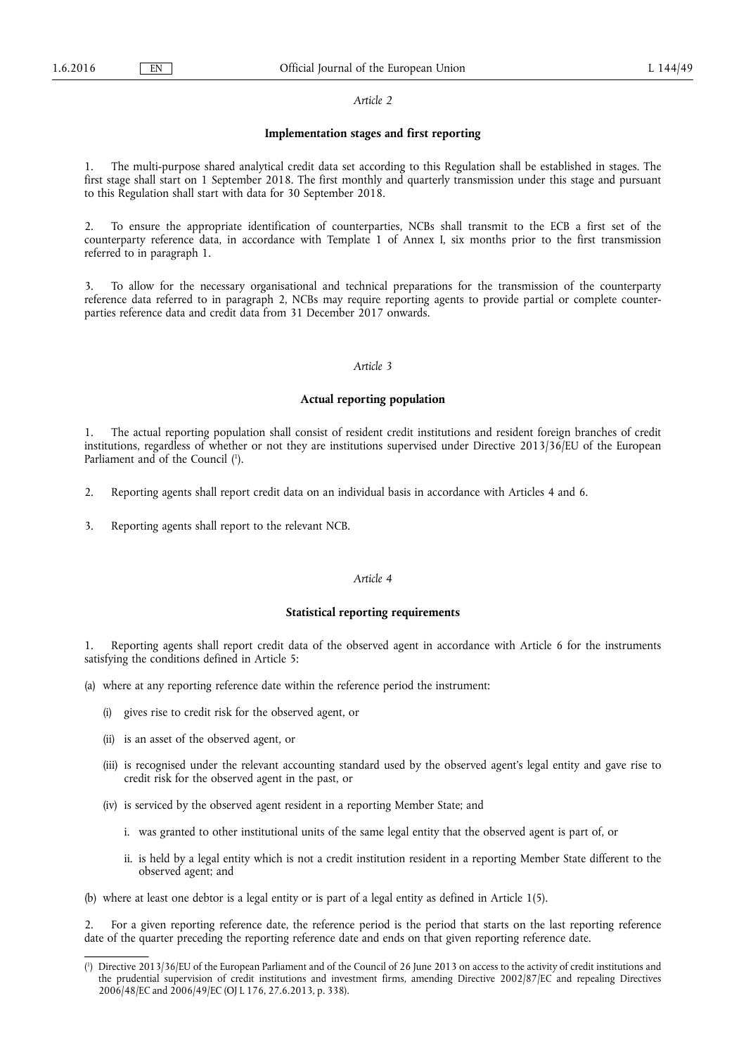#### *Article 2*

#### **Implementation stages and first reporting**

1. The multi-purpose shared analytical credit data set according to this Regulation shall be established in stages. The first stage shall start on 1 September 2018. The first monthly and quarterly transmission under this stage and pursuant to this Regulation shall start with data for 30 September 2018.

2. To ensure the appropriate identification of counterparties, NCBs shall transmit to the ECB a first set of the counterparty reference data, in accordance with Template 1 of Annex I, six months prior to the first transmission referred to in paragraph 1.

3. To allow for the necessary organisational and technical preparations for the transmission of the counterparty reference data referred to in paragraph 2, NCBs may require reporting agents to provide partial or complete counterparties reference data and credit data from 31 December 2017 onwards.

#### *Article 3*

#### **Actual reporting population**

1. The actual reporting population shall consist of resident credit institutions and resident foreign branches of credit institutions, regardless of whether or not they are institutions supervised under Directive 2013/36/EU of the European Parliament and of the Council (<sup>1</sup>).

2. Reporting agents shall report credit data on an individual basis in accordance with Articles 4 and 6.

3. Reporting agents shall report to the relevant NCB.

#### *Article 4*

#### **Statistical reporting requirements**

1. Reporting agents shall report credit data of the observed agent in accordance with Article 6 for the instruments satisfying the conditions defined in Article 5:

(a) where at any reporting reference date within the reference period the instrument:

- (i) gives rise to credit risk for the observed agent, or
- (ii) is an asset of the observed agent, or
- (iii) is recognised under the relevant accounting standard used by the observed agent's legal entity and gave rise to credit risk for the observed agent in the past, or
- (iv) is serviced by the observed agent resident in a reporting Member State; and
	- i. was granted to other institutional units of the same legal entity that the observed agent is part of, or
	- ii. is held by a legal entity which is not a credit institution resident in a reporting Member State different to the observed agent; and
- (b) where at least one debtor is a legal entity or is part of a legal entity as defined in Article 1(5).

2. For a given reporting reference date, the reference period is the period that starts on the last reporting reference date of the quarter preceding the reporting reference date and ends on that given reporting reference date.

<sup>(</sup> 1 ) Directive 2013/36/EU of the European Parliament and of the Council of 26 June 2013 on access to the activity of credit institutions and the prudential supervision of credit institutions and investment firms, amending Directive 2002/87/EC and repealing Directives 2006/48/EC and 2006/49/EC (OJ L 176, 27.6.2013, p. 338).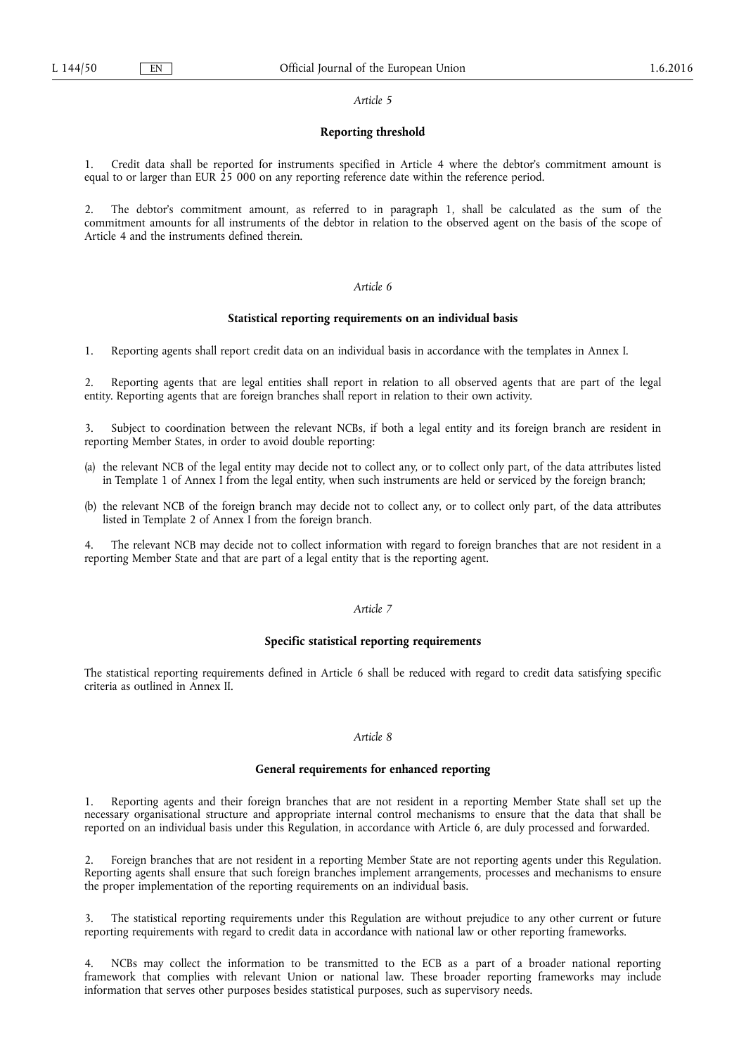#### *Article 5*

#### **Reporting threshold**

1. Credit data shall be reported for instruments specified in Article 4 where the debtor's commitment amount is equal to or larger than EUR 25 000 on any reporting reference date within the reference period.

2. The debtor's commitment amount, as referred to in paragraph 1, shall be calculated as the sum of the commitment amounts for all instruments of the debtor in relation to the observed agent on the basis of the scope of Article 4 and the instruments defined therein.

#### *Article 6*

#### **Statistical reporting requirements on an individual basis**

1. Reporting agents shall report credit data on an individual basis in accordance with the templates in Annex I.

2. Reporting agents that are legal entities shall report in relation to all observed agents that are part of the legal entity. Reporting agents that are foreign branches shall report in relation to their own activity.

3. Subject to coordination between the relevant NCBs, if both a legal entity and its foreign branch are resident in reporting Member States, in order to avoid double reporting:

- (a) the relevant NCB of the legal entity may decide not to collect any, or to collect only part, of the data attributes listed in Template 1 of Annex I from the legal entity, when such instruments are held or serviced by the foreign branch;
- (b) the relevant NCB of the foreign branch may decide not to collect any, or to collect only part, of the data attributes listed in Template 2 of Annex I from the foreign branch.

4. The relevant NCB may decide not to collect information with regard to foreign branches that are not resident in a reporting Member State and that are part of a legal entity that is the reporting agent.

#### *Article 7*

#### **Specific statistical reporting requirements**

The statistical reporting requirements defined in Article 6 shall be reduced with regard to credit data satisfying specific criteria as outlined in Annex II.

#### *Article 8*

#### **General requirements for enhanced reporting**

1. Reporting agents and their foreign branches that are not resident in a reporting Member State shall set up the necessary organisational structure and appropriate internal control mechanisms to ensure that the data that shall be reported on an individual basis under this Regulation, in accordance with Article 6, are duly processed and forwarded.

2. Foreign branches that are not resident in a reporting Member State are not reporting agents under this Regulation. Reporting agents shall ensure that such foreign branches implement arrangements, processes and mechanisms to ensure the proper implementation of the reporting requirements on an individual basis.

The statistical reporting requirements under this Regulation are without prejudice to any other current or future reporting requirements with regard to credit data in accordance with national law or other reporting frameworks.

4. NCBs may collect the information to be transmitted to the ECB as a part of a broader national reporting framework that complies with relevant Union or national law. These broader reporting frameworks may include information that serves other purposes besides statistical purposes, such as supervisory needs.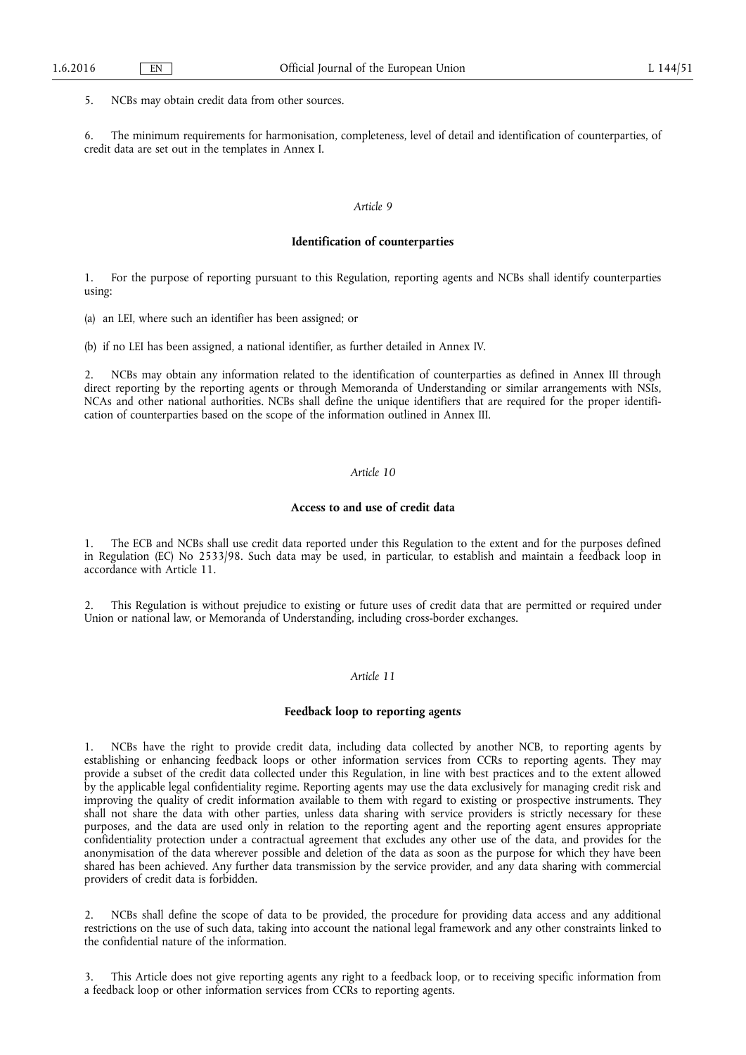5. NCBs may obtain credit data from other sources.

6. The minimum requirements for harmonisation, completeness, level of detail and identification of counterparties, of credit data are set out in the templates in Annex I.

#### *Article 9*

#### **Identification of counterparties**

1. For the purpose of reporting pursuant to this Regulation, reporting agents and NCBs shall identify counterparties using:

(a) an LEI, where such an identifier has been assigned; or

(b) if no LEI has been assigned, a national identifier, as further detailed in Annex IV.

2. NCBs may obtain any information related to the identification of counterparties as defined in Annex III through direct reporting by the reporting agents or through Memoranda of Understanding or similar arrangements with NSIs, NCAs and other national authorities. NCBs shall define the unique identifiers that are required for the proper identification of counterparties based on the scope of the information outlined in Annex III.

#### *Article 10*

#### **Access to and use of credit data**

1. The ECB and NCBs shall use credit data reported under this Regulation to the extent and for the purposes defined in Regulation (EC) No 2533/98. Such data may be used, in particular, to establish and maintain a feedback loop in accordance with Article 11.

2. This Regulation is without prejudice to existing or future uses of credit data that are permitted or required under Union or national law, or Memoranda of Understanding, including cross-border exchanges.

#### *Article 11*

#### **Feedback loop to reporting agents**

1. NCBs have the right to provide credit data, including data collected by another NCB, to reporting agents by establishing or enhancing feedback loops or other information services from CCRs to reporting agents. They may provide a subset of the credit data collected under this Regulation, in line with best practices and to the extent allowed by the applicable legal confidentiality regime. Reporting agents may use the data exclusively for managing credit risk and improving the quality of credit information available to them with regard to existing or prospective instruments. They shall not share the data with other parties, unless data sharing with service providers is strictly necessary for these purposes, and the data are used only in relation to the reporting agent and the reporting agent ensures appropriate confidentiality protection under a contractual agreement that excludes any other use of the data, and provides for the anonymisation of the data wherever possible and deletion of the data as soon as the purpose for which they have been shared has been achieved. Any further data transmission by the service provider, and any data sharing with commercial providers of credit data is forbidden.

2. NCBs shall define the scope of data to be provided, the procedure for providing data access and any additional restrictions on the use of such data, taking into account the national legal framework and any other constraints linked to the confidential nature of the information.

3. This Article does not give reporting agents any right to a feedback loop, or to receiving specific information from a feedback loop or other information services from CCRs to reporting agents.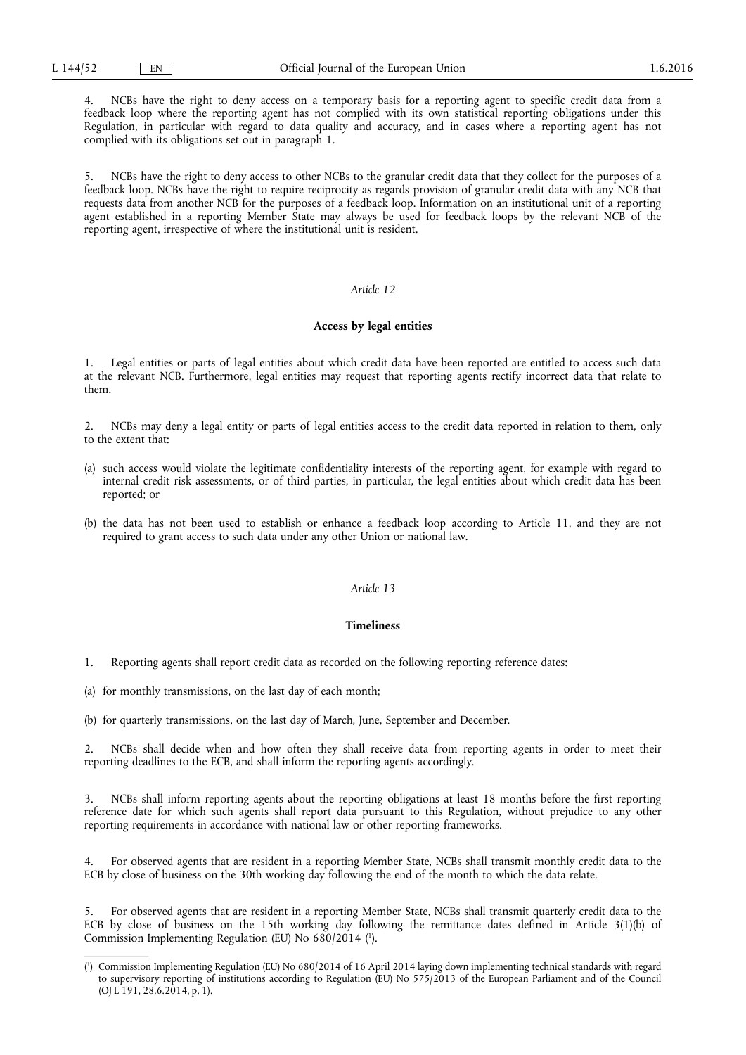4. NCBs have the right to deny access on a temporary basis for a reporting agent to specific credit data from a feedback loop where the reporting agent has not complied with its own statistical reporting obligations under this Regulation, in particular with regard to data quality and accuracy, and in cases where a reporting agent has not complied with its obligations set out in paragraph 1.

5. NCBs have the right to deny access to other NCBs to the granular credit data that they collect for the purposes of a feedback loop. NCBs have the right to require reciprocity as regards provision of granular credit data with any NCB that requests data from another NCB for the purposes of a feedback loop. Information on an institutional unit of a reporting agent established in a reporting Member State may always be used for feedback loops by the relevant NCB of the reporting agent, irrespective of where the institutional unit is resident.

#### *Article 12*

#### **Access by legal entities**

1. Legal entities or parts of legal entities about which credit data have been reported are entitled to access such data at the relevant NCB. Furthermore, legal entities may request that reporting agents rectify incorrect data that relate to them.

2. NCBs may deny a legal entity or parts of legal entities access to the credit data reported in relation to them, only to the extent that:

- (a) such access would violate the legitimate confidentiality interests of the reporting agent, for example with regard to internal credit risk assessments, or of third parties, in particular, the legal entities about which credit data has been reported; or
- (b) the data has not been used to establish or enhance a feedback loop according to Article 11, and they are not required to grant access to such data under any other Union or national law.

#### *Article 13*

#### **Timeliness**

- 1. Reporting agents shall report credit data as recorded on the following reporting reference dates:
- (a) for monthly transmissions, on the last day of each month;
- (b) for quarterly transmissions, on the last day of March, June, September and December.

NCBs shall decide when and how often they shall receive data from reporting agents in order to meet their reporting deadlines to the ECB, and shall inform the reporting agents accordingly.

3. NCBs shall inform reporting agents about the reporting obligations at least 18 months before the first reporting reference date for which such agents shall report data pursuant to this Regulation, without prejudice to any other reporting requirements in accordance with national law or other reporting frameworks.

4. For observed agents that are resident in a reporting Member State, NCBs shall transmit monthly credit data to the ECB by close of business on the 30th working day following the end of the month to which the data relate.

5. For observed agents that are resident in a reporting Member State, NCBs shall transmit quarterly credit data to the ECB by close of business on the 15th working day following the remittance dates defined in Article 3(1)(b) of Commission Implementing Regulation (EU) No 680/2014 ( 1 ).

<sup>(</sup> 1 ) Commission Implementing Regulation (EU) No 680/2014 of 16 April 2014 laying down implementing technical standards with regard to supervisory reporting of institutions according to Regulation (EU) No 575/2013 of the European Parliament and of the Council (OJ L 191, 28.6.2014, p. 1).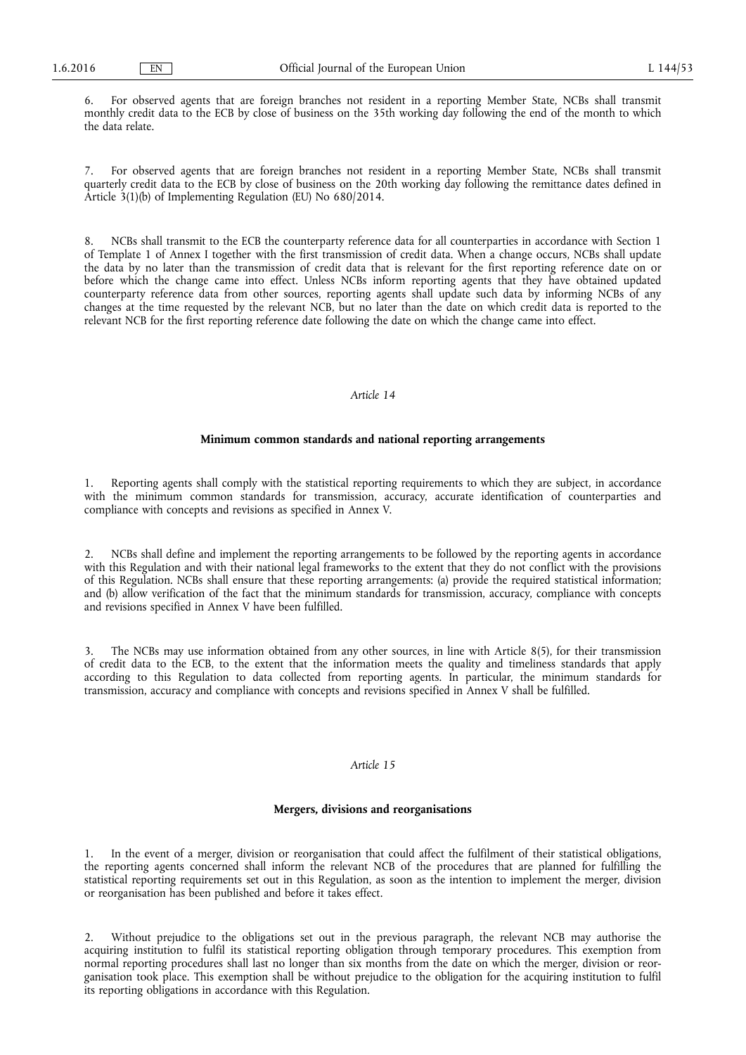6. For observed agents that are foreign branches not resident in a reporting Member State, NCBs shall transmit monthly credit data to the ECB by close of business on the 35th working day following the end of the month to which the data relate.

7. For observed agents that are foreign branches not resident in a reporting Member State, NCBs shall transmit quarterly credit data to the ECB by close of business on the 20th working day following the remittance dates defined in Article 3(1)(b) of Implementing Regulation (EU) No 680/2014.

8. NCBs shall transmit to the ECB the counterparty reference data for all counterparties in accordance with Section 1 of Template 1 of Annex I together with the first transmission of credit data. When a change occurs, NCBs shall update the data by no later than the transmission of credit data that is relevant for the first reporting reference date on or before which the change came into effect. Unless NCBs inform reporting agents that they have obtained updated counterparty reference data from other sources, reporting agents shall update such data by informing NCBs of any changes at the time requested by the relevant NCB, but no later than the date on which credit data is reported to the relevant NCB for the first reporting reference date following the date on which the change came into effect.

#### *Article 14*

#### **Minimum common standards and national reporting arrangements**

1. Reporting agents shall comply with the statistical reporting requirements to which they are subject, in accordance with the minimum common standards for transmission, accuracy, accurate identification of counterparties and compliance with concepts and revisions as specified in Annex V.

2. NCBs shall define and implement the reporting arrangements to be followed by the reporting agents in accordance with this Regulation and with their national legal frameworks to the extent that they do not conflict with the provisions of this Regulation. NCBs shall ensure that these reporting arrangements: (a) provide the required statistical information; and (b) allow verification of the fact that the minimum standards for transmission, accuracy, compliance with concepts and revisions specified in Annex V have been fulfilled.

3. The NCBs may use information obtained from any other sources, in line with Article 8(5), for their transmission of credit data to the ECB, to the extent that the information meets the quality and timeliness standards that apply according to this Regulation to data collected from reporting agents. In particular, the minimum standards for transmission, accuracy and compliance with concepts and revisions specified in Annex V shall be fulfilled.

#### *Article 15*

#### **Mergers, divisions and reorganisations**

1. In the event of a merger, division or reorganisation that could affect the fulfilment of their statistical obligations, the reporting agents concerned shall inform the relevant NCB of the procedures that are planned for fulfilling the statistical reporting requirements set out in this Regulation, as soon as the intention to implement the merger, division or reorganisation has been published and before it takes effect.

2. Without prejudice to the obligations set out in the previous paragraph, the relevant NCB may authorise the acquiring institution to fulfil its statistical reporting obligation through temporary procedures. This exemption from normal reporting procedures shall last no longer than six months from the date on which the merger, division or reorganisation took place. This exemption shall be without prejudice to the obligation for the acquiring institution to fulfil its reporting obligations in accordance with this Regulation.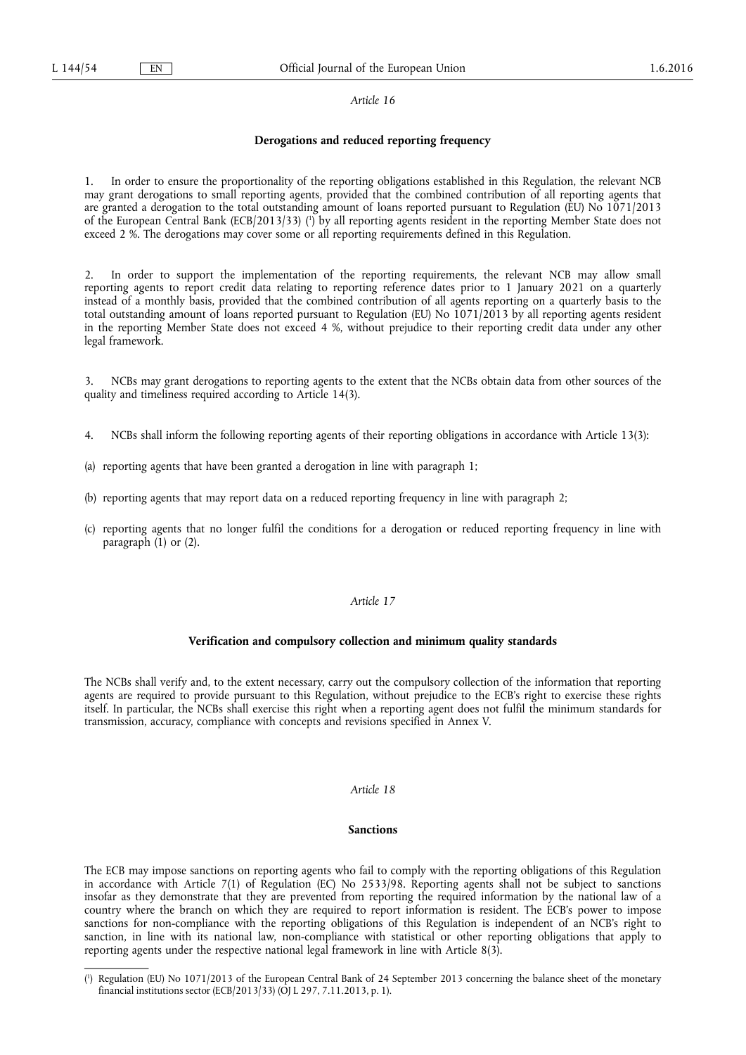#### *Article 16*

#### **Derogations and reduced reporting frequency**

1. In order to ensure the proportionality of the reporting obligations established in this Regulation, the relevant NCB may grant derogations to small reporting agents, provided that the combined contribution of all reporting agents that are granted a derogation to the total outstanding amount of loans reported pursuant to Regulation (EU) No 1071/2013 of the European Central Bank (ECB/2013/33) ( 1 ) by all reporting agents resident in the reporting Member State does not exceed 2 %. The derogations may cover some or all reporting requirements defined in this Regulation.

2. In order to support the implementation of the reporting requirements, the relevant NCB may allow small reporting agents to report credit data relating to reporting reference dates prior to 1 January 2021 on a quarterly instead of a monthly basis, provided that the combined contribution of all agents reporting on a quarterly basis to the total outstanding amount of loans reported pursuant to Regulation (EU) No 1071/2013 by all reporting agents resident in the reporting Member State does not exceed 4 %, without prejudice to their reporting credit data under any other legal framework.

3. NCBs may grant derogations to reporting agents to the extent that the NCBs obtain data from other sources of the quality and timeliness required according to Article 14(3).

- 4. NCBs shall inform the following reporting agents of their reporting obligations in accordance with Article 13(3):
- (a) reporting agents that have been granted a derogation in line with paragraph 1;
- (b) reporting agents that may report data on a reduced reporting frequency in line with paragraph 2;
- (c) reporting agents that no longer fulfil the conditions for a derogation or reduced reporting frequency in line with paragraph  $(1)$  or  $(2)$ .

#### *Article 17*

#### **Verification and compulsory collection and minimum quality standards**

The NCBs shall verify and, to the extent necessary, carry out the compulsory collection of the information that reporting agents are required to provide pursuant to this Regulation, without prejudice to the ECB's right to exercise these rights itself. In particular, the NCBs shall exercise this right when a reporting agent does not fulfil the minimum standards for transmission, accuracy, compliance with concepts and revisions specified in Annex V.

#### *Article 18*

#### **Sanctions**

The ECB may impose sanctions on reporting agents who fail to comply with the reporting obligations of this Regulation in accordance with Article 7(1) of Regulation (EC) No 2533/98. Reporting agents shall not be subject to sanctions insofar as they demonstrate that they are prevented from reporting the required information by the national law of a country where the branch on which they are required to report information is resident. The ECB's power to impose sanctions for non-compliance with the reporting obligations of this Regulation is independent of an NCB's right to sanction, in line with its national law, non-compliance with statistical or other reporting obligations that apply to reporting agents under the respective national legal framework in line with Article 8(3).

<sup>(</sup> 1 ) Regulation (EU) No 1071/2013 of the European Central Bank of 24 September 2013 concerning the balance sheet of the monetary financial institutions sector (ECB/2013/33) (OJ L 297, 7.11.2013, p. 1).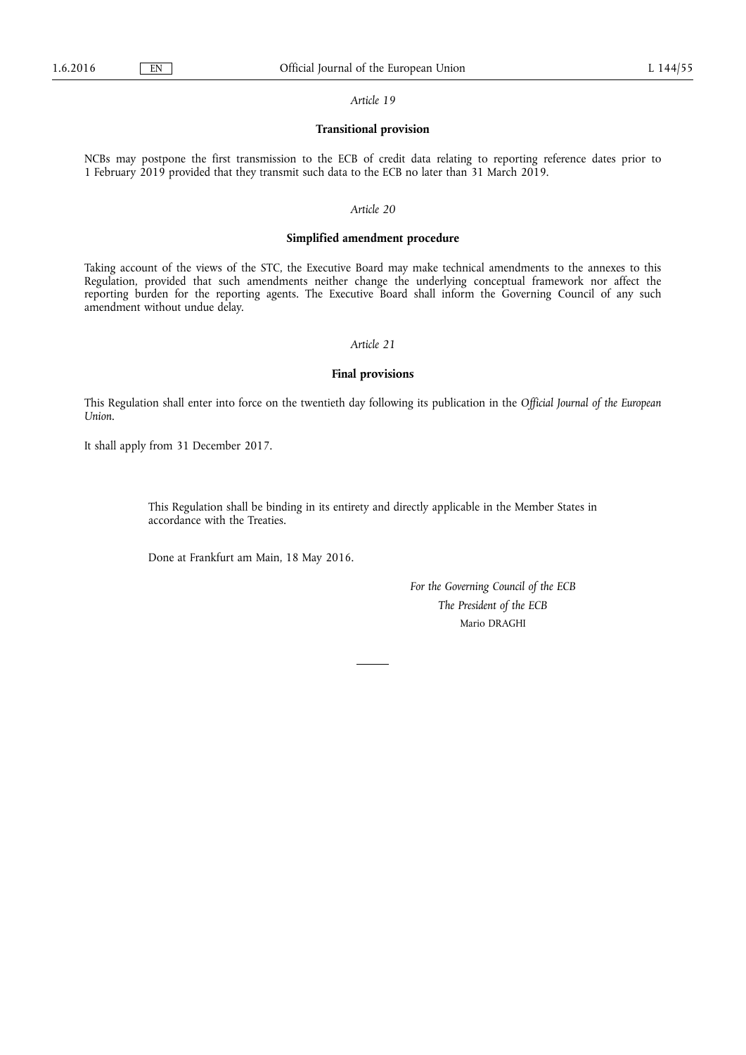#### *Article 19*

#### **Transitional provision**

NCBs may postpone the first transmission to the ECB of credit data relating to reporting reference dates prior to 1 February 2019 provided that they transmit such data to the ECB no later than 31 March 2019.

#### *Article 20*

### **Simplified amendment procedure**

Taking account of the views of the STC, the Executive Board may make technical amendments to the annexes to this Regulation, provided that such amendments neither change the underlying conceptual framework nor affect the reporting burden for the reporting agents. The Executive Board shall inform the Governing Council of any such amendment without undue delay.

#### *Article 21*

#### **Final provisions**

This Regulation shall enter into force on the twentieth day following its publication in the *Official Journal of the European Union*.

It shall apply from 31 December 2017.

This Regulation shall be binding in its entirety and directly applicable in the Member States in accordance with the Treaties.

Done at Frankfurt am Main, 18 May 2016.

*For the Governing Council of the ECB The President of the ECB*  Mario DRAGHI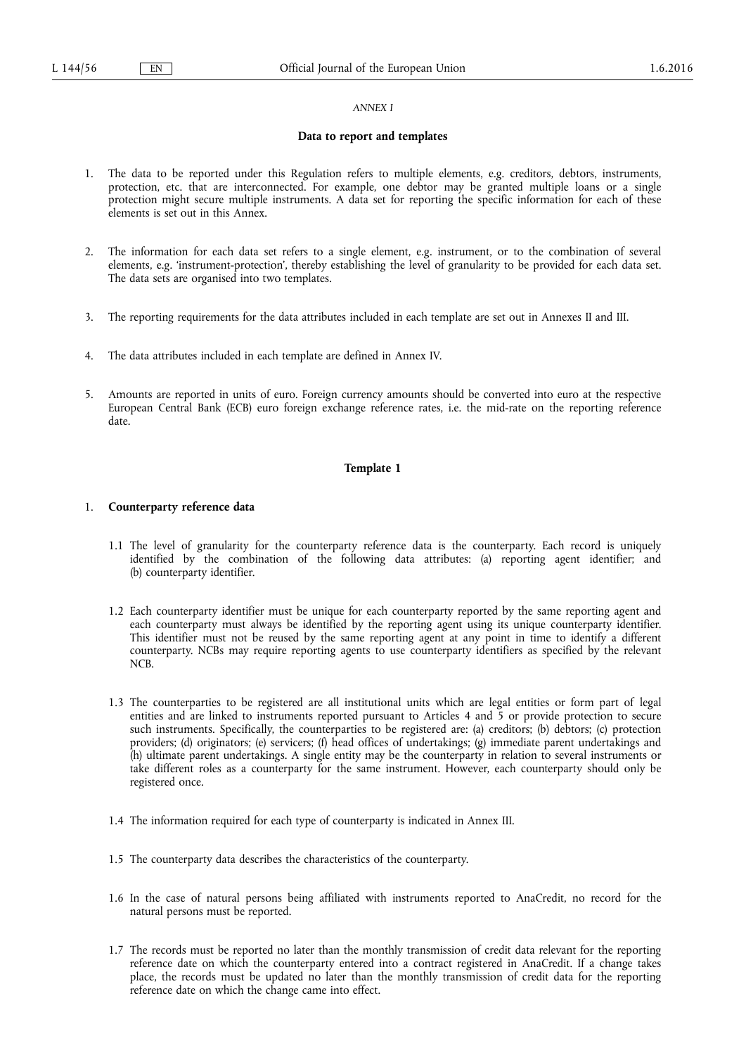#### *ANNEX I*

#### **Data to report and templates**

- 1. The data to be reported under this Regulation refers to multiple elements, e.g. creditors, debtors, instruments, protection, etc. that are interconnected. For example, one debtor may be granted multiple loans or a single protection might secure multiple instruments. A data set for reporting the specific information for each of these elements is set out in this Annex.
- 2. The information for each data set refers to a single element, e.g. instrument, or to the combination of several elements, e.g. 'instrument-protection', thereby establishing the level of granularity to be provided for each data set. The data sets are organised into two templates.
- 3. The reporting requirements for the data attributes included in each template are set out in Annexes II and III.
- 4. The data attributes included in each template are defined in Annex IV.
- 5. Amounts are reported in units of euro. Foreign currency amounts should be converted into euro at the respective European Central Bank (ECB) euro foreign exchange reference rates, i.e. the mid-rate on the reporting reference date.

#### **Template 1**

#### 1. **Counterparty reference data**

- 1.1 The level of granularity for the counterparty reference data is the counterparty. Each record is uniquely identified by the combination of the following data attributes: (a) reporting agent identifier; and (b) counterparty identifier.
- 1.2 Each counterparty identifier must be unique for each counterparty reported by the same reporting agent and each counterparty must always be identified by the reporting agent using its unique counterparty identifier. This identifier must not be reused by the same reporting agent at any point in time to identify a different counterparty. NCBs may require reporting agents to use counterparty identifiers as specified by the relevant NCB.
- 1.3 The counterparties to be registered are all institutional units which are legal entities or form part of legal entities and are linked to instruments reported pursuant to Articles 4 and 5 or provide protection to secure such instruments. Specifically, the counterparties to be registered are: (a) creditors; (b) debtors; (c) protection providers; (d) originators; (e) servicers; (f) head offices of undertakings; (g) immediate parent undertakings and (h) ultimate parent undertakings. A single entity may be the counterparty in relation to several instruments or take different roles as a counterparty for the same instrument. However, each counterparty should only be registered once.
- 1.4 The information required for each type of counterparty is indicated in Annex III.
- 1.5 The counterparty data describes the characteristics of the counterparty.
- 1.6 In the case of natural persons being affiliated with instruments reported to AnaCredit, no record for the natural persons must be reported.
- 1.7 The records must be reported no later than the monthly transmission of credit data relevant for the reporting reference date on which the counterparty entered into a contract registered in AnaCredit. If a change takes place, the records must be updated no later than the monthly transmission of credit data for the reporting reference date on which the change came into effect.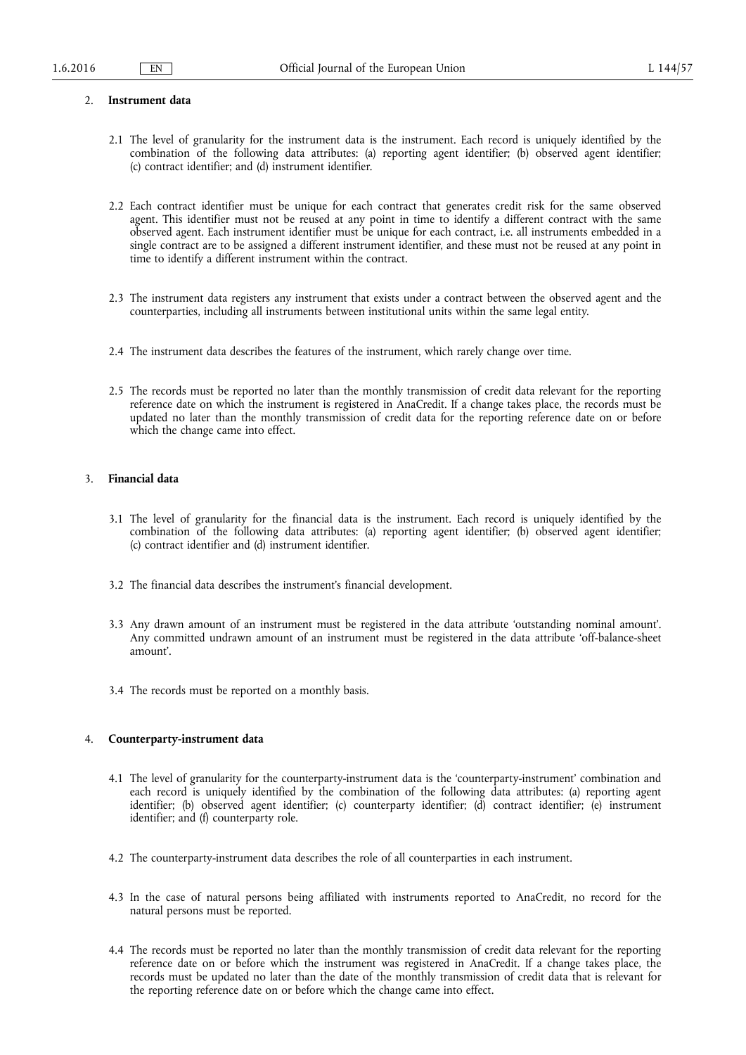#### 2. **Instrument data**

- 2.1 The level of granularity for the instrument data is the instrument. Each record is uniquely identified by the combination of the following data attributes: (a) reporting agent identifier; (b) observed agent identifier; (c) contract identifier; and (d) instrument identifier.
- 2.2 Each contract identifier must be unique for each contract that generates credit risk for the same observed agent. This identifier must not be reused at any point in time to identify a different contract with the same observed agent. Each instrument identifier must be unique for each contract, i.e. all instruments embedded in a single contract are to be assigned a different instrument identifier, and these must not be reused at any point in time to identify a different instrument within the contract.
- 2.3 The instrument data registers any instrument that exists under a contract between the observed agent and the counterparties, including all instruments between institutional units within the same legal entity.
- 2.4 The instrument data describes the features of the instrument, which rarely change over time.
- 2.5 The records must be reported no later than the monthly transmission of credit data relevant for the reporting reference date on which the instrument is registered in AnaCredit. If a change takes place, the records must be updated no later than the monthly transmission of credit data for the reporting reference date on or before which the change came into effect.

#### 3. **Financial data**

- 3.1 The level of granularity for the financial data is the instrument. Each record is uniquely identified by the combination of the following data attributes: (a) reporting agent identifier; (b) observed agent identifier; (c) contract identifier and (d) instrument identifier.
- 3.2 The financial data describes the instrument's financial development.
- 3.3 Any drawn amount of an instrument must be registered in the data attribute 'outstanding nominal amount'. Any committed undrawn amount of an instrument must be registered in the data attribute 'off-balance-sheet amount'.
- 3.4 The records must be reported on a monthly basis.

#### 4. **Counterparty-instrument data**

- 4.1 The level of granularity for the counterparty-instrument data is the 'counterparty-instrument' combination and each record is uniquely identified by the combination of the following data attributes: (a) reporting agent identifier; (b) observed agent identifier; (c) counterparty identifier; (d) contract identifier; (e) instrument identifier; and (f) counterparty role.
- 4.2 The counterparty-instrument data describes the role of all counterparties in each instrument.
- 4.3 In the case of natural persons being affiliated with instruments reported to AnaCredit, no record for the natural persons must be reported.
- 4.4 The records must be reported no later than the monthly transmission of credit data relevant for the reporting reference date on or before which the instrument was registered in AnaCredit. If a change takes place, the records must be updated no later than the date of the monthly transmission of credit data that is relevant for the reporting reference date on or before which the change came into effect.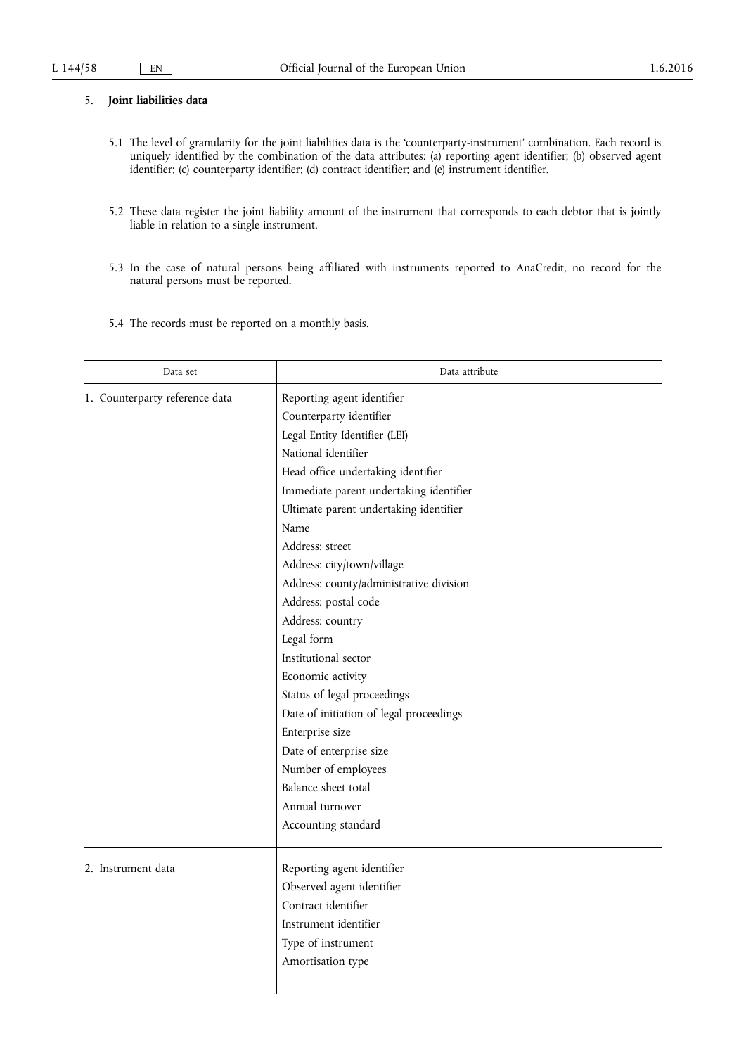### 5. **Joint liabilities data**

- 5.1 The level of granularity for the joint liabilities data is the 'counterparty-instrument' combination. Each record is uniquely identified by the combination of the data attributes: (a) reporting agent identifier; (b) observed agent identifier; (c) counterparty identifier; (d) contract identifier; and (e) instrument identifier.
- 5.2 These data register the joint liability amount of the instrument that corresponds to each debtor that is jointly liable in relation to a single instrument.
- 5.3 In the case of natural persons being affiliated with instruments reported to AnaCredit, no record for the natural persons must be reported.
- 5.4 The records must be reported on a monthly basis.

| Data set                       | Data attribute                          |  |  |  |  |  |  |  |  |
|--------------------------------|-----------------------------------------|--|--|--|--|--|--|--|--|
| 1. Counterparty reference data | Reporting agent identifier              |  |  |  |  |  |  |  |  |
|                                | Counterparty identifier                 |  |  |  |  |  |  |  |  |
|                                | Legal Entity Identifier (LEI)           |  |  |  |  |  |  |  |  |
|                                | National identifier                     |  |  |  |  |  |  |  |  |
|                                | Head office undertaking identifier      |  |  |  |  |  |  |  |  |
|                                | Immediate parent undertaking identifier |  |  |  |  |  |  |  |  |
|                                | Ultimate parent undertaking identifier  |  |  |  |  |  |  |  |  |
|                                | Name                                    |  |  |  |  |  |  |  |  |
|                                | Address: street                         |  |  |  |  |  |  |  |  |
|                                | Address: city/town/village              |  |  |  |  |  |  |  |  |
|                                | Address: county/administrative division |  |  |  |  |  |  |  |  |
|                                | Address: postal code                    |  |  |  |  |  |  |  |  |
|                                | Address: country                        |  |  |  |  |  |  |  |  |
|                                | Legal form                              |  |  |  |  |  |  |  |  |
|                                | Institutional sector                    |  |  |  |  |  |  |  |  |
|                                | Economic activity                       |  |  |  |  |  |  |  |  |
|                                | Status of legal proceedings             |  |  |  |  |  |  |  |  |
|                                | Date of initiation of legal proceedings |  |  |  |  |  |  |  |  |
|                                | Enterprise size                         |  |  |  |  |  |  |  |  |
|                                | Date of enterprise size                 |  |  |  |  |  |  |  |  |
|                                | Number of employees                     |  |  |  |  |  |  |  |  |
|                                | Balance sheet total                     |  |  |  |  |  |  |  |  |
|                                | Annual turnover                         |  |  |  |  |  |  |  |  |
|                                | Accounting standard                     |  |  |  |  |  |  |  |  |
|                                |                                         |  |  |  |  |  |  |  |  |
| 2. Instrument data             | Reporting agent identifier              |  |  |  |  |  |  |  |  |
|                                | Observed agent identifier               |  |  |  |  |  |  |  |  |
|                                | Contract identifier                     |  |  |  |  |  |  |  |  |
|                                | Instrument identifier                   |  |  |  |  |  |  |  |  |
|                                | Type of instrument                      |  |  |  |  |  |  |  |  |
|                                | Amortisation type                       |  |  |  |  |  |  |  |  |
|                                |                                         |  |  |  |  |  |  |  |  |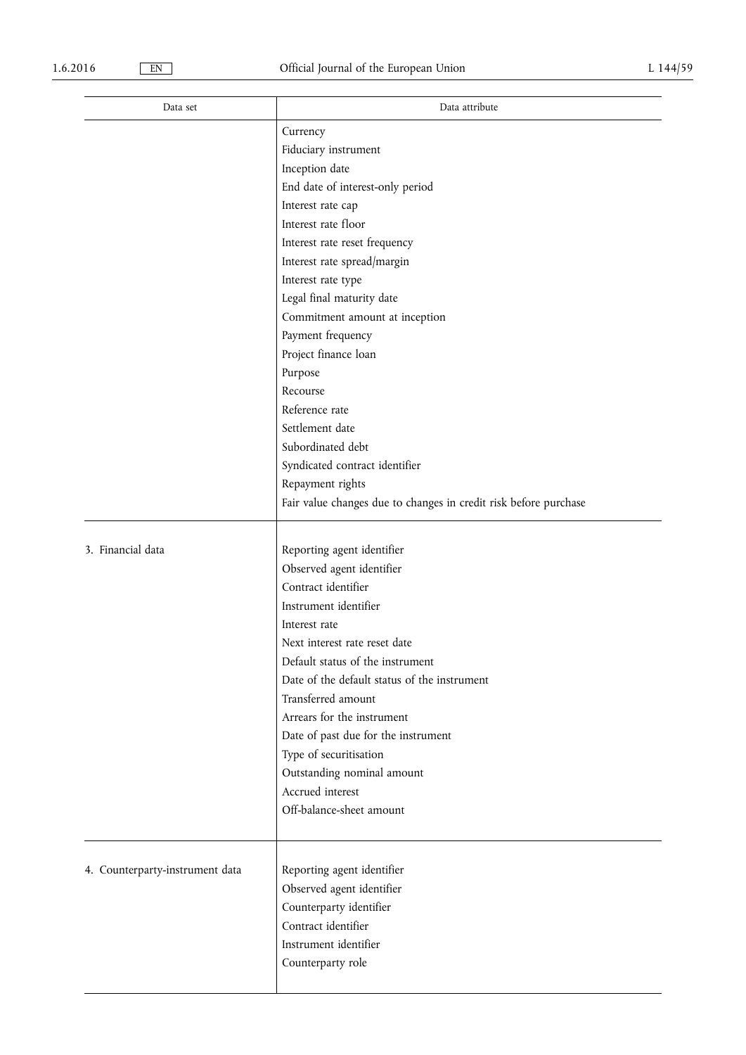| Data set                        | Data attribute                                                   |
|---------------------------------|------------------------------------------------------------------|
|                                 | Currency                                                         |
|                                 | Fiduciary instrument                                             |
|                                 | Inception date                                                   |
|                                 | End date of interest-only period                                 |
|                                 | Interest rate cap                                                |
|                                 | Interest rate floor                                              |
|                                 | Interest rate reset frequency                                    |
|                                 | Interest rate spread/margin                                      |
|                                 | Interest rate type                                               |
|                                 | Legal final maturity date                                        |
|                                 | Commitment amount at inception                                   |
|                                 | Payment frequency                                                |
|                                 | Project finance loan                                             |
|                                 | Purpose                                                          |
|                                 | Recourse                                                         |
|                                 | Reference rate                                                   |
|                                 | Settlement date                                                  |
|                                 | Subordinated debt                                                |
|                                 | Syndicated contract identifier                                   |
|                                 | Repayment rights                                                 |
|                                 | Fair value changes due to changes in credit risk before purchase |
| 3. Financial data               | Reporting agent identifier                                       |
|                                 | Observed agent identifier                                        |
|                                 | Contract identifier                                              |
|                                 | Instrument identifier                                            |
|                                 | Interest rate                                                    |
|                                 | Next interest rate reset date                                    |
|                                 | Default status of the instrument                                 |
|                                 | Date of the default status of the instrument                     |
|                                 | Transferred amount                                               |
|                                 | Arrears for the instrument                                       |
|                                 | Date of past due for the instrument                              |
|                                 | Type of securitisation                                           |
|                                 | Outstanding nominal amount                                       |
|                                 | Accrued interest                                                 |
|                                 | Off-balance-sheet amount                                         |
|                                 |                                                                  |
| 4. Counterparty-instrument data | Reporting agent identifier                                       |
|                                 | Observed agent identifier                                        |
|                                 | Counterparty identifier                                          |
|                                 | Contract identifier                                              |
|                                 | Instrument identifier                                            |
|                                 | Counterparty role                                                |
|                                 |                                                                  |

 $\blacksquare$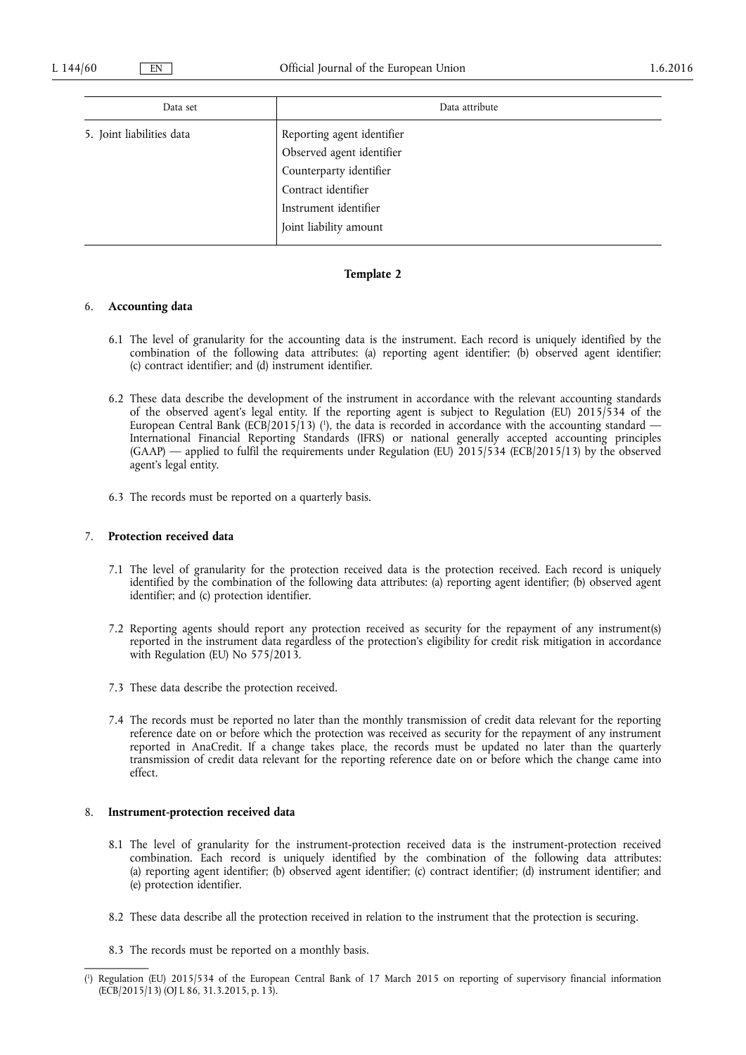| Data set                  | Data attribute                                                                                                                                               |
|---------------------------|--------------------------------------------------------------------------------------------------------------------------------------------------------------|
| 5. Joint liabilities data | Reporting agent identifier<br>Observed agent identifier<br>Counterparty identifier<br>Contract identifier<br>Instrument identifier<br>Joint liability amount |

#### **Template 2**

#### 6. **Accounting data**

- 6.1 The level of granularity for the accounting data is the instrument. Each record is uniquely identified by the combination of the following data attributes: (a) reporting agent identifier; (b) observed agent identifier; (c) contract identifier; and (d) instrument identifier.
- 6.2 These data describe the development of the instrument in accordance with the relevant accounting standards of the observed agent's legal entity. If the reporting agent is subject to Regulation (EU) 2015/534 of the European Central Bank (ECB/2015/13) ( 1 ), the data is recorded in accordance with the accounting standard — International Financial Reporting Standards (IFRS) or national generally accepted accounting principles (GAAP) — applied to fulfil the requirements under Regulation (EU) 2015/534 (ECB/2015/13) by the observed agent's legal entity.
- 6.3 The records must be reported on a quarterly basis.

#### 7. **Protection received data**

- 7.1 The level of granularity for the protection received data is the protection received. Each record is uniquely identified by the combination of the following data attributes: (a) reporting agent identifier; (b) observed agent identifier; and (c) protection identifier.
- 7.2 Reporting agents should report any protection received as security for the repayment of any instrument(s) reported in the instrument data regardless of the protection's eligibility for credit risk mitigation in accordance with Regulation (EU) No 575/2013.
- 7.3 These data describe the protection received.
- 7.4 The records must be reported no later than the monthly transmission of credit data relevant for the reporting reference date on or before which the protection was received as security for the repayment of any instrument reported in AnaCredit. If a change takes place, the records must be updated no later than the quarterly transmission of credit data relevant for the reporting reference date on or before which the change came into effect.

#### 8. **Instrument-protection received data**

- 8.1 The level of granularity for the instrument-protection received data is the instrument-protection received combination. Each record is uniquely identified by the combination of the following data attributes: (a) reporting agent identifier; (b) observed agent identifier; (c) contract identifier; (d) instrument identifier; and (e) protection identifier.
- 8.2 These data describe all the protection received in relation to the instrument that the protection is securing.
- 8.3 The records must be reported on a monthly basis.

<sup>(</sup> 1 ) Regulation (EU) 2015/534 of the European Central Bank of 17 March 2015 on reporting of supervisory financial information (ECB/2015/13) (OJ L 86, 31.3.2015, p. 13).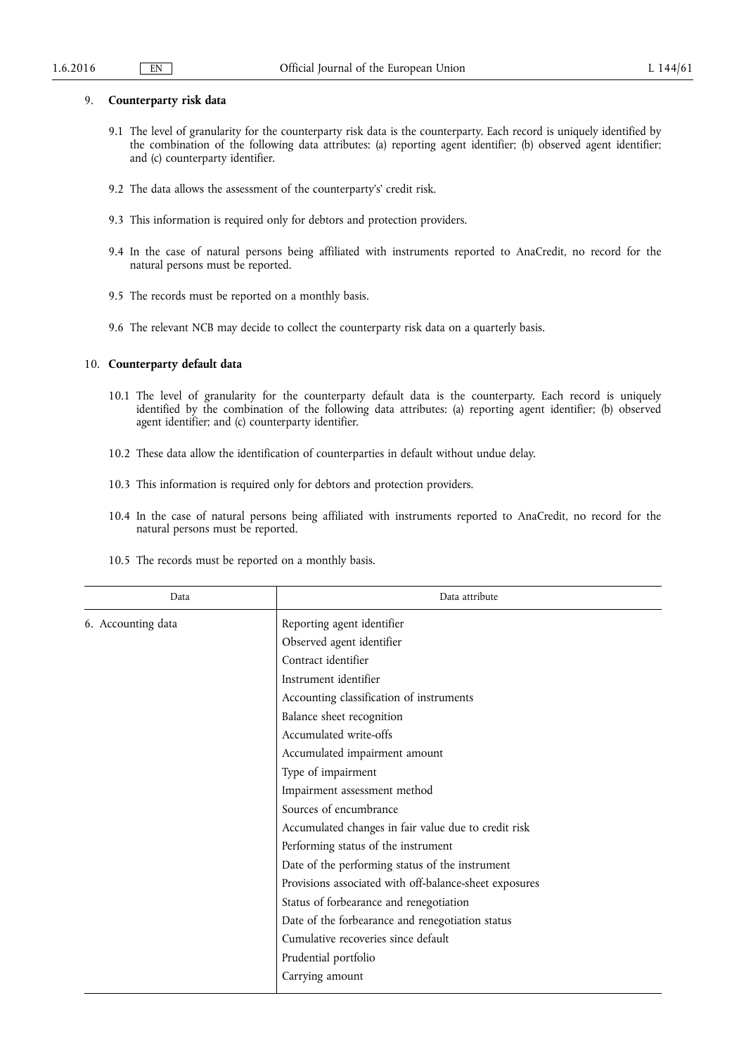### 9. **Counterparty risk data**

- 9.1 The level of granularity for the counterparty risk data is the counterparty. Each record is uniquely identified by the combination of the following data attributes: (a) reporting agent identifier; (b) observed agent identifier; and (c) counterparty identifier.
- 9.2 The data allows the assessment of the counterparty's' credit risk.
- 9.3 This information is required only for debtors and protection providers.
- 9.4 In the case of natural persons being affiliated with instruments reported to AnaCredit, no record for the natural persons must be reported.
- 9.5 The records must be reported on a monthly basis.
- 9.6 The relevant NCB may decide to collect the counterparty risk data on a quarterly basis.

#### 10. **Counterparty default data**

- 10.1 The level of granularity for the counterparty default data is the counterparty. Each record is uniquely identified by the combination of the following data attributes: (a) reporting agent identifier; (b) observed agent identifier; and (c) counterparty identifier.
- 10.2 These data allow the identification of counterparties in default without undue delay.
- 10.3 This information is required only for debtors and protection providers.
- 10.4 In the case of natural persons being affiliated with instruments reported to AnaCredit, no record for the natural persons must be reported.
- 10.5 The records must be reported on a monthly basis.

| Data               | Data attribute                                         |  |  |  |  |  |  |  |  |  |
|--------------------|--------------------------------------------------------|--|--|--|--|--|--|--|--|--|
| 6. Accounting data | Reporting agent identifier                             |  |  |  |  |  |  |  |  |  |
|                    | Observed agent identifier                              |  |  |  |  |  |  |  |  |  |
|                    | Contract identifier                                    |  |  |  |  |  |  |  |  |  |
|                    | Instrument identifier                                  |  |  |  |  |  |  |  |  |  |
|                    | Accounting classification of instruments               |  |  |  |  |  |  |  |  |  |
|                    | Balance sheet recognition                              |  |  |  |  |  |  |  |  |  |
|                    | Accumulated write-offs                                 |  |  |  |  |  |  |  |  |  |
|                    | Accumulated impairment amount                          |  |  |  |  |  |  |  |  |  |
|                    | Type of impairment                                     |  |  |  |  |  |  |  |  |  |
|                    | Impairment assessment method                           |  |  |  |  |  |  |  |  |  |
|                    | Sources of encumbrance                                 |  |  |  |  |  |  |  |  |  |
|                    | Accumulated changes in fair value due to credit risk   |  |  |  |  |  |  |  |  |  |
|                    | Performing status of the instrument                    |  |  |  |  |  |  |  |  |  |
|                    | Date of the performing status of the instrument        |  |  |  |  |  |  |  |  |  |
|                    | Provisions associated with off-balance-sheet exposures |  |  |  |  |  |  |  |  |  |
|                    | Status of forbearance and renegotiation                |  |  |  |  |  |  |  |  |  |
|                    | Date of the forbearance and renegotiation status       |  |  |  |  |  |  |  |  |  |
|                    | Cumulative recoveries since default                    |  |  |  |  |  |  |  |  |  |
|                    | Prudential portfolio                                   |  |  |  |  |  |  |  |  |  |
|                    | Carrying amount                                        |  |  |  |  |  |  |  |  |  |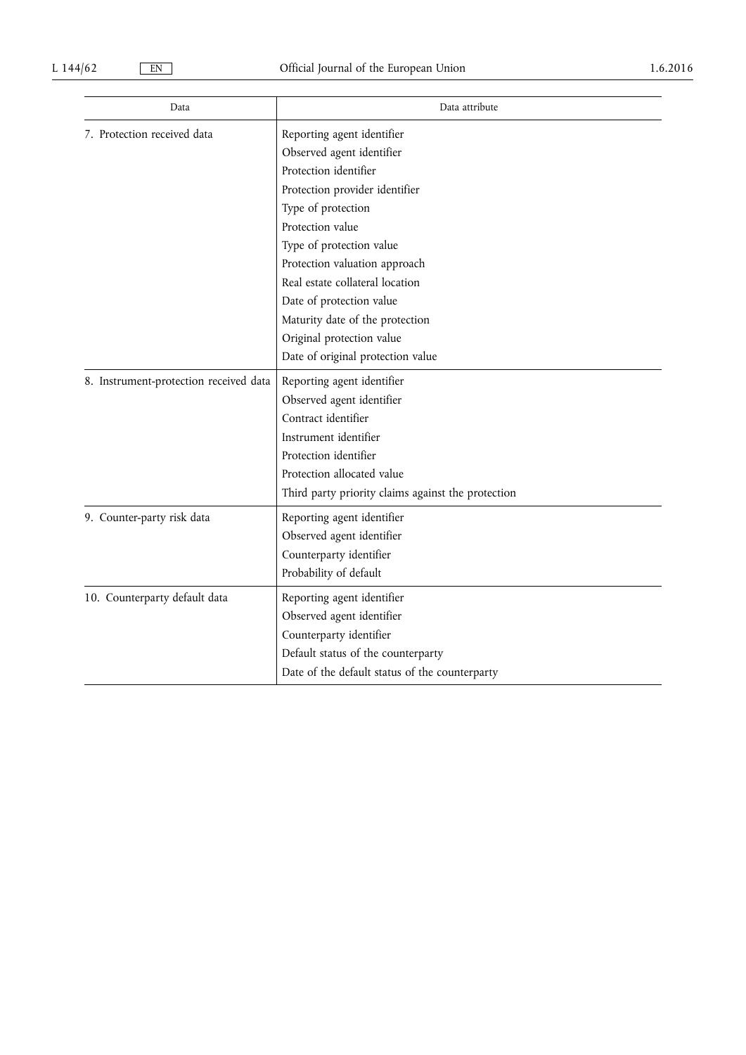| Data                                   | Data attribute                                                                                                                                                                                                       |  |  |  |  |  |
|----------------------------------------|----------------------------------------------------------------------------------------------------------------------------------------------------------------------------------------------------------------------|--|--|--|--|--|
| 7. Protection received data            | Reporting agent identifier<br>Observed agent identifier<br>Protection identifier<br>Protection provider identifier<br>Type of protection<br>Protection value<br>Type of protection value                             |  |  |  |  |  |
|                                        | Protection valuation approach<br>Real estate collateral location<br>Date of protection value<br>Maturity date of the protection<br>Original protection value<br>Date of original protection value                    |  |  |  |  |  |
| 8. Instrument-protection received data | Reporting agent identifier<br>Observed agent identifier<br>Contract identifier<br>Instrument identifier<br>Protection identifier<br>Protection allocated value<br>Third party priority claims against the protection |  |  |  |  |  |
| 9. Counter-party risk data             | Reporting agent identifier<br>Observed agent identifier<br>Counterparty identifier<br>Probability of default                                                                                                         |  |  |  |  |  |
| 10. Counterparty default data          | Reporting agent identifier<br>Observed agent identifier<br>Counterparty identifier<br>Default status of the counterparty<br>Date of the default status of the counterparty                                           |  |  |  |  |  |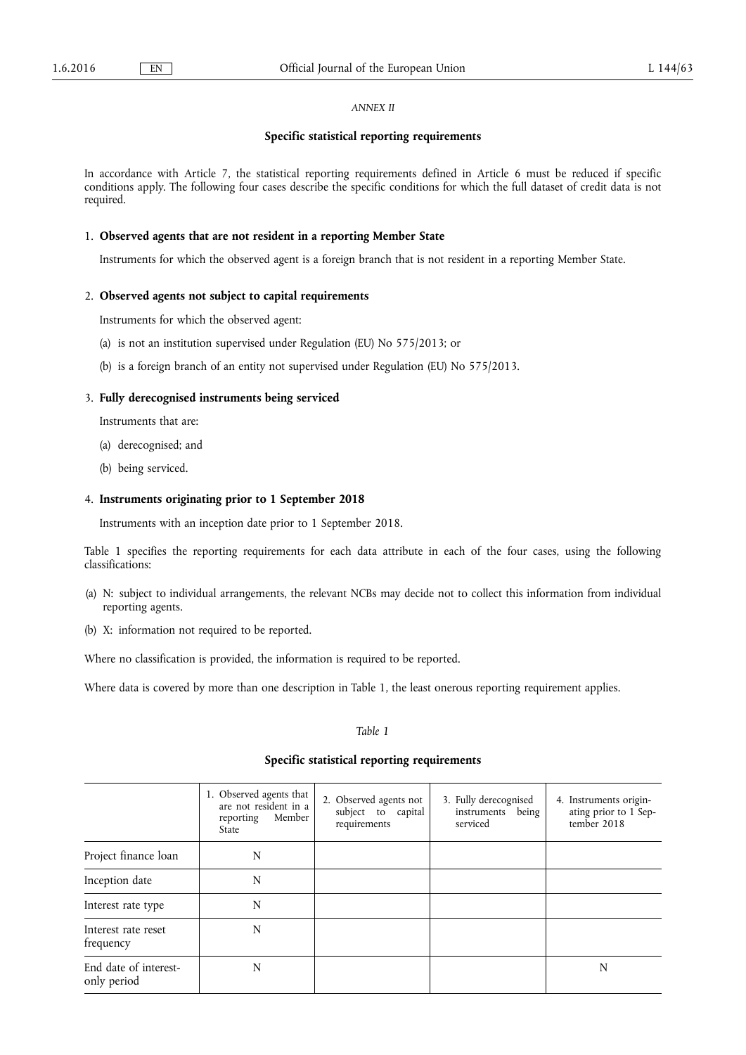### *ANNEX II*

#### **Specific statistical reporting requirements**

In accordance with Article 7, the statistical reporting requirements defined in Article 6 must be reduced if specific conditions apply. The following four cases describe the specific conditions for which the full dataset of credit data is not required.

#### 1. **Observed agents that are not resident in a reporting Member State**

Instruments for which the observed agent is a foreign branch that is not resident in a reporting Member State.

### 2. **Observed agents not subject to capital requirements**

Instruments for which the observed agent:

- (a) is not an institution supervised under Regulation (EU) No 575/2013; or
- (b) is a foreign branch of an entity not supervised under Regulation (EU) No 575/2013.

#### 3. **Fully derecognised instruments being serviced**

Instruments that are:

- (a) derecognised; and
- (b) being serviced.

#### 4. **Instruments originating prior to 1 September 2018**

Instruments with an inception date prior to 1 September 2018.

Table 1 specifies the reporting requirements for each data attribute in each of the four cases, using the following classifications:

- (a) N: subject to individual arrangements, the relevant NCBs may decide not to collect this information from individual reporting agents.
- (b) X: information not required to be reported.

Where no classification is provided, the information is required to be reported.

Where data is covered by more than one description in Table 1, the least onerous reporting requirement applies.

#### *Table 1*

### **Specific statistical reporting requirements**

|                                      | 1. Observed agents that<br>are not resident in a<br>Member<br>reporting<br>State | 2. Observed agents not<br>subject to capital<br>requirements | 3. Fully derecognised<br>instruments being<br>serviced | 4. Instruments origin-<br>ating prior to 1 Sep-<br>tember 2018 |
|--------------------------------------|----------------------------------------------------------------------------------|--------------------------------------------------------------|--------------------------------------------------------|----------------------------------------------------------------|
| Project finance loan                 | N                                                                                |                                                              |                                                        |                                                                |
| Inception date                       | N                                                                                |                                                              |                                                        |                                                                |
| Interest rate type                   | N                                                                                |                                                              |                                                        |                                                                |
| Interest rate reset<br>frequency     | N                                                                                |                                                              |                                                        |                                                                |
| End date of interest-<br>only period | N                                                                                |                                                              |                                                        | N                                                              |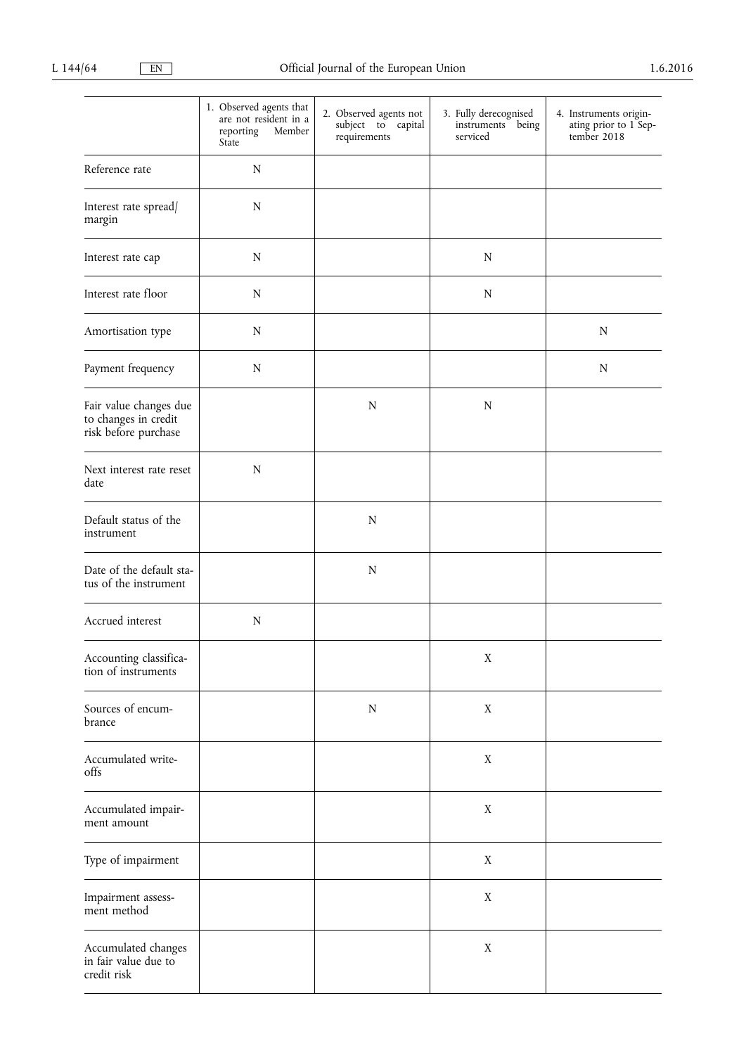|                                                                        | 1. Observed agents that<br>are not resident in a<br>Member<br>reporting<br>State | 2. Observed agents not<br>subject to capital<br>requirements | 3. Fully derecognised<br>instruments being<br>serviced | 4. Instruments origin-<br>ating prior to 1 Sep-<br>tember 2018 |
|------------------------------------------------------------------------|----------------------------------------------------------------------------------|--------------------------------------------------------------|--------------------------------------------------------|----------------------------------------------------------------|
| Reference rate                                                         | ${\bf N}$                                                                        |                                                              |                                                        |                                                                |
| Interest rate spread/<br>margin                                        | $\mathbf N$                                                                      |                                                              |                                                        |                                                                |
| Interest rate cap                                                      | ${\bf N}$                                                                        |                                                              | $\mathbf N$                                            |                                                                |
| Interest rate floor                                                    | N                                                                                |                                                              | $\mathbf N$                                            |                                                                |
| Amortisation type                                                      | ${\bf N}$                                                                        |                                                              |                                                        | ${\bf N}$                                                      |
| Payment frequency                                                      | $\mathbf N$                                                                      |                                                              |                                                        | ${\bf N}$                                                      |
| Fair value changes due<br>to changes in credit<br>risk before purchase |                                                                                  | $\mathbf N$                                                  | ${\bf N}$                                              |                                                                |
| Next interest rate reset<br>date                                       | $\mathbf N$                                                                      |                                                              |                                                        |                                                                |
| Default status of the<br>instrument                                    |                                                                                  | $\mathbb N$                                                  |                                                        |                                                                |
| Date of the default sta-<br>tus of the instrument                      |                                                                                  | ${\bf N}$                                                    |                                                        |                                                                |
| Accrued interest                                                       | $\mathbf N$                                                                      |                                                              |                                                        |                                                                |
| Accounting classifica-<br>tion of instruments                          |                                                                                  |                                                              | $\mathbf X$                                            |                                                                |
| Sources of encum-<br>brance                                            |                                                                                  | ${\bf N}$                                                    | $\mathbf X$                                            |                                                                |
| Accumulated write-<br>offs                                             |                                                                                  |                                                              | $\mathbf X$                                            |                                                                |
| Accumulated impair-<br>ment amount                                     |                                                                                  |                                                              | $\mathbf X$                                            |                                                                |
| Type of impairment                                                     |                                                                                  |                                                              | $\mathbf X$                                            |                                                                |
| Impairment assess-<br>ment method                                      |                                                                                  |                                                              | $\mathbf X$                                            |                                                                |
| Accumulated changes<br>in fair value due to<br>credit risk             |                                                                                  |                                                              | $\mathbf X$                                            |                                                                |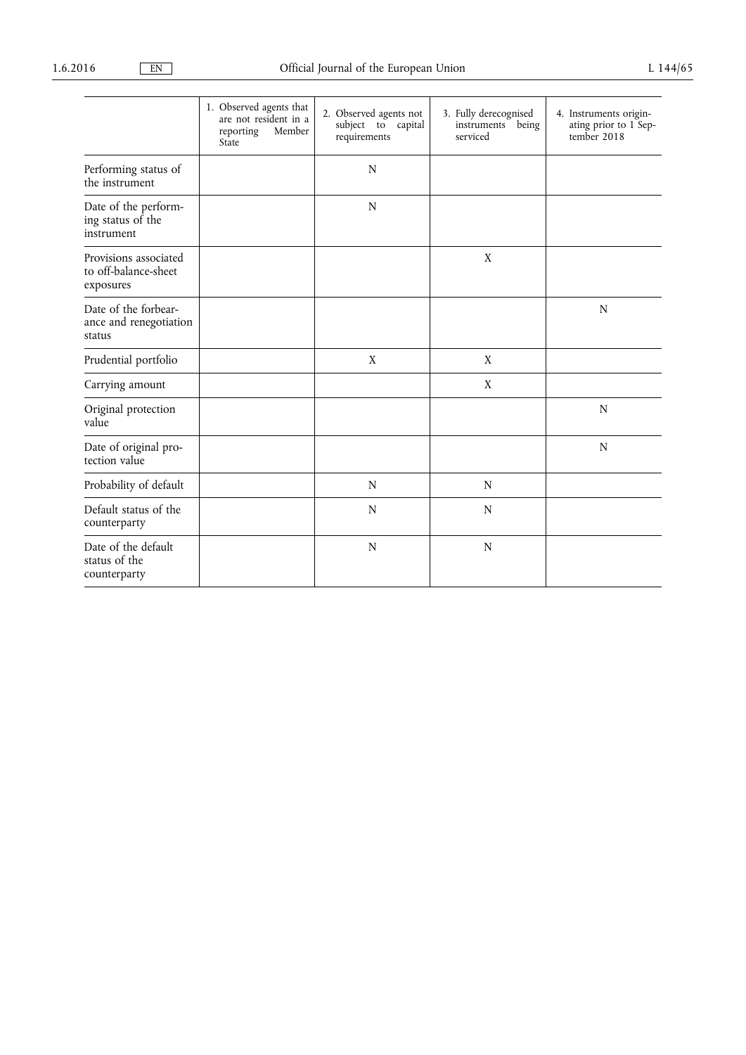|                                                            | 1. Observed agents that<br>are not resident in a<br>Member<br>reporting<br>State | 2. Observed agents not<br>subject to capital<br>requirements | 3. Fully derecognised<br>instruments<br>being<br>serviced | 4. Instruments origin-<br>ating prior to 1 Sep-<br>tember 2018 |
|------------------------------------------------------------|----------------------------------------------------------------------------------|--------------------------------------------------------------|-----------------------------------------------------------|----------------------------------------------------------------|
| Performing status of<br>the instrument                     |                                                                                  | N                                                            |                                                           |                                                                |
| Date of the perform-<br>ing status of the<br>instrument    |                                                                                  | N                                                            |                                                           |                                                                |
| Provisions associated<br>to off-balance-sheet<br>exposures |                                                                                  |                                                              | X                                                         |                                                                |
| Date of the forbear-<br>ance and renegotiation<br>status   |                                                                                  |                                                              |                                                           | $\mathbf N$                                                    |
| Prudential portfolio                                       |                                                                                  | X                                                            | X                                                         |                                                                |
| Carrying amount                                            |                                                                                  |                                                              | X                                                         |                                                                |
| Original protection<br>value                               |                                                                                  |                                                              |                                                           | $\mathbf N$                                                    |
| Date of original pro-<br>tection value                     |                                                                                  |                                                              |                                                           | ${\bf N}$                                                      |
| Probability of default                                     |                                                                                  | N                                                            | N                                                         |                                                                |
| Default status of the<br>counterparty                      |                                                                                  | N                                                            | N                                                         |                                                                |
| Date of the default<br>status of the<br>counterparty       |                                                                                  | N                                                            | N                                                         |                                                                |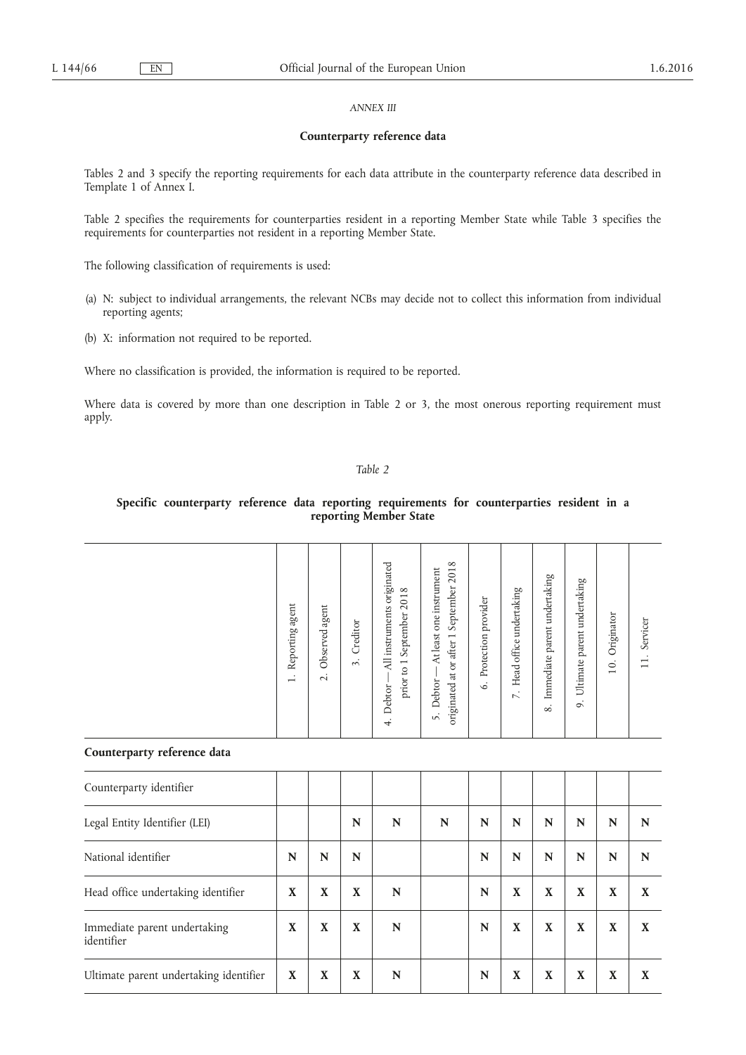#### *ANNEX III*

#### **Counterparty reference data**

Tables 2 and 3 specify the reporting requirements for each data attribute in the counterparty reference data described in Template 1 of Annex I.

Table 2 specifies the requirements for counterparties resident in a reporting Member State while Table 3 specifies the requirements for counterparties not resident in a reporting Member State.

The following classification of requirements is used:

- (a) N: subject to individual arrangements, the relevant NCBs may decide not to collect this information from individual reporting agents;
- (b) X: information not required to be reported.

Where no classification is provided, the information is required to be reported.

Where data is covered by more than one description in Table 2 or 3, the most onerous reporting requirement must apply.

### *Table 2*

#### **Specific counterparty reference data reporting requirements for counterparties resident in a reporting Member State**

| All instruments originated<br>2018<br>$-At$ least one instrument<br>Immediate parent undertaking<br>Ultimate parent undertaking<br>September<br>Head office undertaking<br>prior to 1 September 2018 |
|------------------------------------------------------------------------------------------------------------------------------------------------------------------------------------------------------|
|------------------------------------------------------------------------------------------------------------------------------------------------------------------------------------------------------|

#### **Counterparty reference data**

| Counterparty identifier                    |   |   |   |   |   |   |   |              |   |   |   |
|--------------------------------------------|---|---|---|---|---|---|---|--------------|---|---|---|
| Legal Entity Identifier (LEI)              |   |   | N | N | N | N | N | N            | N | N | N |
| National identifier                        | N | N | N |   |   | N | N | N            | N | N | N |
| Head office undertaking identifier         | X | X | X | N |   | N | X | X            | X | X | X |
| Immediate parent undertaking<br>identifier | X | X | X | N |   | N | X | X            | X | X | X |
| Ultimate parent undertaking identifier     | X | X | X | N |   | N | X | $\mathbf{X}$ | X | X | X |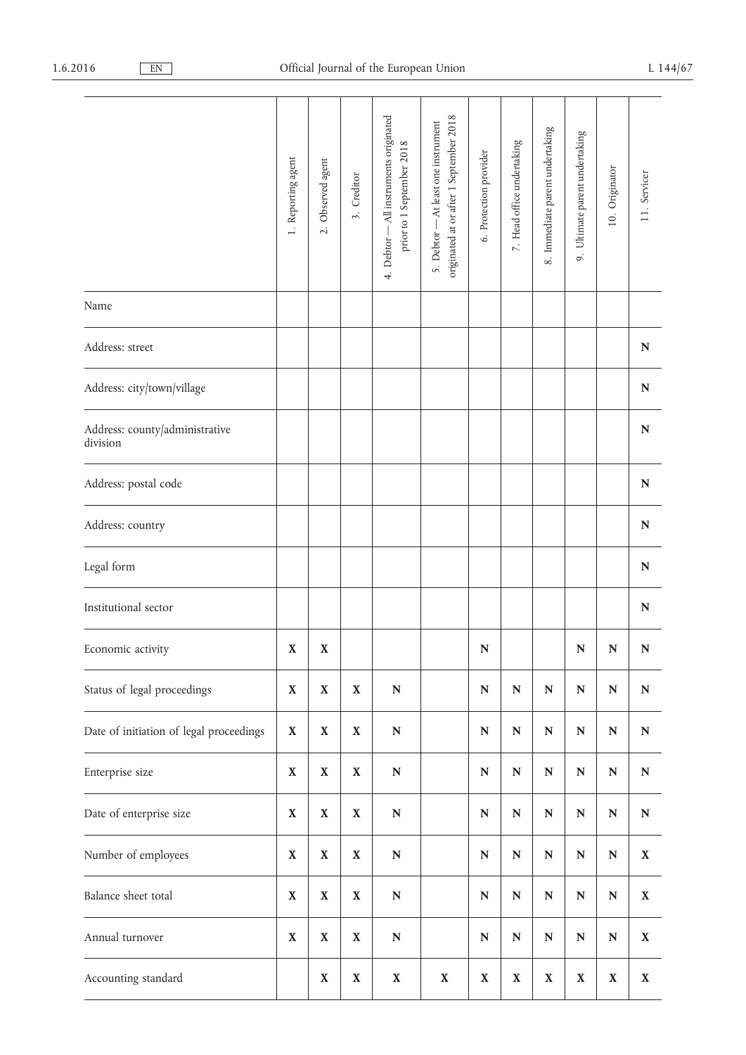|                                            | 1. Reporting agent        | Observed agent<br>$\overline{\mathcal{L}}$ | Creditor<br>$\ddot{\mathcal{L}}$ | 4. Debtor — All instruments originated<br>prior to 1 September 2018 | originated at or after 1 September 2018<br>5. Debtor — At least one instrument | 6. Protection provider | 7. Head office undertaking | 8. Immediate parent undertaking | 9. Ultimate parent undertaking | 10. Originator | 11. Servicer |
|--------------------------------------------|---------------------------|--------------------------------------------|----------------------------------|---------------------------------------------------------------------|--------------------------------------------------------------------------------|------------------------|----------------------------|---------------------------------|--------------------------------|----------------|--------------|
| Name                                       |                           |                                            |                                  |                                                                     |                                                                                |                        |                            |                                 |                                |                |              |
| Address: street                            |                           |                                            |                                  |                                                                     |                                                                                |                        |                            |                                 |                                |                | $\mathbb N$  |
| Address: city/town/village                 |                           |                                            |                                  |                                                                     |                                                                                |                        |                            |                                 |                                |                | $\mathbb N$  |
| Address: county/administrative<br>division |                           |                                            |                                  |                                                                     |                                                                                |                        |                            |                                 |                                |                | $\mathbf N$  |
| Address: postal code                       |                           |                                            |                                  |                                                                     |                                                                                |                        |                            |                                 |                                |                | $\mathbf N$  |
| Address: country                           |                           |                                            |                                  |                                                                     |                                                                                |                        |                            |                                 |                                |                | $\mathbb N$  |
| Legal form                                 |                           |                                            |                                  |                                                                     |                                                                                |                        |                            |                                 |                                |                | $\mathbb N$  |
| Institutional sector                       |                           |                                            |                                  |                                                                     |                                                                                |                        |                            |                                 |                                |                | $\mathbb N$  |
| Economic activity                          | $\boldsymbol{\mathrm{X}}$ | $\boldsymbol{\mathrm{X}}$                  |                                  |                                                                     |                                                                                | $\mathbb N$            |                            |                                 | $\mathbb N$                    | N              | $\mathbb N$  |
| Status of legal proceedings                | $\mathbf X$               | $\mathbf X$                                | $\mathbf X$                      | ${\bf N}$                                                           |                                                                                | ${\bf N}$              | ${\bf N}$                  | ${\bf N}$                       | ${\bf N}$                      | ${\bf N}$      | ${\bf N}$    |
| Date of initiation of legal proceedings    | $\mathbf X$               | $\mathbf X$                                | $\mathbf X$                      | ${\bf N}$                                                           |                                                                                | ${\bf N}$              | ${\bf N}$                  | ${\bf N}$                       | ${\bf N}$                      | ${\bf N}$      | ${\bf N}$    |
| Enterprise size                            | $\mathbf X$               | $\mathbf X$                                | $\mathbf X$                      | $\mathbf N$                                                         |                                                                                | ${\bf N}$              | ${\bf N}$                  | ${\bf N}$                       | ${\bf N}$                      | ${\bf N}$      | ${\bf N}$    |
| Date of enterprise size                    | $\mathbf X$               | $\mathbf X$                                | $\mathbf X$                      | ${\bf N}$                                                           |                                                                                | ${\bf N}$              | ${\bf N}$                  | ${\bf N}$                       | ${\bf N}$                      | ${\bf N}$      | ${\bf N}$    |
| Number of employees                        | $\mathbf X$               | $\mathbf X$                                | $\mathbf X$                      | ${\bf N}$                                                           |                                                                                | ${\bf N}$              | ${\bf N}$                  | ${\bf N}$                       | ${\bf N}$                      | ${\bf N}$      | $\mathbf X$  |
| Balance sheet total                        | $\boldsymbol{\mathrm{X}}$ | $\mathbf X$                                | $\mathbf X$                      | ${\bf N}$                                                           |                                                                                | ${\bf N}$              | ${\bf N}$                  | ${\bf N}$                       | $\mathbb N$                    | ${\bf N}$      | $\mathbf X$  |
| Annual turnover                            | $\mathbf X$               | $\mathbf X$                                | $\mathbf X$                      | ${\bf N}$                                                           |                                                                                | ${\bf N}$              | ${\bf N}$                  | ${\bf N}$                       | $\mathbb N$                    | ${\bf N}$      | $\mathbf X$  |
| Accounting standard                        |                           | $\mathbf X$                                | $\mathbf X$                      | $\mathbf X$                                                         | $\mathbf X$                                                                    | $\mathbf X$            | $\boldsymbol{\mathrm{X}}$  | $\mathbf X$                     | $\mathbf X$                    | $\mathbf X$    | $\mathbf X$  |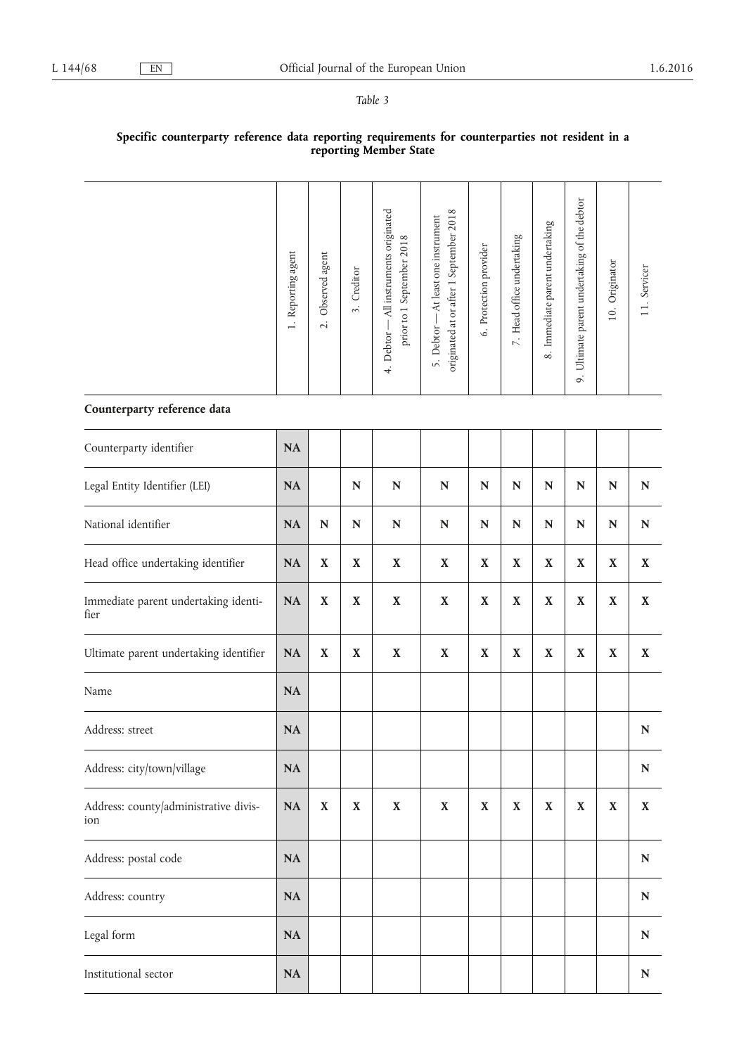### *Table 3*

#### **Specific counterparty reference data reporting requirements for counterparties not resident in a reporting Member State**

|                                              | 1. Reporting agent | Observed agent<br>$\overline{\mathcal{L}}$ | Creditor<br>$\ddot{\mathcal{L}}$ | 4. Debtor — All instruments originated<br>prior to 1 September 2018 | originated at or after 1 September 2018<br>5. Debtor - At least one instrument | 6. Protection provider | 7. Head office undertaking | 8. Immediate parent undertaking | 9. Ultimate parent undertaking of the debtor | 10. Originator | 11. Servicer |
|----------------------------------------------|--------------------|--------------------------------------------|----------------------------------|---------------------------------------------------------------------|--------------------------------------------------------------------------------|------------------------|----------------------------|---------------------------------|----------------------------------------------|----------------|--------------|
| Counterparty reference data                  |                    |                                            |                                  |                                                                     |                                                                                |                        |                            |                                 |                                              |                |              |
| Counterparty identifier<br><b>NA</b>         |                    |                                            |                                  |                                                                     |                                                                                |                        |                            |                                 |                                              |                |              |
| Legal Entity Identifier (LEI)                | <b>NA</b>          |                                            | ${\bf N}$                        | ${\bf N}$                                                           | N                                                                              | ${\bf N}$              | ${\bf N}$                  | ${\bf N}$                       | $\mathbb N$                                  | ${\bf N}$      | ${\bf N}$    |
| National identifier                          | <b>NA</b>          | ${\bf N}$                                  | ${\bf N}$                        | ${\bf N}$                                                           | ${\bf N}$                                                                      | ${\bf N}$              | ${\bf N}$                  | ${\bf N}$                       | $\mathbb N$                                  | ${\bf N}$      | ${\bf N}$    |
| Head office undertaking identifier           | <b>NA</b>          | X                                          | $\mathbf X$                      | $\mathbf X$                                                         | $\mathbf X$                                                                    | $\mathbf X$            | $\mathbf X$                | $\mathbf X$                     | $\mathbf X$                                  | $\mathbf X$    | $\mathbf X$  |
| Immediate parent undertaking identi-<br>fier | <b>NA</b>          | X                                          | $\mathbf X$                      | $\mathbf X$                                                         | $\mathbf X$                                                                    | $\mathbf X$            | $\mathbf X$                | $\mathbf X$                     | $\mathbf X$                                  | $\mathbf X$    | $\mathbf X$  |
| Ultimate parent undertaking identifier       | <b>NA</b>          | $\mathbf X$                                | $\mathbf X$                      | $\mathbf X$                                                         | $\mathbf X$                                                                    | $\mathbf X$            | $\mathbf X$                | $\mathbf X$                     | $\mathbf X$                                  | $\mathbf X$    | $\mathbf X$  |
| Name                                         | <b>NA</b>          |                                            |                                  |                                                                     |                                                                                |                        |                            |                                 |                                              |                |              |
| Address: street                              | NA                 |                                            |                                  |                                                                     |                                                                                |                        |                            |                                 |                                              |                | $\mathbb N$  |
| Address: city/town/village                   | NA                 |                                            |                                  |                                                                     |                                                                                |                        |                            |                                 |                                              |                | $\mathbf N$  |
| Address: county/administrative divis-<br>ion | NA                 | $\mathbf X$                                | $\mathbf X$                      | $\mathbf X$                                                         | $\mathbf X$                                                                    | $\mathbf X$            | $\mathbf X$                | $\mathbf X$                     | $\mathbf X$                                  | $\mathbf X$    | $\mathbf X$  |
| Address: postal code                         | NA                 |                                            |                                  |                                                                     |                                                                                |                        |                            |                                 |                                              |                | ${\bf N}$    |
| Address: country                             | NA                 |                                            |                                  |                                                                     |                                                                                |                        |                            |                                 |                                              |                | $\mathbb N$  |
| Legal form                                   | NA                 |                                            |                                  |                                                                     |                                                                                |                        |                            |                                 |                                              |                | $\mathbb N$  |
| Institutional sector                         | NA                 |                                            |                                  |                                                                     |                                                                                |                        |                            |                                 |                                              |                | ${\bf N}$    |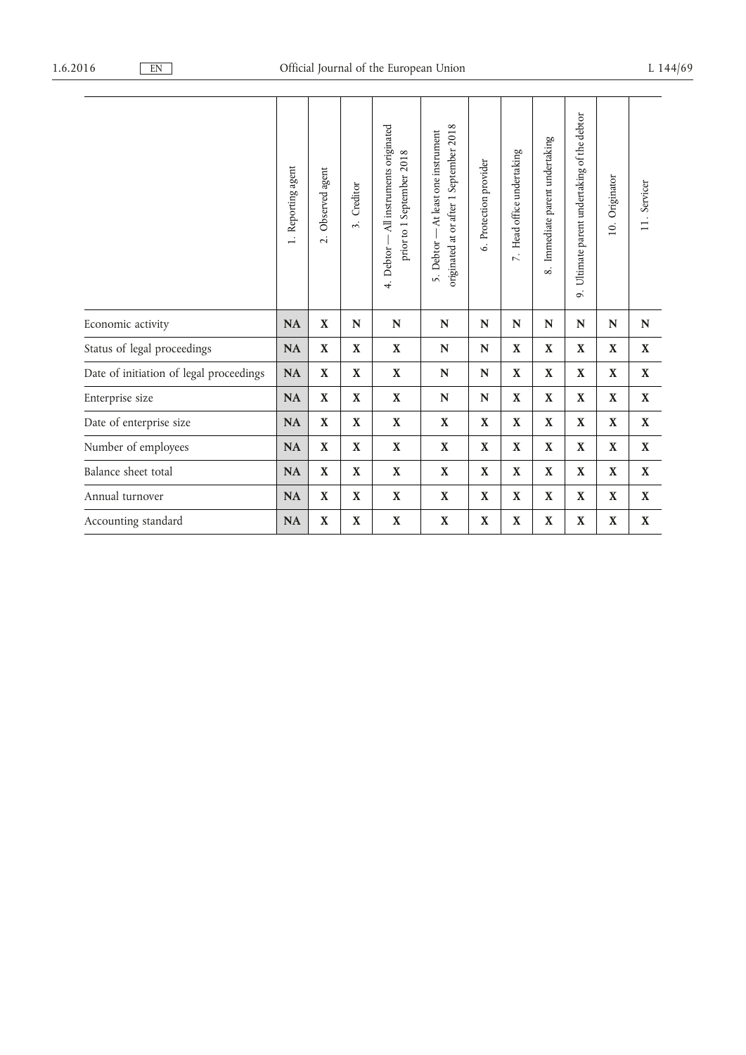|                                         | Reporting agent<br>$\overline{a}$ | Observed agent<br>$\overline{\mathcal{N}}$ | Creditor<br>$\ddot{ }$ | All instruments originated<br>prior to 1 September 2018<br>Debtor-<br>$\ddot{ }$ | originated at or after 1 September 2018<br>At least one instrument<br>Debtor-<br>5. | 6. Protection provider | 7. Head office undertaking | 8. Immediate parent undertaking | Ultimate parent undertaking of the debtor<br>$\ddot{\circ}$ | Originator<br>10.         | 11. Servicer            |
|-----------------------------------------|-----------------------------------|--------------------------------------------|------------------------|----------------------------------------------------------------------------------|-------------------------------------------------------------------------------------|------------------------|----------------------------|---------------------------------|-------------------------------------------------------------|---------------------------|-------------------------|
| Economic activity                       | <b>NA</b>                         | $\mathbf X$                                | $\mathbb N$            | $\mathbb N$                                                                      | $\mathbb{N}$                                                                        | $\mathbb N$            | N                          | $\mathbb N$                     | $\mathbb N$                                                 | $\mathbb N$               | $\mathbb N$             |
| Status of legal proceedings             | NA                                | $\mathbf X$                                | $\mathbf X$            | $\mathbf X$                                                                      | ${\bf N}$                                                                           | ${\bf N}$              | $\mathbf X$                | $\mathbf{X}$                    | $\mathbf X$                                                 | $\mathbf X$               | $\mathbf X$             |
| Date of initiation of legal proceedings | <b>NA</b>                         | $\mathbf X$                                | $\mathbf X$            | $\mathbf X$                                                                      | ${\bf N}$                                                                           | ${\bf N}$              | $\mathbf X$                | $\mathbf X$                     | $\mathbf X$                                                 | $\mathbf X$               | $\mathbf X$             |
| Enterprise size                         | <b>NA</b>                         | X                                          | X                      | X                                                                                | N                                                                                   | $\mathbb N$            | X                          | X                               | X                                                           | X                         | X                       |
| Date of enterprise size                 | NA                                | $\mathbf X$                                | $\mathbf X$            | $\mathbf X$                                                                      | $\mathbf X$                                                                         | $\mathbf X$            | $\mathbf X$                | $\mathbf X$                     | $\mathbf X$                                                 | $\mathbf X$               | $\mathbf X$             |
| Number of employees                     | <b>NA</b>                         | $\mathbf X$                                | $\mathbf X$            | X                                                                                | X                                                                                   | $\mathbf X$            | $\mathbf X$                | $\mathbf X$                     | $\mathbf X$                                                 | $\mathbf X$               | $\mathbf X$             |
| Balance sheet total                     | <b>NA</b>                         | $\mathbf X$                                | $\mathbf X$            | X                                                                                | $\mathbf X$                                                                         | $\mathbf X$            | $\mathbf X$                | $\mathbf X$                     | $\mathbf X$                                                 | $\mathbf X$               | $\mathbf X$             |
| Annual turnover                         | <b>NA</b>                         | X                                          | X                      | X                                                                                | X                                                                                   | X                      | X                          | X                               | X                                                           | X                         | X                       |
| Accounting standard                     | <b>NA</b>                         | $\bf{X}$                                   | $\mathbf X$            | $\mathbf X$                                                                      | $\mathbf X$                                                                         | $\mathbf X$            | $\mathbf X$                | $\mathbf X$                     | $\mathbf X$                                                 | $\boldsymbol{\mathrm{X}}$ | $\overline{\mathbf{X}}$ |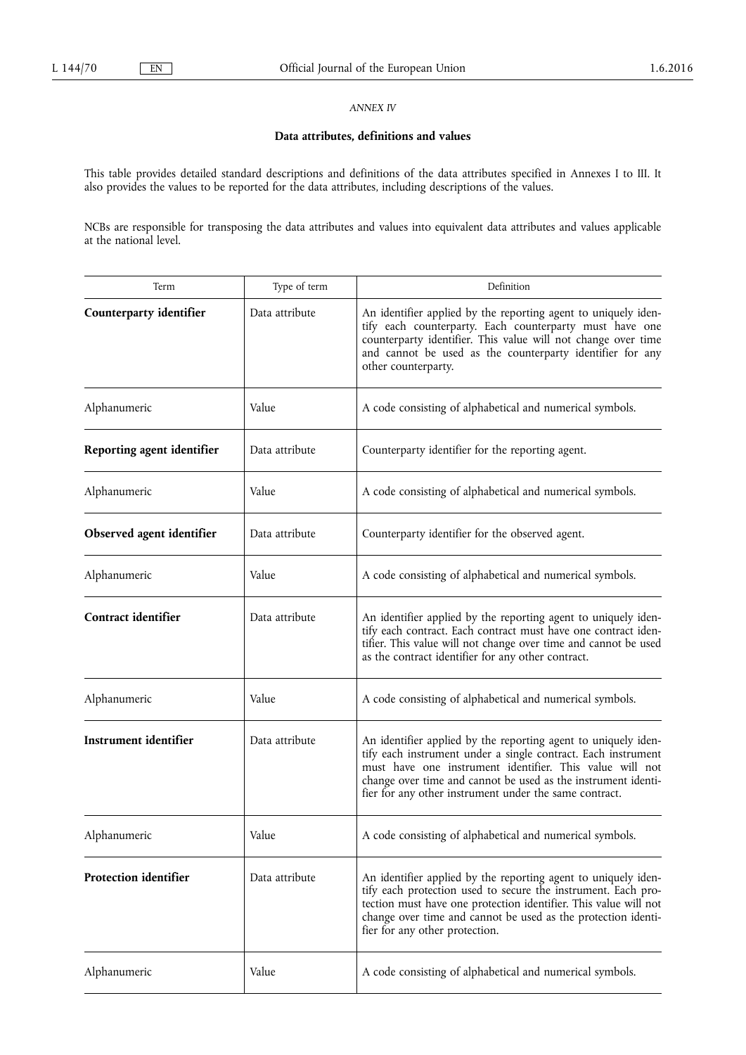### *ANNEX IV*

### **Data attributes, definitions and values**

This table provides detailed standard descriptions and definitions of the data attributes specified in Annexes I to III. It also provides the values to be reported for the data attributes, including descriptions of the values.

NCBs are responsible for transposing the data attributes and values into equivalent data attributes and values applicable at the national level.

| Term                       | Type of term   | Definition                                                                                                                                                                                                                                                                                                             |
|----------------------------|----------------|------------------------------------------------------------------------------------------------------------------------------------------------------------------------------------------------------------------------------------------------------------------------------------------------------------------------|
| Counterparty identifier    | Data attribute | An identifier applied by the reporting agent to uniquely iden-<br>tify each counterparty. Each counterparty must have one<br>counterparty identifier. This value will not change over time<br>and cannot be used as the counterparty identifier for any<br>other counterparty.                                         |
| Alphanumeric               | Value          | A code consisting of alphabetical and numerical symbols.                                                                                                                                                                                                                                                               |
| Reporting agent identifier | Data attribute | Counterparty identifier for the reporting agent.                                                                                                                                                                                                                                                                       |
| Alphanumeric               | Value          | A code consisting of alphabetical and numerical symbols.                                                                                                                                                                                                                                                               |
| Observed agent identifier  | Data attribute | Counterparty identifier for the observed agent.                                                                                                                                                                                                                                                                        |
| Alphanumeric               | Value          | A code consisting of alphabetical and numerical symbols.                                                                                                                                                                                                                                                               |
| Contract identifier        | Data attribute | An identifier applied by the reporting agent to uniquely iden-<br>tify each contract. Each contract must have one contract iden-<br>tifier. This value will not change over time and cannot be used<br>as the contract identifier for any other contract.                                                              |
| Alphanumeric               | Value          | A code consisting of alphabetical and numerical symbols.                                                                                                                                                                                                                                                               |
| Instrument identifier      | Data attribute | An identifier applied by the reporting agent to uniquely iden-<br>tify each instrument under a single contract. Each instrument<br>must have one instrument identifier. This value will not<br>change over time and cannot be used as the instrument identi-<br>fier for any other instrument under the same contract. |
| Alphanumeric               | Value          | A code consisting of alphabetical and numerical symbols.                                                                                                                                                                                                                                                               |
| Protection identifier      | Data attribute | An identifier applied by the reporting agent to uniquely iden-<br>tify each protection used to secure the instrument. Each pro-<br>tection must have one protection identifier. This value will not<br>change over time and cannot be used as the protection identi-<br>fier for any other protection.                 |
| Alphanumeric               | Value          | A code consisting of alphabetical and numerical symbols.                                                                                                                                                                                                                                                               |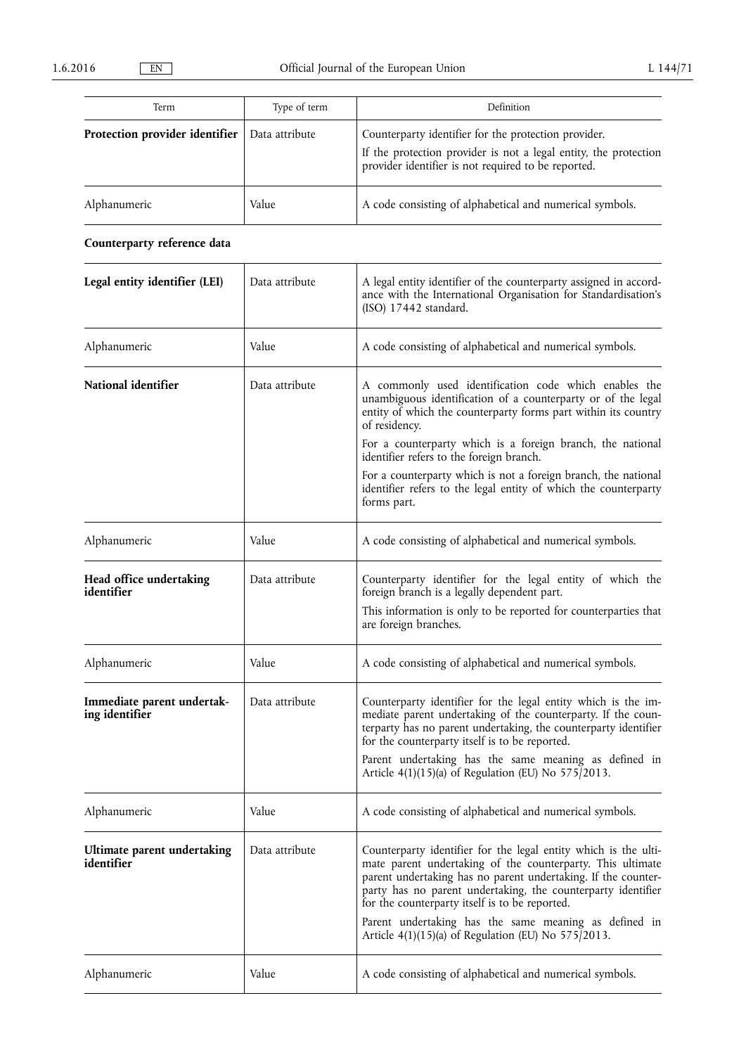| Term                           | Type of term   | Definition                                                                                                                                                                      |
|--------------------------------|----------------|---------------------------------------------------------------------------------------------------------------------------------------------------------------------------------|
| Protection provider identifier | Data attribute | Counterparty identifier for the protection provider.<br>If the protection provider is not a legal entity, the protection<br>provider identifier is not required to be reported. |
| Alphanumeric                   | Value          | A code consisting of alphabetical and numerical symbols.                                                                                                                        |

# **Counterparty reference data**

| Legal entity identifier (LEI)                | Data attribute | A legal entity identifier of the counterparty assigned in accord-<br>ance with the International Organisation for Standardisation's<br>(ISO) 17442 standard.                                                                                                                                                                                                                                                                     |
|----------------------------------------------|----------------|----------------------------------------------------------------------------------------------------------------------------------------------------------------------------------------------------------------------------------------------------------------------------------------------------------------------------------------------------------------------------------------------------------------------------------|
| Alphanumeric                                 | Value          | A code consisting of alphabetical and numerical symbols.                                                                                                                                                                                                                                                                                                                                                                         |
| National identifier                          | Data attribute | A commonly used identification code which enables the<br>unambiguous identification of a counterparty or of the legal<br>entity of which the counterparty forms part within its country<br>of residency.                                                                                                                                                                                                                         |
|                                              |                | For a counterparty which is a foreign branch, the national<br>identifier refers to the foreign branch.                                                                                                                                                                                                                                                                                                                           |
|                                              |                | For a counterparty which is not a foreign branch, the national<br>identifier refers to the legal entity of which the counterparty<br>forms part.                                                                                                                                                                                                                                                                                 |
| Alphanumeric                                 | Value          | A code consisting of alphabetical and numerical symbols.                                                                                                                                                                                                                                                                                                                                                                         |
| Head office undertaking<br>identifier        | Data attribute | Counterparty identifier for the legal entity of which the<br>foreign branch is a legally dependent part.                                                                                                                                                                                                                                                                                                                         |
|                                              |                | This information is only to be reported for counterparties that<br>are foreign branches.                                                                                                                                                                                                                                                                                                                                         |
| Alphanumeric                                 | Value          | A code consisting of alphabetical and numerical symbols.                                                                                                                                                                                                                                                                                                                                                                         |
| Immediate parent undertak-<br>ing identifier | Data attribute | Counterparty identifier for the legal entity which is the im-<br>mediate parent undertaking of the counterparty. If the coun-<br>terparty has no parent undertaking, the counterparty identifier<br>for the counterparty itself is to be reported.                                                                                                                                                                               |
|                                              |                | Parent undertaking has the same meaning as defined in<br>Article 4(1)(15)(a) of Regulation (EU) No 575/2013.                                                                                                                                                                                                                                                                                                                     |
| Alphanumeric                                 | Value          | A code consisting of alphabetical and numerical symbols.                                                                                                                                                                                                                                                                                                                                                                         |
| Ultimate parent undertaking<br>identifier    | Data attribute | Counterparty identifier for the legal entity which is the ulti-<br>mate parent undertaking of the counterparty. This ultimate<br>parent undertaking has no parent undertaking. If the counter-<br>party has no parent undertaking, the counterparty identifier<br>for the counterparty itself is to be reported.<br>Parent undertaking has the same meaning as defined in<br>Article 4(1)(15)(a) of Regulation (EU) No 575/2013. |
| Alphanumeric                                 | Value          | A code consisting of alphabetical and numerical symbols.                                                                                                                                                                                                                                                                                                                                                                         |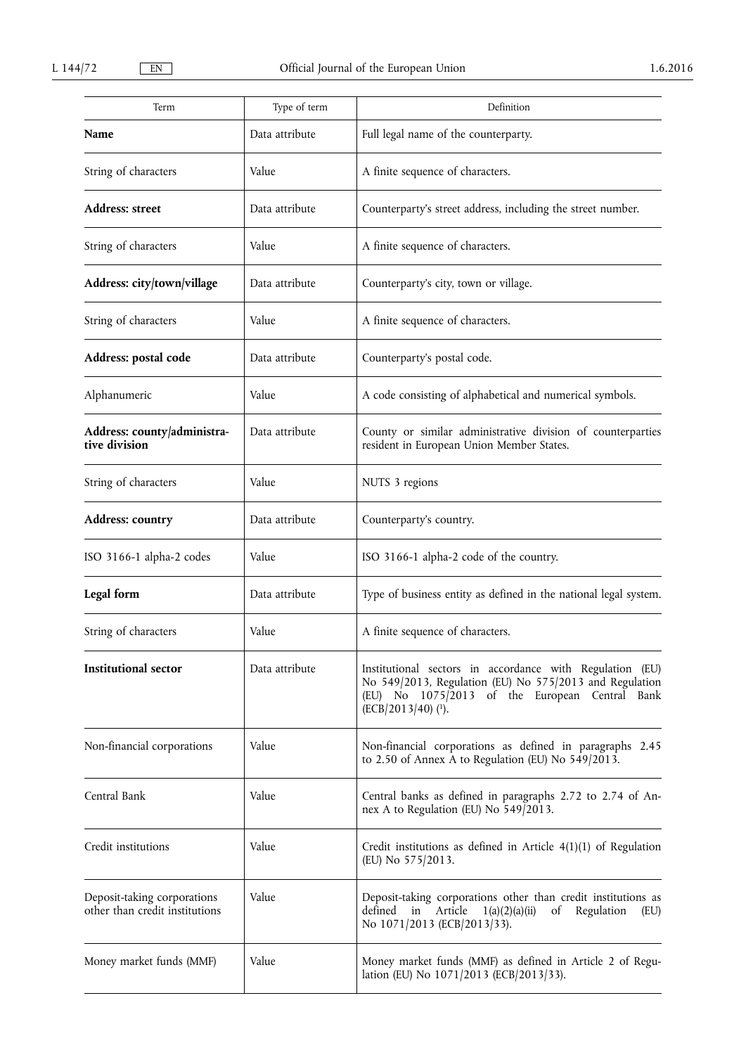| Term                                                          | Type of term   | Definition                                                                                                                                                                                  |
|---------------------------------------------------------------|----------------|---------------------------------------------------------------------------------------------------------------------------------------------------------------------------------------------|
| <b>Name</b>                                                   | Data attribute | Full legal name of the counterparty.                                                                                                                                                        |
| String of characters                                          | Value          | A finite sequence of characters.                                                                                                                                                            |
| Address: street                                               | Data attribute | Counterparty's street address, including the street number.                                                                                                                                 |
| String of characters                                          | Value          | A finite sequence of characters.                                                                                                                                                            |
| Address: city/town/village                                    | Data attribute | Counterparty's city, town or village.                                                                                                                                                       |
| String of characters                                          | Value          | A finite sequence of characters.                                                                                                                                                            |
| Address: postal code                                          | Data attribute | Counterparty's postal code.                                                                                                                                                                 |
| Alphanumeric                                                  | Value          | A code consisting of alphabetical and numerical symbols.                                                                                                                                    |
| Address: county/administra-<br>tive division                  | Data attribute | County or similar administrative division of counterparties<br>resident in European Union Member States.                                                                                    |
| String of characters                                          | Value          | NUTS 3 regions                                                                                                                                                                              |
| <b>Address: country</b>                                       | Data attribute | Counterparty's country.                                                                                                                                                                     |
| ISO 3166-1 alpha-2 codes                                      | Value          | ISO 3166-1 alpha-2 code of the country.                                                                                                                                                     |
| Legal form                                                    | Data attribute | Type of business entity as defined in the national legal system.                                                                                                                            |
| String of characters                                          | Value          | A finite sequence of characters.                                                                                                                                                            |
| <b>Institutional sector</b>                                   | Data attribute | Institutional sectors in accordance with Regulation (EU)<br>No 549/2013, Regulation (EU) No 575/2013 and Regulation<br>(EU) No 1075/2013 of the European Central Bank<br>(ECB/2013/40) (1). |
| Non-financial corporations                                    | Value          | Non-financial corporations as defined in paragraphs 2.45<br>to 2.50 of Annex A to Regulation (EU) No 549/2013.                                                                              |
| Central Bank                                                  | Value          | Central banks as defined in paragraphs 2.72 to 2.74 of An-<br>nex A to Regulation (EU) No 549/2013.                                                                                         |
| Credit institutions                                           | Value          | Credit institutions as defined in Article $4(1)(1)$ of Regulation<br>(EU) No 575/2013.                                                                                                      |
| Deposit-taking corporations<br>other than credit institutions | Value          | Deposit-taking corporations other than credit institutions as<br>defined<br>Article<br>1(a)(2)(a)(ii)<br>in<br>of<br>Regulation<br>(EU)<br>No 1071/2013 (ECB/2013/33).                      |
| Money market funds (MMF)                                      | Value          | Money market funds (MMF) as defined in Article 2 of Regu-<br>lation (EU) No 1071/2013 (ECB/2013/33).                                                                                        |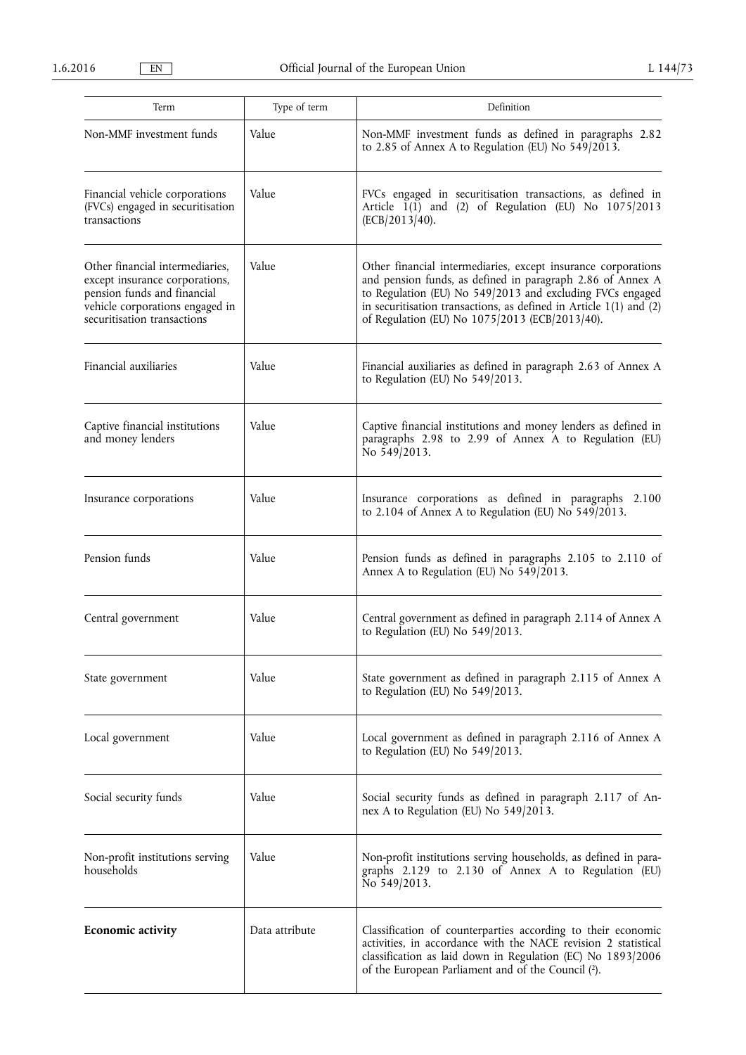| Term                                                                                                                                                               | Type of term   | Definition                                                                                                                                                                                                                                                                                                           |
|--------------------------------------------------------------------------------------------------------------------------------------------------------------------|----------------|----------------------------------------------------------------------------------------------------------------------------------------------------------------------------------------------------------------------------------------------------------------------------------------------------------------------|
| Non-MMF investment funds                                                                                                                                           | Value          | Non-MMF investment funds as defined in paragraphs 2.82<br>to 2.85 of Annex A to Regulation (EU) No 549/2013.                                                                                                                                                                                                         |
| Financial vehicle corporations<br>(FVCs) engaged in securitisation<br>transactions                                                                                 | Value          | FVCs engaged in securitisation transactions, as defined in<br>Article $1(1)$ and (2) of Regulation (EU) No $1075/2013$<br>(ECB/2013/40).                                                                                                                                                                             |
| Other financial intermediaries,<br>except insurance corporations,<br>pension funds and financial<br>vehicle corporations engaged in<br>securitisation transactions | Value          | Other financial intermediaries, except insurance corporations<br>and pension funds, as defined in paragraph 2.86 of Annex A<br>to Regulation (EU) No 549/2013 and excluding FVCs engaged<br>in securitisation transactions, as defined in Article $1(1)$ and $(2)$<br>of Regulation (EU) No 1075/2013 (ECB/2013/40). |
| Financial auxiliaries                                                                                                                                              | Value          | Financial auxiliaries as defined in paragraph 2.63 of Annex A<br>to Regulation (EU) No 549/2013.                                                                                                                                                                                                                     |
| Captive financial institutions<br>and money lenders                                                                                                                | Value          | Captive financial institutions and money lenders as defined in<br>paragraphs 2.98 to 2.99 of Annex A to Regulation (EU)<br>No 549/2013.                                                                                                                                                                              |
| Insurance corporations                                                                                                                                             | Value          | Insurance corporations as defined in paragraphs 2.100<br>to 2.104 of Annex A to Regulation (EU) No 549/2013.                                                                                                                                                                                                         |
| Pension funds                                                                                                                                                      | Value          | Pension funds as defined in paragraphs 2.105 to 2.110 of<br>Annex A to Regulation (EU) No 549/2013.                                                                                                                                                                                                                  |
| Central government                                                                                                                                                 | Value          | Central government as defined in paragraph 2.114 of Annex A<br>to Regulation (EU) No 549/2013.                                                                                                                                                                                                                       |
| State government                                                                                                                                                   | Value          | State government as defined in paragraph 2.115 of Annex A<br>to Regulation (EU) No 549/2013.                                                                                                                                                                                                                         |
| Local government                                                                                                                                                   | Value          | Local government as defined in paragraph 2.116 of Annex A<br>to Regulation (EU) No 549/2013.                                                                                                                                                                                                                         |
| Social security funds                                                                                                                                              | Value          | Social security funds as defined in paragraph 2.117 of An-<br>nex A to Regulation (EU) No 549/2013.                                                                                                                                                                                                                  |
| Non-profit institutions serving<br>households                                                                                                                      | Value          | Non-profit institutions serving households, as defined in para-<br>graphs 2.129 to 2.130 of Annex A to Regulation (EU)<br>No 549/2013.                                                                                                                                                                               |
| <b>Economic activity</b>                                                                                                                                           | Data attribute | Classification of counterparties according to their economic<br>activities, in accordance with the NACE revision 2 statistical<br>classification as laid down in Regulation (EC) No 1893/2006<br>of the European Parliament and of the Council (2).                                                                  |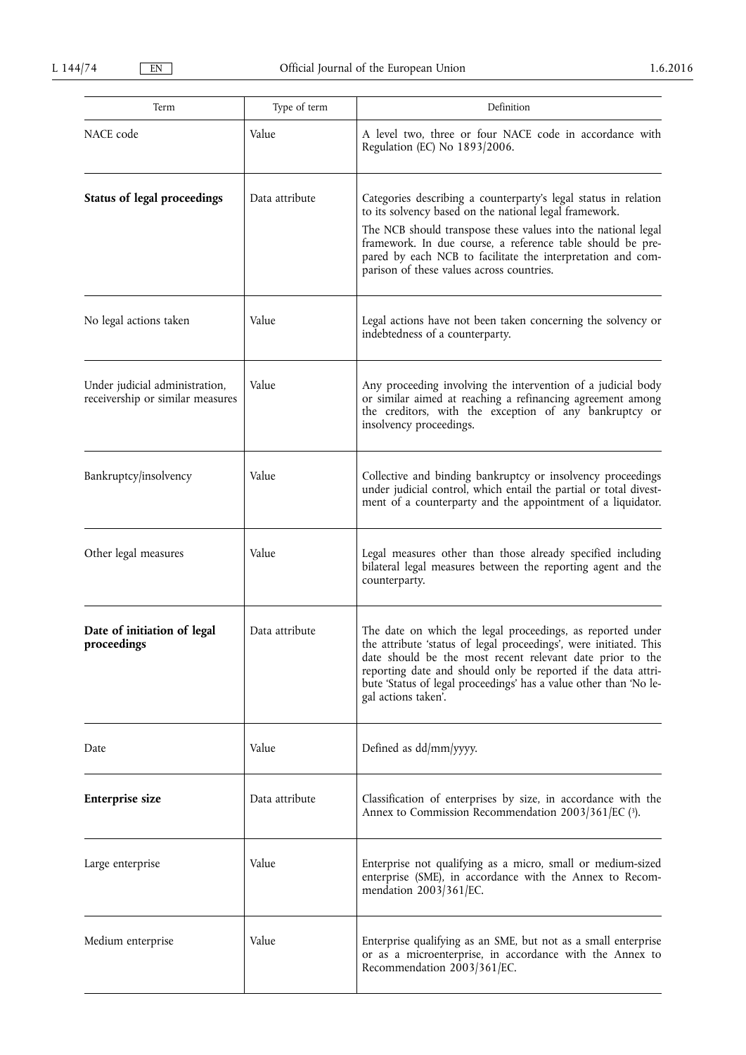| Term                                                               | Type of term   | Definition                                                                                                                                                                                                                                                                                                                                                           |
|--------------------------------------------------------------------|----------------|----------------------------------------------------------------------------------------------------------------------------------------------------------------------------------------------------------------------------------------------------------------------------------------------------------------------------------------------------------------------|
| NACE code                                                          | Value          | A level two, three or four NACE code in accordance with<br>Regulation (EC) No 1893/2006.                                                                                                                                                                                                                                                                             |
| <b>Status of legal proceedings</b>                                 | Data attribute | Categories describing a counterparty's legal status in relation<br>to its solvency based on the national legal framework.<br>The NCB should transpose these values into the national legal<br>framework. In due course, a reference table should be pre-<br>pared by each NCB to facilitate the interpretation and com-<br>parison of these values across countries. |
| No legal actions taken                                             | Value          | Legal actions have not been taken concerning the solvency or<br>indebtedness of a counterparty.                                                                                                                                                                                                                                                                      |
| Under judicial administration,<br>receivership or similar measures | Value          | Any proceeding involving the intervention of a judicial body<br>or similar aimed at reaching a refinancing agreement among<br>the creditors, with the exception of any bankruptcy or<br>insolvency proceedings.                                                                                                                                                      |
| Bankruptcy/insolvency                                              | Value          | Collective and binding bankruptcy or insolvency proceedings<br>under judicial control, which entail the partial or total divest-<br>ment of a counterparty and the appointment of a liquidator.                                                                                                                                                                      |
| Other legal measures                                               | Value          | Legal measures other than those already specified including<br>bilateral legal measures between the reporting agent and the<br>counterparty.                                                                                                                                                                                                                         |
| Date of initiation of legal<br>proceedings                         | Data attribute | The date on which the legal proceedings, as reported under<br>the attribute 'status of legal proceedings', were initiated. This<br>date should be the most recent relevant date prior to the<br>reporting date and should only be reported if the data attri-<br>bute 'Status of legal proceedings' has a value other than 'No le-<br>gal actions taken'.            |
| Date                                                               | Value          | Defined as dd/mm/yyyy.                                                                                                                                                                                                                                                                                                                                               |
| Enterprise size                                                    | Data attribute | Classification of enterprises by size, in accordance with the<br>Annex to Commission Recommendation 2003/361/EC (3).                                                                                                                                                                                                                                                 |
| Large enterprise                                                   | Value          | Enterprise not qualifying as a micro, small or medium-sized<br>enterprise (SME), in accordance with the Annex to Recom-<br>mendation 2003/361/EC.                                                                                                                                                                                                                    |
| Medium enterprise                                                  | Value          | Enterprise qualifying as an SME, but not as a small enterprise<br>or as a microenterprise, in accordance with the Annex to<br>Recommendation 2003/361/EC.                                                                                                                                                                                                            |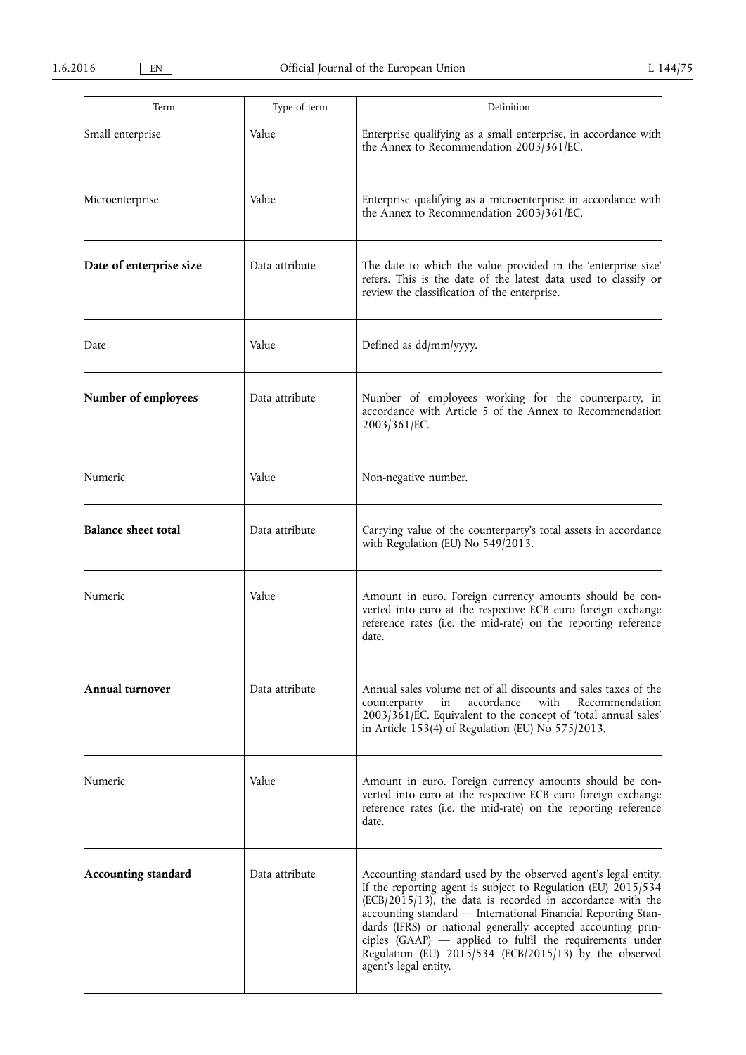| Term                       | Type of term   | Definition                                                                                                                                                                                                                                                                                                                                                                                                                                                                      |
|----------------------------|----------------|---------------------------------------------------------------------------------------------------------------------------------------------------------------------------------------------------------------------------------------------------------------------------------------------------------------------------------------------------------------------------------------------------------------------------------------------------------------------------------|
| Small enterprise           | Value          | Enterprise qualifying as a small enterprise, in accordance with<br>the Annex to Recommendation 2003/361/EC.                                                                                                                                                                                                                                                                                                                                                                     |
| Microenterprise            | Value          | Enterprise qualifying as a microenterprise in accordance with<br>the Annex to Recommendation 2003/361/EC.                                                                                                                                                                                                                                                                                                                                                                       |
| Date of enterprise size    | Data attribute | The date to which the value provided in the 'enterprise size'<br>refers. This is the date of the latest data used to classify or<br>review the classification of the enterprise.                                                                                                                                                                                                                                                                                                |
| Date                       | Value          | Defined as dd/mm/yyyy.                                                                                                                                                                                                                                                                                                                                                                                                                                                          |
| Number of employees        | Data attribute | Number of employees working for the counterparty, in<br>accordance with Article 5 of the Annex to Recommendation<br>2003/361/EC.                                                                                                                                                                                                                                                                                                                                                |
| Numeric                    | Value          | Non-negative number.                                                                                                                                                                                                                                                                                                                                                                                                                                                            |
| <b>Balance sheet total</b> | Data attribute | Carrying value of the counterparty's total assets in accordance<br>with Regulation (EU) No 549/2013.                                                                                                                                                                                                                                                                                                                                                                            |
| Numeric                    | Value          | Amount in euro. Foreign currency amounts should be con-<br>verted into euro at the respective ECB euro foreign exchange<br>reference rates (i.e. the mid-rate) on the reporting reference<br>date.                                                                                                                                                                                                                                                                              |
| Annual turnover            | Data attribute | Annual sales volume net of all discounts and sales taxes of the<br>accordance<br>with<br>Recommendation<br>counterparty<br>in<br>2003/361/EC. Equivalent to the concept of 'total annual sales'<br>in Article 153(4) of Regulation (EU) No 575/2013.                                                                                                                                                                                                                            |
| Numeric                    | Value          | Amount in euro. Foreign currency amounts should be con-<br>verted into euro at the respective ECB euro foreign exchange<br>reference rates (i.e. the mid-rate) on the reporting reference<br>date.                                                                                                                                                                                                                                                                              |
| <b>Accounting standard</b> | Data attribute | Accounting standard used by the observed agent's legal entity.<br>If the reporting agent is subject to Regulation (EU) 2015/534<br>(ECB/2015/13), the data is recorded in accordance with the<br>accounting standard - International Financial Reporting Stan-<br>dards (IFRS) or national generally accepted accounting prin-<br>ciples $(GAAP)$ — applied to fulfil the requirements under<br>Regulation (EU) 2015/534 (ECB/2015/13) by the observed<br>agent's legal entity. |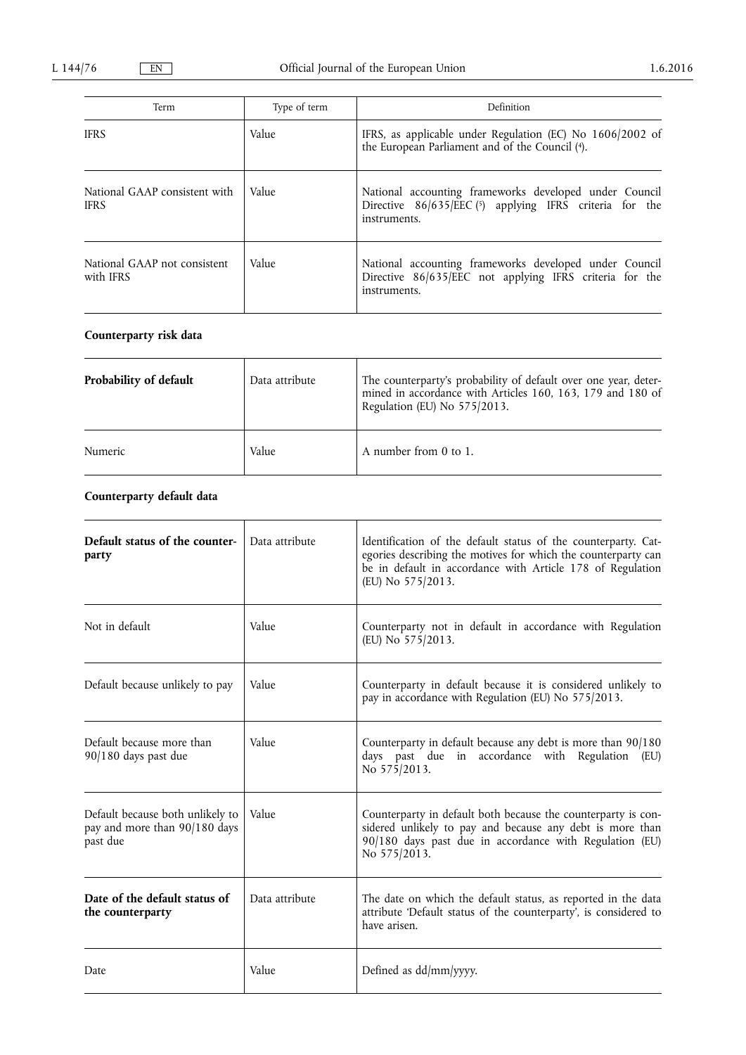| Term                                         | Type of term | Definition                                                                                                                          |
|----------------------------------------------|--------------|-------------------------------------------------------------------------------------------------------------------------------------|
| <b>IFRS</b>                                  | Value        | IFRS, as applicable under Regulation (EC) No 1606/2002 of<br>the European Parliament and of the Council (4).                        |
| National GAAP consistent with<br><b>IFRS</b> | Value        | National accounting frameworks developed under Council<br>Directive $86/635/EEC$ (5) applying IFRS criteria for the<br>instruments. |
| National GAAP not consistent<br>with IFRS    | Value        | National accounting frameworks developed under Council<br>Directive 86/635/EEC not applying IFRS criteria for the<br>instruments.   |

# **Counterparty risk data**

| Probability of default | Data attribute | The counterparty's probability of default over one year, deter-<br>mined in accordance with Articles 160, 163, 179 and 180 of<br>Regulation (EU) No 575/2013. |
|------------------------|----------------|---------------------------------------------------------------------------------------------------------------------------------------------------------------|
| Numeric                | Value          | A number from 0 to 1.                                                                                                                                         |

## **Counterparty default data**

| Default status of the counter-<br>party                                       | Data attribute | Identification of the default status of the counterparty. Cat-<br>egories describing the motives for which the counterparty can<br>be in default in accordance with Article 178 of Regulation<br>(EU) No 575/2013. |
|-------------------------------------------------------------------------------|----------------|--------------------------------------------------------------------------------------------------------------------------------------------------------------------------------------------------------------------|
| Not in default                                                                | Value          | Counterparty not in default in accordance with Regulation<br>(EU) No 575/2013.                                                                                                                                     |
| Default because unlikely to pay                                               | Value          | Counterparty in default because it is considered unlikely to<br>pay in accordance with Regulation (EU) No 575/2013.                                                                                                |
| Default because more than<br>90/180 days past due                             | Value          | Counterparty in default because any debt is more than 90/180<br>days past due in accordance with Regulation (EU)<br>No 575/2013.                                                                                   |
| Default because both unlikely to<br>pay and more than 90/180 days<br>past due | Value          | Counterparty in default both because the counterparty is con-<br>sidered unlikely to pay and because any debt is more than<br>90/180 days past due in accordance with Regulation (EU)<br>No 575/2013.              |
| Date of the default status of<br>the counterparty                             | Data attribute | The date on which the default status, as reported in the data<br>attribute 'Default status of the counterparty', is considered to<br>have arisen.                                                                  |
| Date                                                                          | Value          | Defined as dd/mm/yyyy.                                                                                                                                                                                             |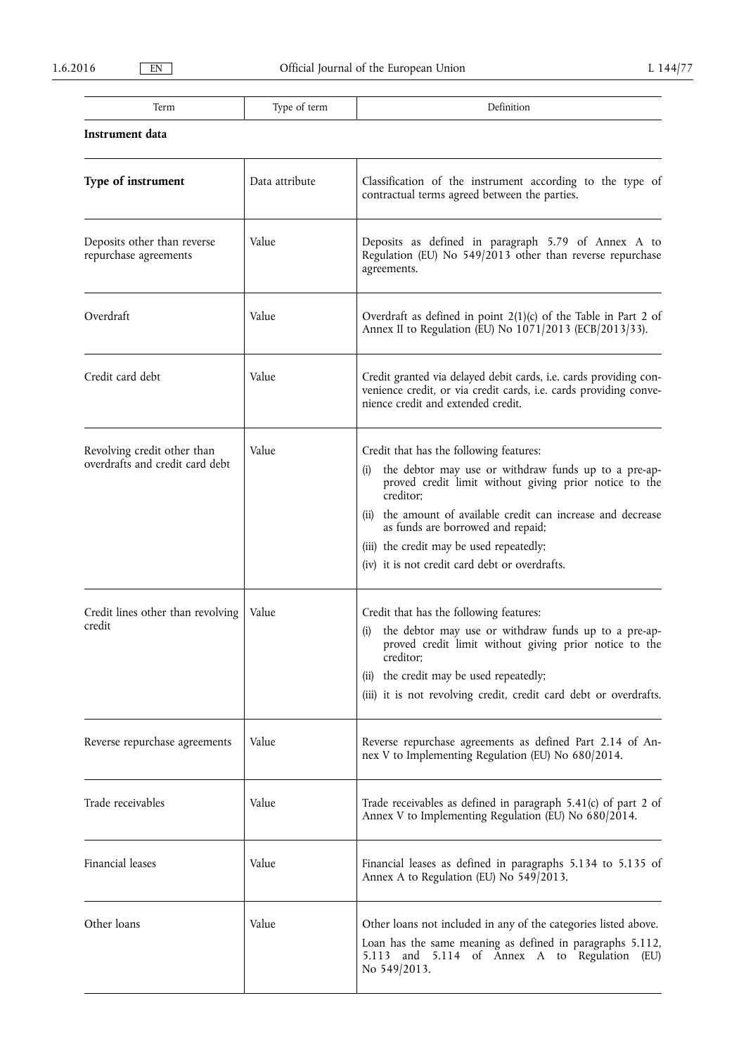Term Type of term Nefinition

**Instrument data** 

| Type of instrument                                             | Data attribute | Classification of the instrument according to the type of<br>contractual terms agreed between the parties.                                                                                                                                                                                                                                                                        |
|----------------------------------------------------------------|----------------|-----------------------------------------------------------------------------------------------------------------------------------------------------------------------------------------------------------------------------------------------------------------------------------------------------------------------------------------------------------------------------------|
| Deposits other than reverse<br>repurchase agreements           | Value          | Deposits as defined in paragraph 5.79 of Annex A to<br>Regulation (EU) No 549/2013 other than reverse repurchase<br>agreements.                                                                                                                                                                                                                                                   |
| Overdraft                                                      | Value          | Overdraft as defined in point $2(1)(c)$ of the Table in Part 2 of<br>Annex II to Regulation (EU) No 1071/2013 (ECB/2013/33).                                                                                                                                                                                                                                                      |
| Credit card debt                                               | Value          | Credit granted via delayed debit cards, i.e. cards providing con-<br>venience credit, or via credit cards, i.e. cards providing conve-<br>nience credit and extended credit.                                                                                                                                                                                                      |
| Revolving credit other than<br>overdrafts and credit card debt | Value          | Credit that has the following features:<br>the debtor may use or withdraw funds up to a pre-ap-<br>(i)<br>proved credit limit without giving prior notice to the<br>creditor;<br>(ii) the amount of available credit can increase and decrease<br>as funds are borrowed and repaid;<br>(iii) the credit may be used repeatedly;<br>(iv) it is not credit card debt or overdrafts. |
| Credit lines other than revolving<br>credit                    | Value          | Credit that has the following features:<br>the debtor may use or withdraw funds up to a pre-ap-<br>(i)<br>proved credit limit without giving prior notice to the<br>creditor:<br>(ii) the credit may be used repeatedly;<br>(iii) it is not revolving credit, credit card debt or overdrafts.                                                                                     |
| Reverse repurchase agreements                                  | Value          | Reverse repurchase agreements as defined Part 2.14 of An-<br>nex V to Implementing Regulation (EU) No 680/2014.                                                                                                                                                                                                                                                                   |
| Trade receivables                                              | Value          | Trade receivables as defined in paragraph 5.41(c) of part 2 of<br>Annex V to Implementing Regulation (EU) No 680/2014.                                                                                                                                                                                                                                                            |
| Financial leases                                               | Value          | Financial leases as defined in paragraphs 5.134 to 5.135 of<br>Annex A to Regulation (EU) No 549/2013.                                                                                                                                                                                                                                                                            |
| Other loans                                                    | Value          | Other loans not included in any of the categories listed above.<br>Loan has the same meaning as defined in paragraphs 5.112,<br>5.113 and 5.114 of Annex A to Regulation (EU)<br>No 549/2013.                                                                                                                                                                                     |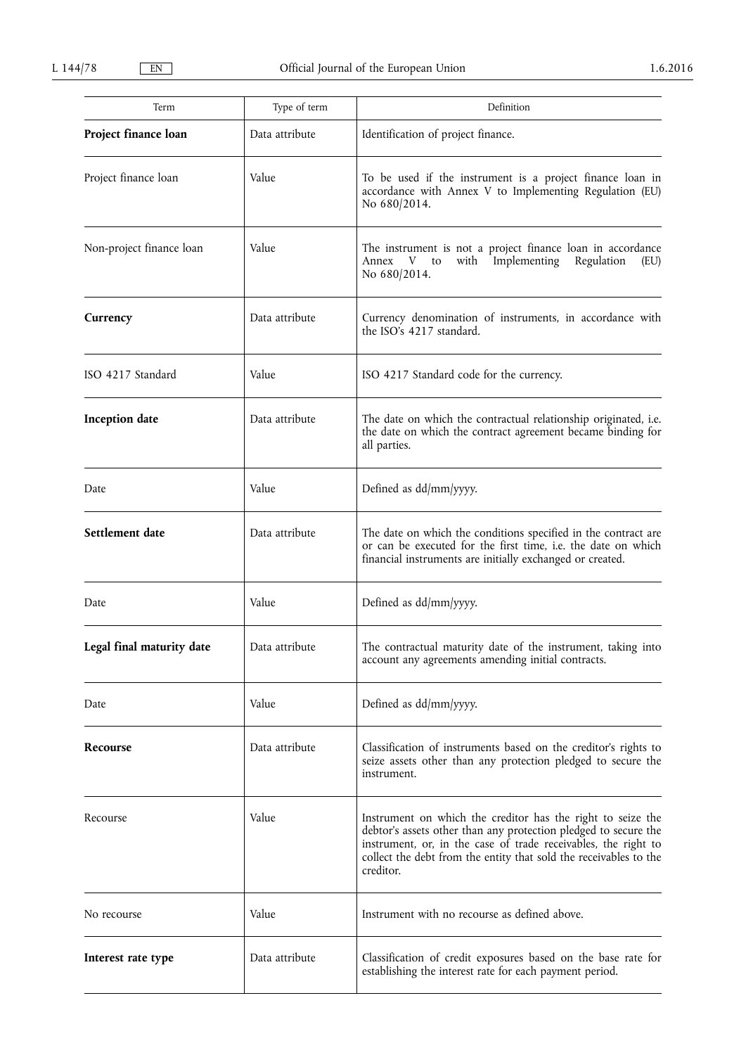| Term                      | Type of term   | Definition                                                                                                                                                                                                                                                                         |
|---------------------------|----------------|------------------------------------------------------------------------------------------------------------------------------------------------------------------------------------------------------------------------------------------------------------------------------------|
| Project finance loan      | Data attribute | Identification of project finance.                                                                                                                                                                                                                                                 |
| Project finance loan      | Value          | To be used if the instrument is a project finance loan in<br>accordance with Annex V to Implementing Regulation (EU)<br>No 680/2014.                                                                                                                                               |
| Non-project finance loan  | Value          | The instrument is not a project finance loan in accordance<br>Annex V to<br>Implementing Regulation<br>with<br>(EU)<br>No 680/2014.                                                                                                                                                |
| Currency                  | Data attribute | Currency denomination of instruments, in accordance with<br>the ISO's 4217 standard.                                                                                                                                                                                               |
| ISO 4217 Standard         | Value          | ISO 4217 Standard code for the currency.                                                                                                                                                                                                                                           |
| Inception date            | Data attribute | The date on which the contractual relationship originated, i.e.<br>the date on which the contract agreement became binding for<br>all parties.                                                                                                                                     |
| Date                      | Value          | Defined as dd/mm/yyyy.                                                                                                                                                                                                                                                             |
| Settlement date           | Data attribute | The date on which the conditions specified in the contract are<br>or can be executed for the first time, i.e. the date on which<br>financial instruments are initially exchanged or created.                                                                                       |
| Date                      | Value          | Defined as dd/mm/yyyy.                                                                                                                                                                                                                                                             |
| Legal final maturity date | Data attribute | The contractual maturity date of the instrument, taking into<br>account any agreements amending initial contracts.                                                                                                                                                                 |
| Date                      | Value          | Defined as dd/mm/yyyy.                                                                                                                                                                                                                                                             |
| Recourse                  | Data attribute | Classification of instruments based on the creditor's rights to<br>seize assets other than any protection pledged to secure the<br>instrument.                                                                                                                                     |
| Recourse                  | Value          | Instrument on which the creditor has the right to seize the<br>debtor's assets other than any protection pledged to secure the<br>instrument, or, in the case of trade receivables, the right to<br>collect the debt from the entity that sold the receivables to the<br>creditor. |
| No recourse               | Value          | Instrument with no recourse as defined above.                                                                                                                                                                                                                                      |
| Interest rate type        | Data attribute | Classification of credit exposures based on the base rate for<br>establishing the interest rate for each payment period.                                                                                                                                                           |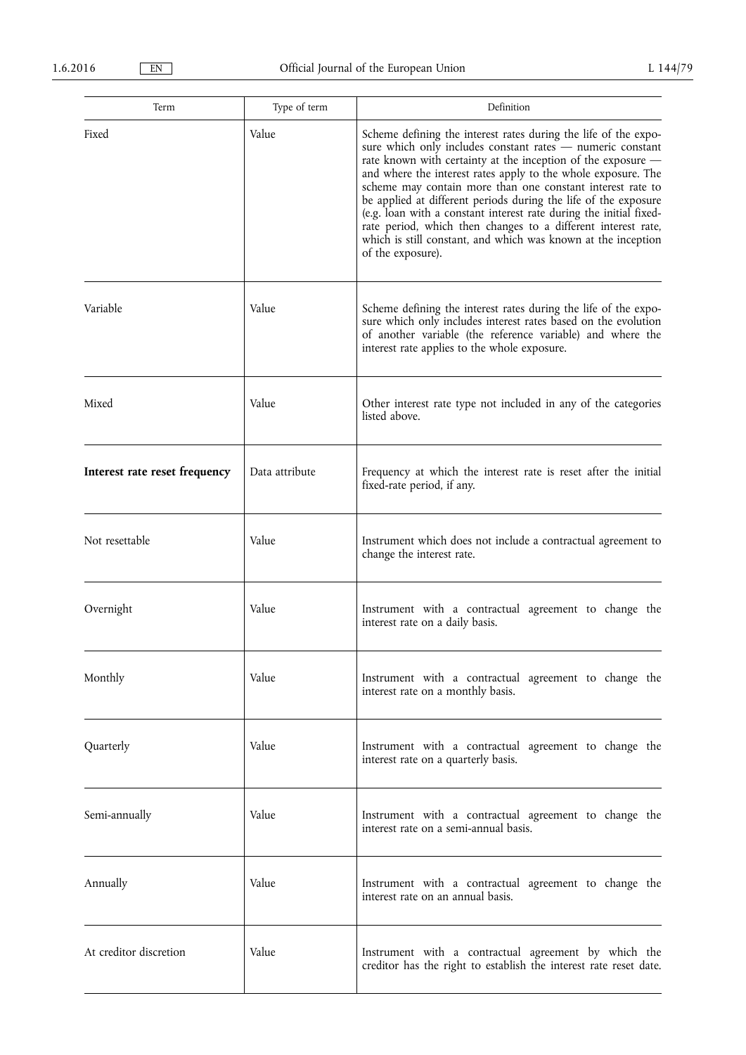| Term                          | Type of term   | Definition                                                                                                                                                                                                                                                                                                                                                                                                                                                                                                                                                                                                                   |
|-------------------------------|----------------|------------------------------------------------------------------------------------------------------------------------------------------------------------------------------------------------------------------------------------------------------------------------------------------------------------------------------------------------------------------------------------------------------------------------------------------------------------------------------------------------------------------------------------------------------------------------------------------------------------------------------|
| Fixed                         | Value          | Scheme defining the interest rates during the life of the expo-<br>sure which only includes constant rates - numeric constant<br>rate known with certainty at the inception of the exposure -<br>and where the interest rates apply to the whole exposure. The<br>scheme may contain more than one constant interest rate to<br>be applied at different periods during the life of the exposure<br>(e.g. loan with a constant interest rate during the initial fixed-<br>rate period, which then changes to a different interest rate,<br>which is still constant, and which was known at the inception<br>of the exposure). |
| Variable                      | Value          | Scheme defining the interest rates during the life of the expo-<br>sure which only includes interest rates based on the evolution<br>of another variable (the reference variable) and where the<br>interest rate applies to the whole exposure.                                                                                                                                                                                                                                                                                                                                                                              |
| Mixed                         | Value          | Other interest rate type not included in any of the categories<br>listed above.                                                                                                                                                                                                                                                                                                                                                                                                                                                                                                                                              |
| Interest rate reset frequency | Data attribute | Frequency at which the interest rate is reset after the initial<br>fixed-rate period, if any.                                                                                                                                                                                                                                                                                                                                                                                                                                                                                                                                |
| Not resettable                | Value          | Instrument which does not include a contractual agreement to<br>change the interest rate.                                                                                                                                                                                                                                                                                                                                                                                                                                                                                                                                    |
| Overnight                     | Value          | Instrument with a contractual agreement to change the<br>interest rate on a daily basis.                                                                                                                                                                                                                                                                                                                                                                                                                                                                                                                                     |
| Monthly                       | Value          | Instrument with a contractual agreement to change the<br>interest rate on a monthly basis.                                                                                                                                                                                                                                                                                                                                                                                                                                                                                                                                   |
| Quarterly                     | Value          | Instrument with a contractual agreement to change the<br>interest rate on a quarterly basis.                                                                                                                                                                                                                                                                                                                                                                                                                                                                                                                                 |
| Semi-annually                 | Value          | Instrument with a contractual agreement to change the<br>interest rate on a semi-annual basis.                                                                                                                                                                                                                                                                                                                                                                                                                                                                                                                               |
| Annually                      | Value          | Instrument with a contractual agreement to change the<br>interest rate on an annual basis.                                                                                                                                                                                                                                                                                                                                                                                                                                                                                                                                   |
| At creditor discretion        | Value          | Instrument with a contractual agreement by which the<br>creditor has the right to establish the interest rate reset date.                                                                                                                                                                                                                                                                                                                                                                                                                                                                                                    |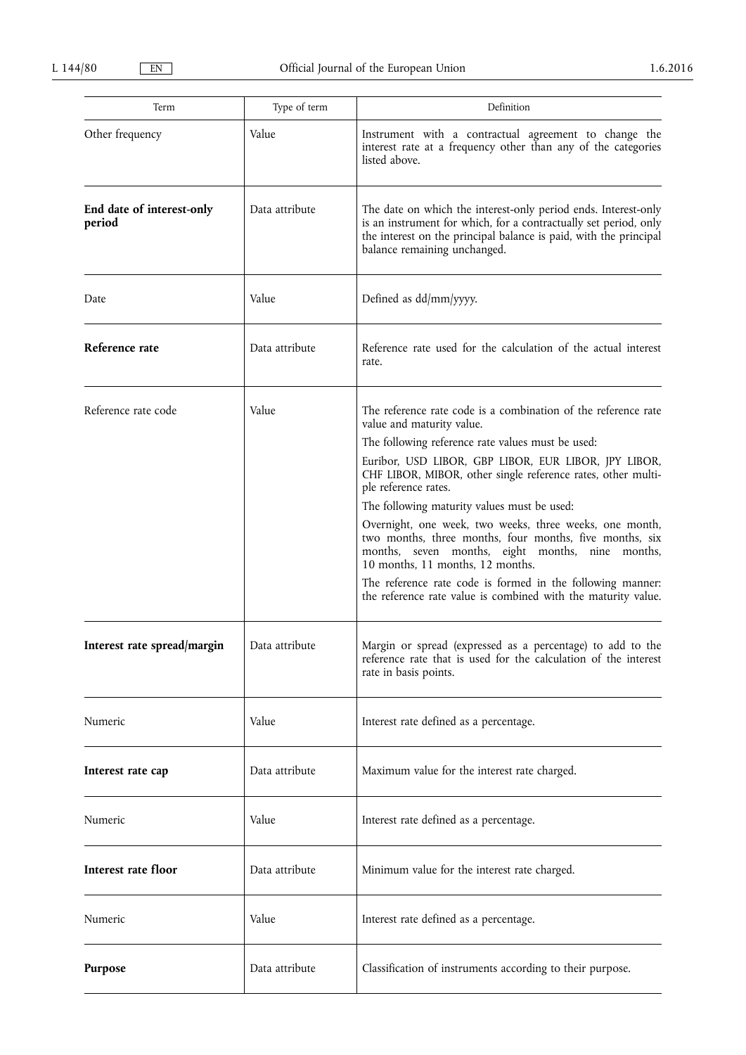| Term                                | Type of term   | Definition                                                                                                                                                                                                                                                                                                                                                                                                                                                                                                                                                                                                                                                                                   |
|-------------------------------------|----------------|----------------------------------------------------------------------------------------------------------------------------------------------------------------------------------------------------------------------------------------------------------------------------------------------------------------------------------------------------------------------------------------------------------------------------------------------------------------------------------------------------------------------------------------------------------------------------------------------------------------------------------------------------------------------------------------------|
| Other frequency                     | Value          | Instrument with a contractual agreement to change the<br>interest rate at a frequency other than any of the categories<br>listed above.                                                                                                                                                                                                                                                                                                                                                                                                                                                                                                                                                      |
| End date of interest-only<br>period | Data attribute | The date on which the interest-only period ends. Interest-only<br>is an instrument for which, for a contractually set period, only<br>the interest on the principal balance is paid, with the principal<br>balance remaining unchanged.                                                                                                                                                                                                                                                                                                                                                                                                                                                      |
| Date                                | Value          | Defined as dd/mm/yyyy.                                                                                                                                                                                                                                                                                                                                                                                                                                                                                                                                                                                                                                                                       |
| Reference rate                      | Data attribute | Reference rate used for the calculation of the actual interest<br>rate.                                                                                                                                                                                                                                                                                                                                                                                                                                                                                                                                                                                                                      |
| Reference rate code                 | Value          | The reference rate code is a combination of the reference rate<br>value and maturity value.<br>The following reference rate values must be used:<br>Euribor, USD LIBOR, GBP LIBOR, EUR LIBOR, JPY LIBOR,<br>CHF LIBOR, MIBOR, other single reference rates, other multi-<br>ple reference rates.<br>The following maturity values must be used:<br>Overnight, one week, two weeks, three weeks, one month,<br>two months, three months, four months, five months, six<br>months, seven months, eight months, nine months,<br>10 months, 11 months, 12 months.<br>The reference rate code is formed in the following manner:<br>the reference rate value is combined with the maturity value. |
| Interest rate spread/margin         | Data attribute | Margin or spread (expressed as a percentage) to add to the<br>reference rate that is used for the calculation of the interest<br>rate in basis points.                                                                                                                                                                                                                                                                                                                                                                                                                                                                                                                                       |
| Numeric                             | Value          | Interest rate defined as a percentage.                                                                                                                                                                                                                                                                                                                                                                                                                                                                                                                                                                                                                                                       |
| Interest rate cap                   | Data attribute | Maximum value for the interest rate charged.                                                                                                                                                                                                                                                                                                                                                                                                                                                                                                                                                                                                                                                 |
| Numeric                             | Value          | Interest rate defined as a percentage.                                                                                                                                                                                                                                                                                                                                                                                                                                                                                                                                                                                                                                                       |
| Interest rate floor                 | Data attribute | Minimum value for the interest rate charged.                                                                                                                                                                                                                                                                                                                                                                                                                                                                                                                                                                                                                                                 |
| Numeric                             | Value          | Interest rate defined as a percentage.                                                                                                                                                                                                                                                                                                                                                                                                                                                                                                                                                                                                                                                       |
| Purpose                             | Data attribute | Classification of instruments according to their purpose.                                                                                                                                                                                                                                                                                                                                                                                                                                                                                                                                                                                                                                    |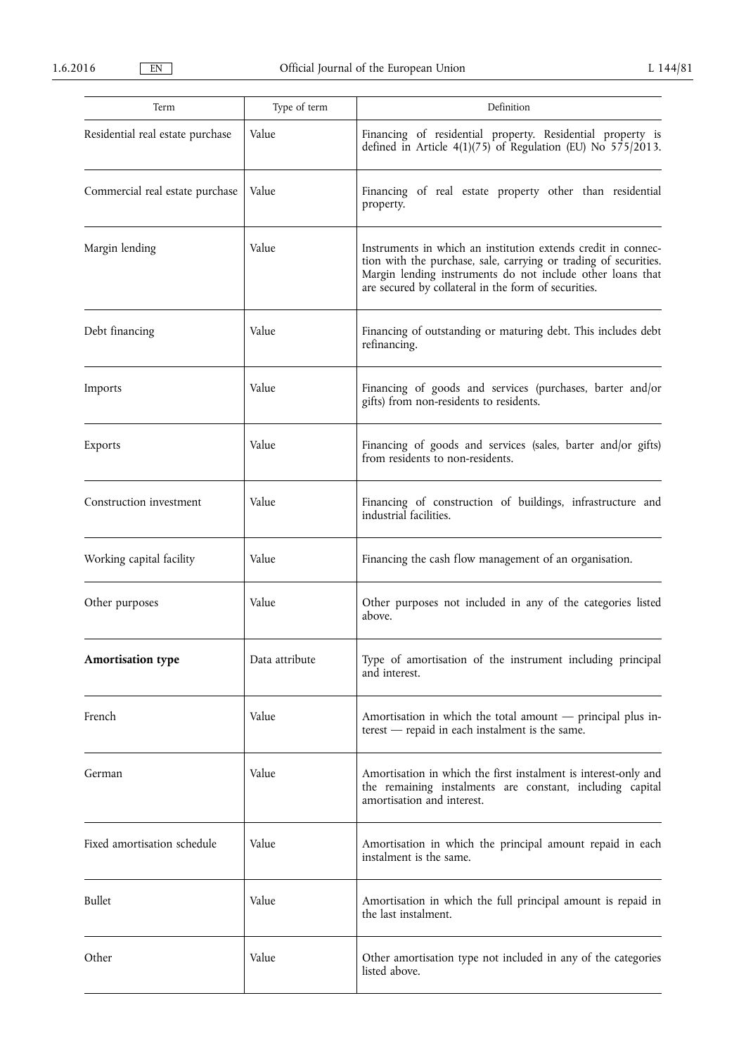| Term                             | Type of term   | Definition                                                                                                                                                                                                                                              |
|----------------------------------|----------------|---------------------------------------------------------------------------------------------------------------------------------------------------------------------------------------------------------------------------------------------------------|
| Residential real estate purchase | Value          | Financing of residential property. Residential property is<br>defined in Article $4(1)(75)$ of Regulation (EU) No $575/2013$ .                                                                                                                          |
| Commercial real estate purchase  | Value          | Financing of real estate property other than residential<br>property.                                                                                                                                                                                   |
| Margin lending                   | Value          | Instruments in which an institution extends credit in connec-<br>tion with the purchase, sale, carrying or trading of securities.<br>Margin lending instruments do not include other loans that<br>are secured by collateral in the form of securities. |
| Debt financing                   | Value          | Financing of outstanding or maturing debt. This includes debt<br>refinancing.                                                                                                                                                                           |
| Imports                          | Value          | Financing of goods and services (purchases, barter and/or<br>gifts) from non-residents to residents.                                                                                                                                                    |
| Exports                          | Value          | Financing of goods and services (sales, barter and/or gifts)<br>from residents to non-residents.                                                                                                                                                        |
| Construction investment          | Value          | Financing of construction of buildings, infrastructure and<br>industrial facilities.                                                                                                                                                                    |
| Working capital facility         | Value          | Financing the cash flow management of an organisation.                                                                                                                                                                                                  |
| Other purposes                   | Value          | Other purposes not included in any of the categories listed<br>above.                                                                                                                                                                                   |
| <b>Amortisation type</b>         | Data attribute | Type of amortisation of the instrument including principal<br>and interest.                                                                                                                                                                             |
| French                           | Value          | Amortisation in which the total amount — principal plus in-<br>$t$ terest $-$ repaid in each instalment is the same.                                                                                                                                    |
| German                           | Value          | Amortisation in which the first instalment is interest-only and<br>the remaining instalments are constant, including capital<br>amortisation and interest.                                                                                              |
| Fixed amortisation schedule      | Value          | Amortisation in which the principal amount repaid in each<br>instalment is the same.                                                                                                                                                                    |
| Bullet                           | Value          | Amortisation in which the full principal amount is repaid in<br>the last instalment.                                                                                                                                                                    |
| Other                            | Value          | Other amortisation type not included in any of the categories<br>listed above.                                                                                                                                                                          |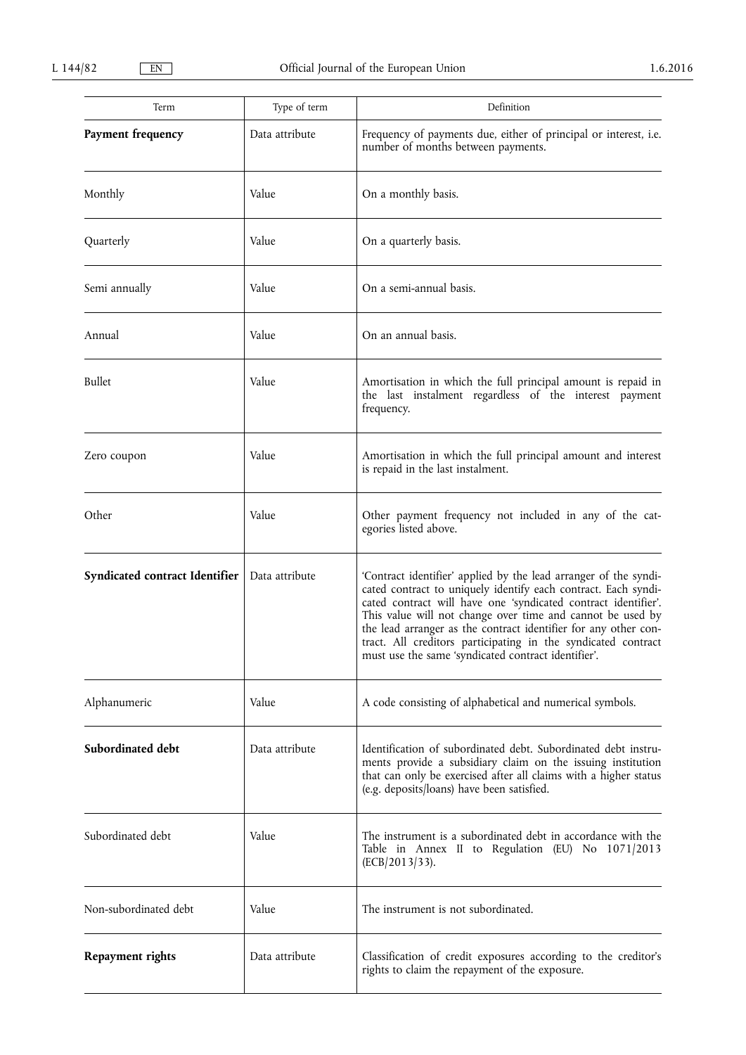| Term                                  | Type of term   | Definition                                                                                                                                                                                                                                                                                                                                                                                                                                                    |
|---------------------------------------|----------------|---------------------------------------------------------------------------------------------------------------------------------------------------------------------------------------------------------------------------------------------------------------------------------------------------------------------------------------------------------------------------------------------------------------------------------------------------------------|
| Payment frequency                     | Data attribute | Frequency of payments due, either of principal or interest, i.e.<br>number of months between payments.                                                                                                                                                                                                                                                                                                                                                        |
| Monthly                               | Value          | On a monthly basis.                                                                                                                                                                                                                                                                                                                                                                                                                                           |
| Quarterly                             | Value          | On a quarterly basis.                                                                                                                                                                                                                                                                                                                                                                                                                                         |
| Semi annually                         | Value          | On a semi-annual basis.                                                                                                                                                                                                                                                                                                                                                                                                                                       |
| Annual                                | Value          | On an annual basis.                                                                                                                                                                                                                                                                                                                                                                                                                                           |
| Bullet                                | Value          | Amortisation in which the full principal amount is repaid in<br>the last instalment regardless of the interest payment<br>frequency.                                                                                                                                                                                                                                                                                                                          |
| Zero coupon                           | Value          | Amortisation in which the full principal amount and interest<br>is repaid in the last instalment.                                                                                                                                                                                                                                                                                                                                                             |
| Other                                 | Value          | Other payment frequency not included in any of the cat-<br>egories listed above.                                                                                                                                                                                                                                                                                                                                                                              |
| <b>Syndicated contract Identifier</b> | Data attribute | 'Contract identifier' applied by the lead arranger of the syndi-<br>cated contract to uniquely identify each contract. Each syndi-<br>cated contract will have one 'syndicated contract identifier'.<br>This value will not change over time and cannot be used by<br>the lead arranger as the contract identifier for any other con-<br>tract. All creditors participating in the syndicated contract<br>must use the same 'syndicated contract identifier'. |
| Alphanumeric                          | Value          | A code consisting of alphabetical and numerical symbols.                                                                                                                                                                                                                                                                                                                                                                                                      |
| Subordinated debt                     | Data attribute | Identification of subordinated debt. Subordinated debt instru-<br>ments provide a subsidiary claim on the issuing institution<br>that can only be exercised after all claims with a higher status<br>(e.g. deposits/loans) have been satisfied.                                                                                                                                                                                                               |
| Subordinated debt                     | Value          | The instrument is a subordinated debt in accordance with the<br>Table in Annex II to Regulation (EU) No 1071/2013<br>(ECB/2013/33).                                                                                                                                                                                                                                                                                                                           |
| Non-subordinated debt                 | Value          | The instrument is not subordinated.                                                                                                                                                                                                                                                                                                                                                                                                                           |
| Repayment rights                      | Data attribute | Classification of credit exposures according to the creditor's<br>rights to claim the repayment of the exposure.                                                                                                                                                                                                                                                                                                                                              |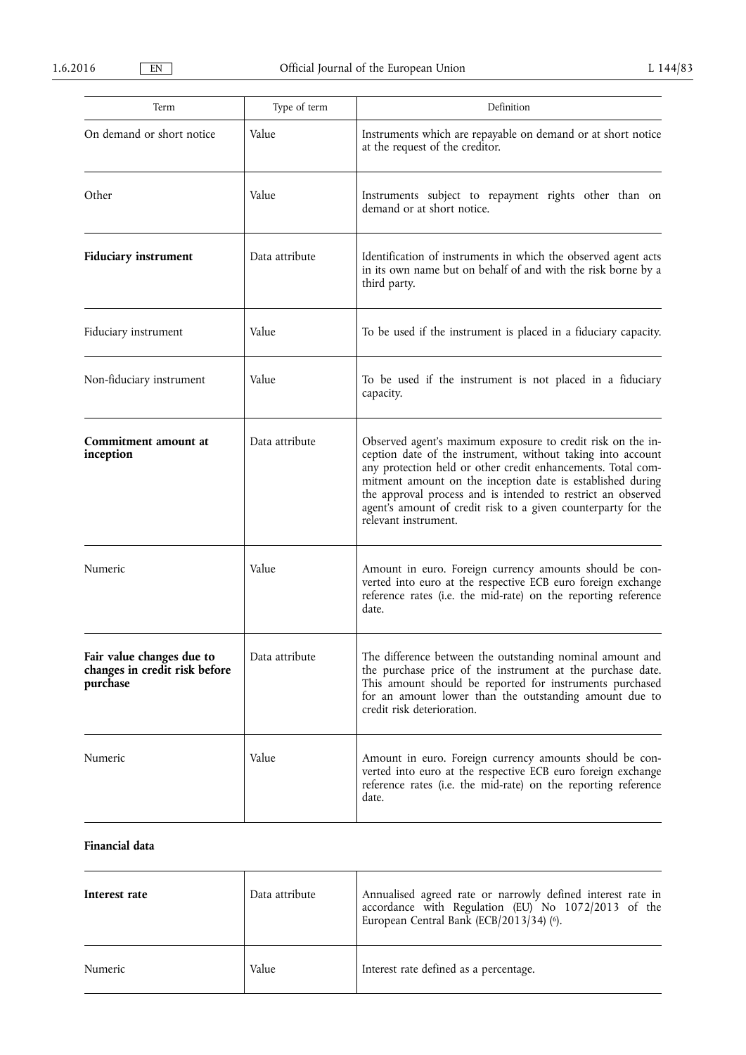| Term                                                                   | Type of term   | Definition                                                                                                                                                                                                                                                                                                                                                                                                        |
|------------------------------------------------------------------------|----------------|-------------------------------------------------------------------------------------------------------------------------------------------------------------------------------------------------------------------------------------------------------------------------------------------------------------------------------------------------------------------------------------------------------------------|
| On demand or short notice                                              | Value          | Instruments which are repayable on demand or at short notice<br>at the request of the creditor.                                                                                                                                                                                                                                                                                                                   |
| Other                                                                  | Value          | Instruments subject to repayment rights other than on<br>demand or at short notice.                                                                                                                                                                                                                                                                                                                               |
| <b>Fiduciary instrument</b>                                            | Data attribute | Identification of instruments in which the observed agent acts<br>in its own name but on behalf of and with the risk borne by a<br>third party.                                                                                                                                                                                                                                                                   |
| Fiduciary instrument                                                   | Value          | To be used if the instrument is placed in a fiduciary capacity.                                                                                                                                                                                                                                                                                                                                                   |
| Non-fiduciary instrument                                               | Value          | To be used if the instrument is not placed in a fiduciary<br>capacity.                                                                                                                                                                                                                                                                                                                                            |
| Commitment amount at<br>inception                                      | Data attribute | Observed agent's maximum exposure to credit risk on the in-<br>ception date of the instrument, without taking into account<br>any protection held or other credit enhancements. Total com-<br>mitment amount on the inception date is established during<br>the approval process and is intended to restrict an observed<br>agent's amount of credit risk to a given counterparty for the<br>relevant instrument. |
| Numeric                                                                | Value          | Amount in euro. Foreign currency amounts should be con-<br>verted into euro at the respective ECB euro foreign exchange<br>reference rates (i.e. the mid-rate) on the reporting reference<br>date.                                                                                                                                                                                                                |
| Fair value changes due to<br>changes in credit risk before<br>purchase | Data attribute | The difference between the outstanding nominal amount and<br>the purchase price of the instrument at the purchase date.<br>This amount should be reported for instruments purchased<br>for an amount lower than the outstanding amount due to<br>credit risk deterioration.                                                                                                                                       |
| Numeric                                                                | Value          | Amount in euro. Foreign currency amounts should be con-<br>verted into euro at the respective ECB euro foreign exchange<br>reference rates (i.e. the mid-rate) on the reporting reference<br>date.                                                                                                                                                                                                                |

## **Financial data**

| Interest rate | Data attribute | Annualised agreed rate or narrowly defined interest rate in<br>accordance with Regulation (EU) No 1072/2013 of the<br>European Central Bank (ECB/2013/34) (6). |
|---------------|----------------|----------------------------------------------------------------------------------------------------------------------------------------------------------------|
| Numeric       | Value          | Interest rate defined as a percentage.                                                                                                                         |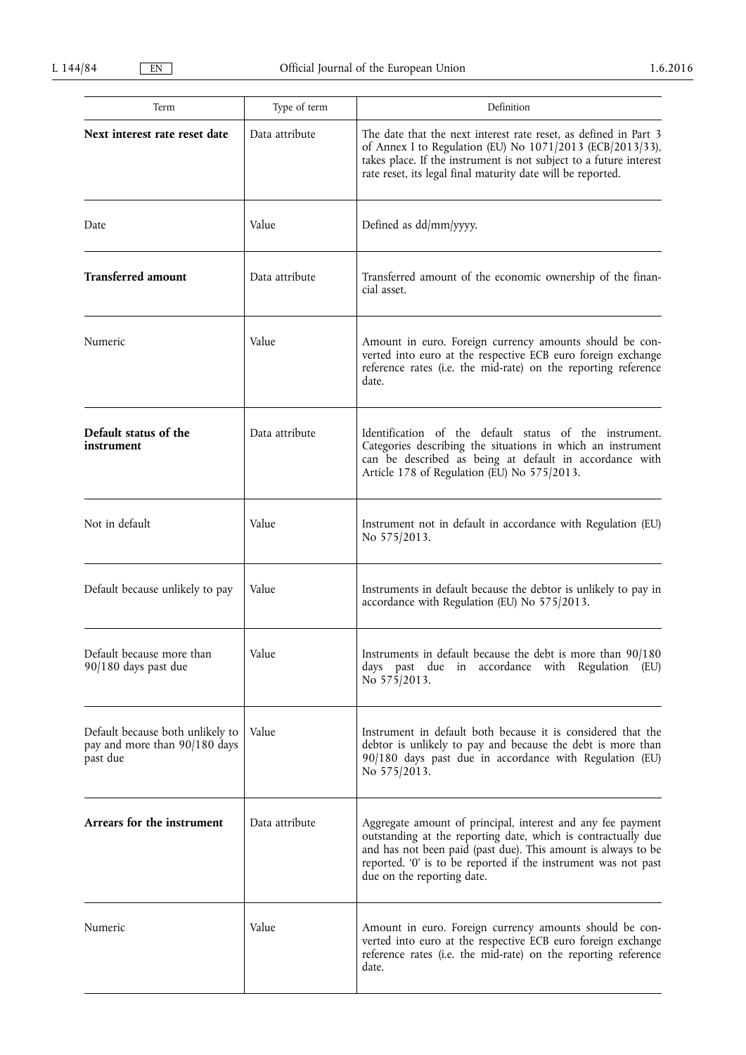| Term                                                                          | Type of term   | Definition                                                                                                                                                                                                                                                                                    |
|-------------------------------------------------------------------------------|----------------|-----------------------------------------------------------------------------------------------------------------------------------------------------------------------------------------------------------------------------------------------------------------------------------------------|
| Next interest rate reset date                                                 | Data attribute | The date that the next interest rate reset, as defined in Part 3<br>of Annex I to Regulation (EU) No 1071/2013 (ECB/2013/33),<br>takes place. If the instrument is not subject to a future interest<br>rate reset, its legal final maturity date will be reported.                            |
| Date                                                                          | Value          | Defined as dd/mm/yyyy.                                                                                                                                                                                                                                                                        |
| <b>Transferred amount</b>                                                     | Data attribute | Transferred amount of the economic ownership of the finan-<br>cial asset.                                                                                                                                                                                                                     |
| Numeric                                                                       | Value          | Amount in euro. Foreign currency amounts should be con-<br>verted into euro at the respective ECB euro foreign exchange<br>reference rates (i.e. the mid-rate) on the reporting reference<br>date.                                                                                            |
| Default status of the<br>instrument                                           | Data attribute | Identification of the default status of the instrument.<br>Categories describing the situations in which an instrument<br>can be described as being at default in accordance with<br>Article 178 of Regulation (EU) No 575/2013.                                                              |
| Not in default                                                                | Value          | Instrument not in default in accordance with Regulation (EU)<br>No 575/2013.                                                                                                                                                                                                                  |
| Default because unlikely to pay                                               | Value          | Instruments in default because the debtor is unlikely to pay in<br>accordance with Regulation (EU) No 575/2013.                                                                                                                                                                               |
| Default because more than<br>90/180 days past due                             | Value          | Instruments in default because the debt is more than 90/180<br>days past due in accordance with Regulation (EU)<br>No 575/2013.                                                                                                                                                               |
| Default because both unlikely to<br>pay and more than 90/180 days<br>past due | Value          | Instrument in default both because it is considered that the<br>debtor is unlikely to pay and because the debt is more than<br>90/180 days past due in accordance with Regulation (EU)<br>No 575/2013.                                                                                        |
| Arrears for the instrument                                                    | Data attribute | Aggregate amount of principal, interest and any fee payment<br>outstanding at the reporting date, which is contractually due<br>and has not been paid (past due). This amount is always to be<br>reported. '0' is to be reported if the instrument was not past<br>due on the reporting date. |
| Numeric                                                                       | Value          | Amount in euro. Foreign currency amounts should be con-<br>verted into euro at the respective ECB euro foreign exchange<br>reference rates (i.e. the mid-rate) on the reporting reference<br>date.                                                                                            |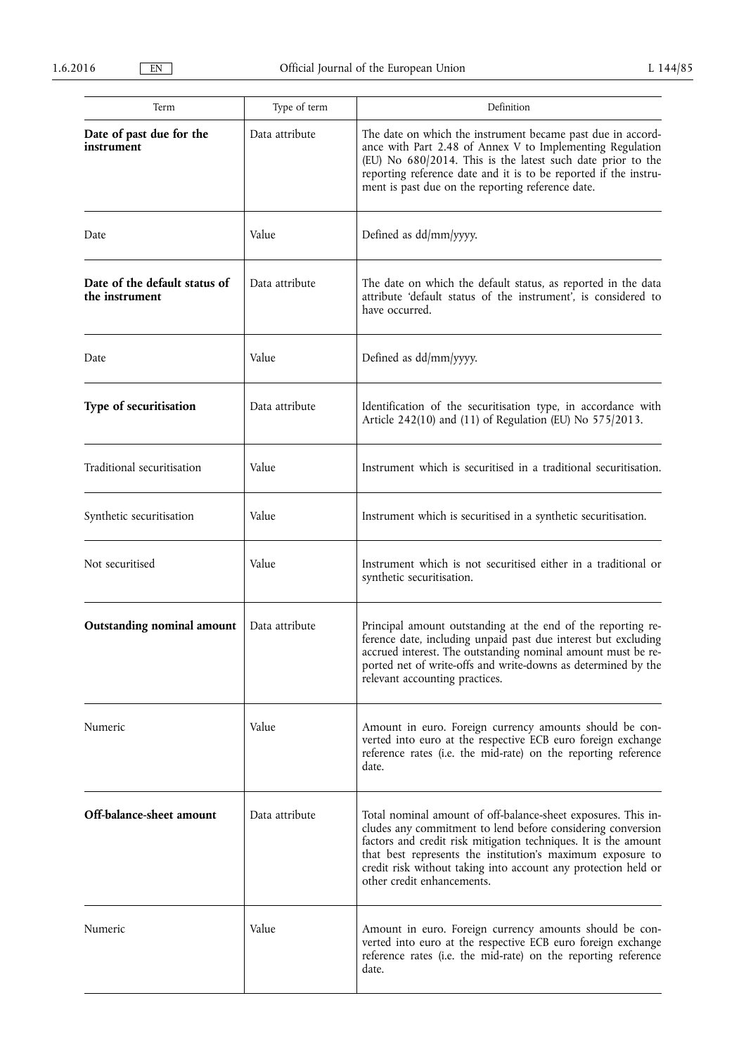| Term                                            | Type of term   | Definition                                                                                                                                                                                                                                                                                                                                                    |
|-------------------------------------------------|----------------|---------------------------------------------------------------------------------------------------------------------------------------------------------------------------------------------------------------------------------------------------------------------------------------------------------------------------------------------------------------|
| Date of past due for the<br>instrument          | Data attribute | The date on which the instrument became past due in accord-<br>ance with Part 2.48 of Annex V to Implementing Regulation<br>(EU) No 680/2014. This is the latest such date prior to the<br>reporting reference date and it is to be reported if the instru-<br>ment is past due on the reporting reference date.                                              |
| Date                                            | Value          | Defined as dd/mm/yyyy.                                                                                                                                                                                                                                                                                                                                        |
| Date of the default status of<br>the instrument | Data attribute | The date on which the default status, as reported in the data<br>attribute 'default status of the instrument', is considered to<br>have occurred.                                                                                                                                                                                                             |
| Date                                            | Value          | Defined as dd/mm/yyyy.                                                                                                                                                                                                                                                                                                                                        |
| Type of securitisation                          | Data attribute | Identification of the securitisation type, in accordance with<br>Article 242(10) and (11) of Regulation (EU) No 575/2013.                                                                                                                                                                                                                                     |
| Traditional securitisation                      | Value          | Instrument which is securitised in a traditional securitisation.                                                                                                                                                                                                                                                                                              |
| Synthetic securitisation                        | Value          | Instrument which is securitised in a synthetic securitisation.                                                                                                                                                                                                                                                                                                |
| Not securitised                                 | Value          | Instrument which is not securitised either in a traditional or<br>synthetic securitisation.                                                                                                                                                                                                                                                                   |
| <b>Outstanding nominal amount</b>               | Data attribute | Principal amount outstanding at the end of the reporting re-<br>ference date, including unpaid past due interest but excluding<br>accrued interest. The outstanding nominal amount must be re-<br>ported net of write-offs and write-downs as determined by the<br>relevant accounting practices.                                                             |
| Numeric                                         | Value          | Amount in euro. Foreign currency amounts should be con-<br>verted into euro at the respective ECB euro foreign exchange<br>reference rates (i.e. the mid-rate) on the reporting reference<br>date.                                                                                                                                                            |
| Off-balance-sheet amount                        | Data attribute | Total nominal amount of off-balance-sheet exposures. This in-<br>cludes any commitment to lend before considering conversion<br>factors and credit risk mitigation techniques. It is the amount<br>that best represents the institution's maximum exposure to<br>credit risk without taking into account any protection held or<br>other credit enhancements. |
| Numeric                                         | Value          | Amount in euro. Foreign currency amounts should be con-<br>verted into euro at the respective ECB euro foreign exchange<br>reference rates (i.e. the mid-rate) on the reporting reference<br>date.                                                                                                                                                            |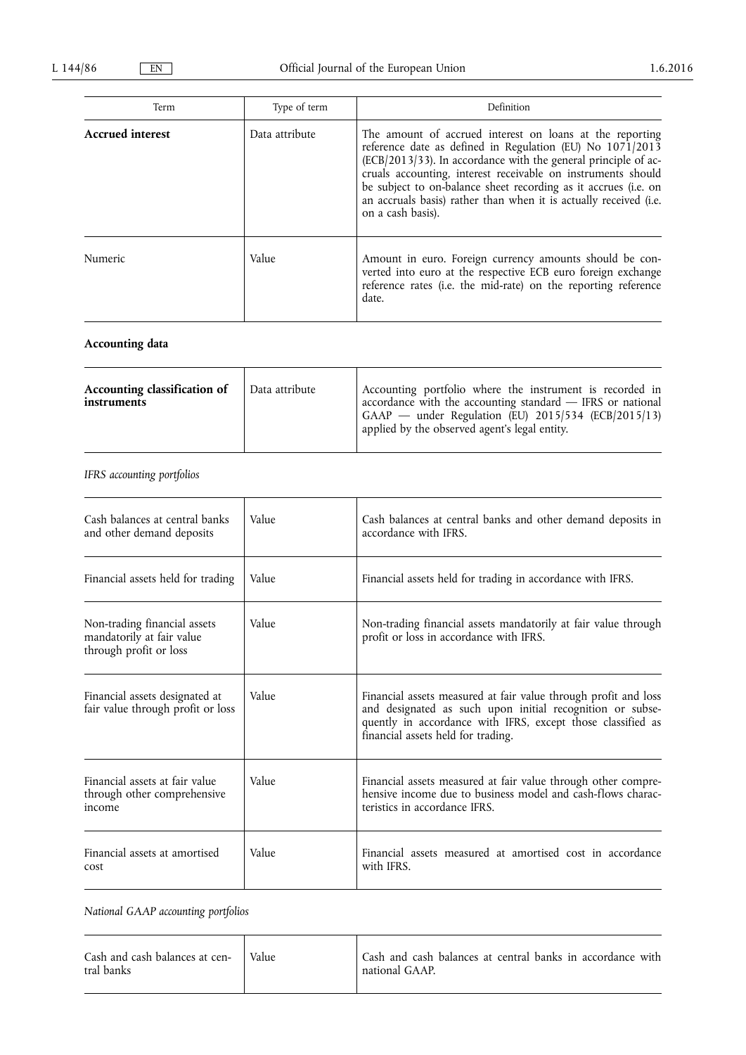| Term                    | Type of term   | Definition                                                                                                                                                                                                                                                                                                                                                                                                           |
|-------------------------|----------------|----------------------------------------------------------------------------------------------------------------------------------------------------------------------------------------------------------------------------------------------------------------------------------------------------------------------------------------------------------------------------------------------------------------------|
| <b>Accrued</b> interest | Data attribute | The amount of accrued interest on loans at the reporting<br>reference date as defined in Regulation (EU) No 1071/2013<br>(ECB/2013/33). In accordance with the general principle of ac-<br>cruals accounting, interest receivable on instruments should<br>be subject to on-balance sheet recording as it accrues (i.e. on<br>an accruals basis) rather than when it is actually received (i.e.<br>on a cash basis). |
| Numeric                 | Value          | Amount in euro. Foreign currency amounts should be con-<br>verted into euro at the respective ECB euro foreign exchange<br>reference rates (i.e. the mid-rate) on the reporting reference<br>date.                                                                                                                                                                                                                   |

# **Accounting data**

| Accounting classification of<br>instruments | Data attribute | Accounting portfolio where the instrument is recorded in<br>$accordance$ with the accounting standard $-$ IFRS or national<br>$GAP$ - under Regulation (EU) 2015/534 (ECB/2015/13)<br>applied by the observed agent's legal entity. |
|---------------------------------------------|----------------|-------------------------------------------------------------------------------------------------------------------------------------------------------------------------------------------------------------------------------------|
|                                             |                |                                                                                                                                                                                                                                     |

# *IFRS accounting portfolios*

| Cash balances at central banks<br>and other demand deposits                         | Value | Cash balances at central banks and other demand deposits in<br>accordance with IFRS.                                                                                                                                              |
|-------------------------------------------------------------------------------------|-------|-----------------------------------------------------------------------------------------------------------------------------------------------------------------------------------------------------------------------------------|
| Financial assets held for trading                                                   | Value | Financial assets held for trading in accordance with IFRS.                                                                                                                                                                        |
| Non-trading financial assets<br>mandatorily at fair value<br>through profit or loss | Value | Non-trading financial assets mandatorily at fair value through<br>profit or loss in accordance with IFRS.                                                                                                                         |
| Financial assets designated at<br>fair value through profit or loss                 | Value | Financial assets measured at fair value through profit and loss<br>and designated as such upon initial recognition or subse-<br>quently in accordance with IFRS, except those classified as<br>financial assets held for trading. |
| Financial assets at fair value<br>through other comprehensive<br>income             | Value | Financial assets measured at fair value through other compre-<br>hensive income due to business model and cash-flows charac-<br>teristics in accordance IFRS.                                                                     |
| Financial assets at amortised<br>cost                                               | Value | Financial assets measured at amortised cost in accordance<br>with IFRS.                                                                                                                                                           |

*National GAAP accounting portfolios* 

| Cash and cash balances at cen-<br>tral banks | <b>Value</b> | Cash and cash balances at central banks in accordance with<br>national GAAP. |
|----------------------------------------------|--------------|------------------------------------------------------------------------------|
|----------------------------------------------|--------------|------------------------------------------------------------------------------|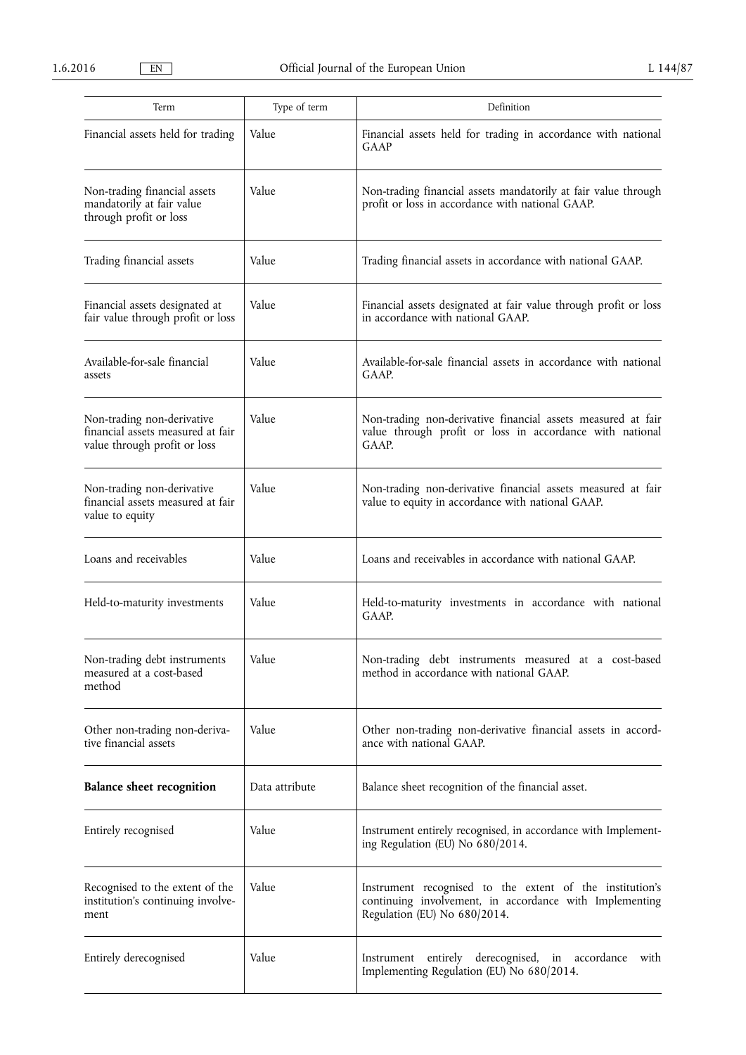| Term                                                                                            | Type of term   | Definition                                                                                                                                          |
|-------------------------------------------------------------------------------------------------|----------------|-----------------------------------------------------------------------------------------------------------------------------------------------------|
| Financial assets held for trading                                                               | Value          | Financial assets held for trading in accordance with national<br><b>GAAP</b>                                                                        |
| Non-trading financial assets<br>mandatorily at fair value<br>through profit or loss             | Value          | Non-trading financial assets mandatorily at fair value through<br>profit or loss in accordance with national GAAP.                                  |
| Trading financial assets                                                                        | Value          | Trading financial assets in accordance with national GAAP.                                                                                          |
| Financial assets designated at<br>fair value through profit or loss                             | Value          | Financial assets designated at fair value through profit or loss<br>in accordance with national GAAP.                                               |
| Available-for-sale financial<br>assets                                                          | Value          | Available-for-sale financial assets in accordance with national<br>GAAP.                                                                            |
| Non-trading non-derivative<br>financial assets measured at fair<br>value through profit or loss | Value          | Non-trading non-derivative financial assets measured at fair<br>value through profit or loss in accordance with national<br>GAAP.                   |
| Non-trading non-derivative<br>financial assets measured at fair<br>value to equity              | Value          | Non-trading non-derivative financial assets measured at fair<br>value to equity in accordance with national GAAP.                                   |
| Loans and receivables                                                                           | Value          | Loans and receivables in accordance with national GAAP.                                                                                             |
| Held-to-maturity investments                                                                    | Value          | Held-to-maturity investments in accordance with national<br>GAAP.                                                                                   |
| Non-trading debt instruments<br>measured at a cost-based<br>method                              | Value          | Non-trading debt instruments measured at a cost-based<br>method in accordance with national GAAP.                                                   |
| Other non-trading non-deriva-<br>tive financial assets                                          | Value          | Other non-trading non-derivative financial assets in accord-<br>ance with national GAAP.                                                            |
| <b>Balance sheet recognition</b>                                                                | Data attribute | Balance sheet recognition of the financial asset.                                                                                                   |
| Entirely recognised                                                                             | Value          | Instrument entirely recognised, in accordance with Implement-<br>ing Regulation (EU) No 680/2014.                                                   |
| Recognised to the extent of the<br>institution's continuing involve-<br>ment                    | Value          | Instrument recognised to the extent of the institution's<br>continuing involvement, in accordance with Implementing<br>Regulation (EU) No 680/2014. |
| Entirely derecognised                                                                           | Value          | derecognised, in accordance<br>entirely<br>with<br>Instrument<br>Implementing Regulation (EU) No 680/2014.                                          |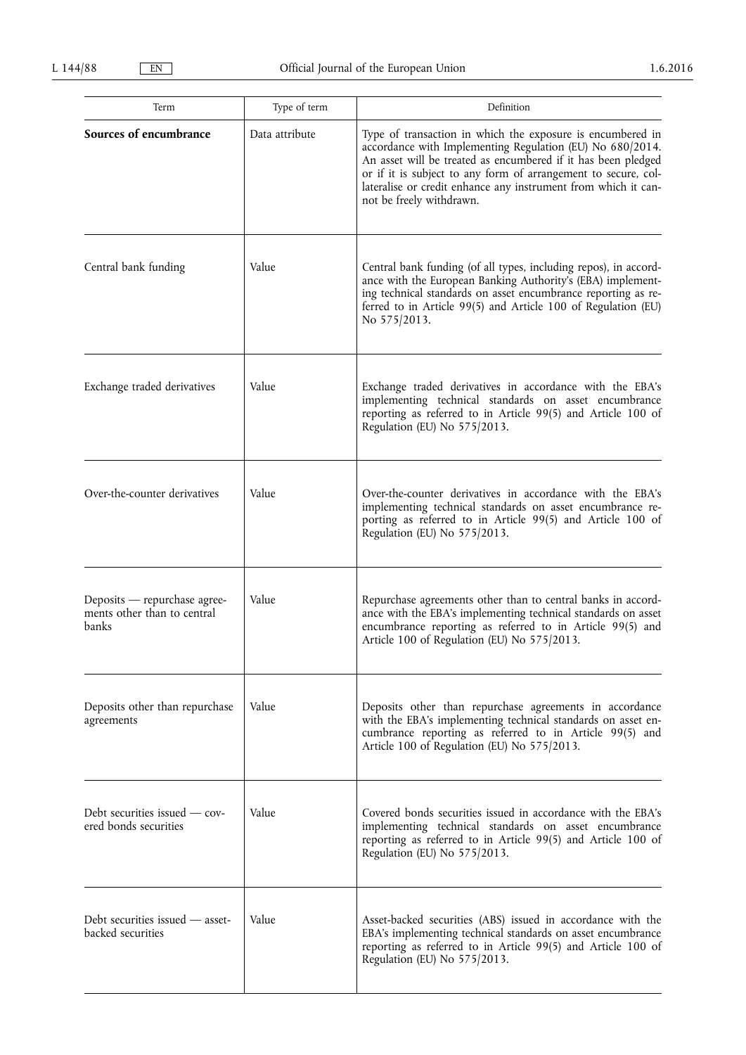| Term                                                                 | Type of term   | Definition                                                                                                                                                                                                                                                                                                                                               |
|----------------------------------------------------------------------|----------------|----------------------------------------------------------------------------------------------------------------------------------------------------------------------------------------------------------------------------------------------------------------------------------------------------------------------------------------------------------|
| Sources of encumbrance                                               | Data attribute | Type of transaction in which the exposure is encumbered in<br>accordance with Implementing Regulation (EU) No 680/2014.<br>An asset will be treated as encumbered if it has been pledged<br>or if it is subject to any form of arrangement to secure, col-<br>lateralise or credit enhance any instrument from which it can-<br>not be freely withdrawn. |
| Central bank funding                                                 | Value          | Central bank funding (of all types, including repos), in accord-<br>ance with the European Banking Authority's (EBA) implement-<br>ing technical standards on asset encumbrance reporting as re-<br>ferred to in Article 99(5) and Article 100 of Regulation (EU)<br>No 575/2013.                                                                        |
| Exchange traded derivatives                                          | Value          | Exchange traded derivatives in accordance with the EBA's<br>implementing technical standards on asset encumbrance<br>reporting as referred to in Article 99(5) and Article 100 of<br>Regulation (EU) No 575/2013.                                                                                                                                        |
| Over-the-counter derivatives                                         | Value          | Over-the-counter derivatives in accordance with the EBA's<br>implementing technical standards on asset encumbrance re-<br>porting as referred to in Article 99(5) and Article 100 of<br>Regulation (EU) No 575/2013.                                                                                                                                     |
| Deposits — repurchase agree-<br>ments other than to central<br>banks | Value          | Repurchase agreements other than to central banks in accord-<br>ance with the EBA's implementing technical standards on asset<br>encumbrance reporting as referred to in Article 99(5) and<br>Article 100 of Regulation (EU) No 575/2013.                                                                                                                |
| Deposits other than repurchase<br>agreements                         | Value          | Deposits other than repurchase agreements in accordance<br>with the EBA's implementing technical standards on asset en-<br>cumbrance reporting as referred to in Article 99(5) and<br>Article 100 of Regulation (EU) No 575/2013.                                                                                                                        |
| Debt securities issued $-$ cov-<br>ered bonds securities             | Value          | Covered bonds securities issued in accordance with the EBA's<br>implementing technical standards on asset encumbrance<br>reporting as referred to in Article 99(5) and Article 100 of<br>Regulation (EU) No 575/2013.                                                                                                                                    |
| Debt securities issued - asset-<br>backed securities                 | Value          | Asset-backed securities (ABS) issued in accordance with the<br>EBA's implementing technical standards on asset encumbrance<br>reporting as referred to in Article 99(5) and Article 100 of<br>Regulation (EU) No 575/2013.                                                                                                                               |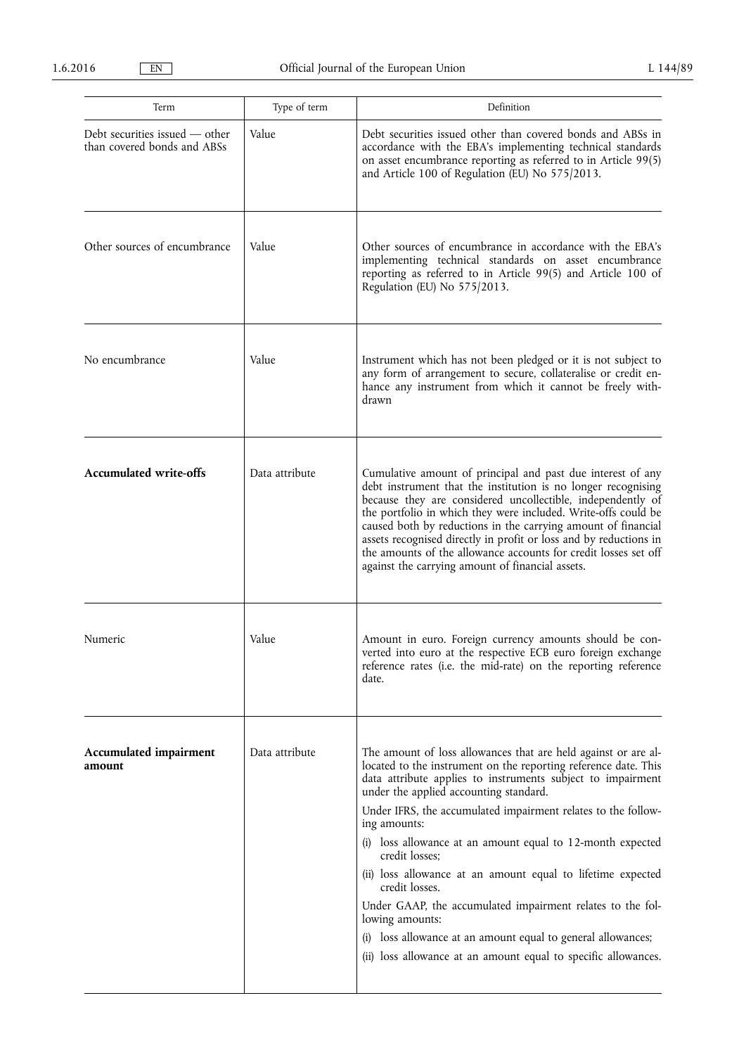| Term                                                            | Type of term   | Definition                                                                                                                                                                                                                                                                                                                                                                                                                                                                                                                                                                                                                                                                                                      |
|-----------------------------------------------------------------|----------------|-----------------------------------------------------------------------------------------------------------------------------------------------------------------------------------------------------------------------------------------------------------------------------------------------------------------------------------------------------------------------------------------------------------------------------------------------------------------------------------------------------------------------------------------------------------------------------------------------------------------------------------------------------------------------------------------------------------------|
| Debt securities issued $-$ other<br>than covered bonds and ABSs | Value          | Debt securities issued other than covered bonds and ABSs in<br>accordance with the EBA's implementing technical standards<br>on asset encumbrance reporting as referred to in Article 99(5)<br>and Article 100 of Regulation (EU) No 575/2013.                                                                                                                                                                                                                                                                                                                                                                                                                                                                  |
| Other sources of encumbrance                                    | Value          | Other sources of encumbrance in accordance with the EBA's<br>implementing technical standards on asset encumbrance<br>reporting as referred to in Article 99(5) and Article 100 of<br>Regulation (EU) No 575/2013.                                                                                                                                                                                                                                                                                                                                                                                                                                                                                              |
| No encumbrance                                                  | Value          | Instrument which has not been pledged or it is not subject to<br>any form of arrangement to secure, collateralise or credit en-<br>hance any instrument from which it cannot be freely with-<br>drawn                                                                                                                                                                                                                                                                                                                                                                                                                                                                                                           |
| <b>Accumulated write-offs</b>                                   | Data attribute | Cumulative amount of principal and past due interest of any<br>debt instrument that the institution is no longer recognising<br>because they are considered uncollectible, independently of<br>the portfolio in which they were included. Write-offs could be<br>caused both by reductions in the carrying amount of financial<br>assets recognised directly in profit or loss and by reductions in<br>the amounts of the allowance accounts for credit losses set off<br>against the carrying amount of financial assets.                                                                                                                                                                                      |
| Numeric                                                         | Value          | Amount in euro. Foreign currency amounts should be con-<br>verted into euro at the respective ECB euro foreign exchange<br>reference rates (i.e. the mid-rate) on the reporting reference<br>date.                                                                                                                                                                                                                                                                                                                                                                                                                                                                                                              |
| Accumulated impairment<br>amount                                | Data attribute | The amount of loss allowances that are held against or are al-<br>located to the instrument on the reporting reference date. This<br>data attribute applies to instruments subject to impairment<br>under the applied accounting standard.<br>Under IFRS, the accumulated impairment relates to the follow-<br>ing amounts:<br>(i) loss allowance at an amount equal to 12-month expected<br>credit losses;<br>(ii) loss allowance at an amount equal to lifetime expected<br>credit losses.<br>Under GAAP, the accumulated impairment relates to the fol-<br>lowing amounts:<br>(i) loss allowance at an amount equal to general allowances;<br>(ii) loss allowance at an amount equal to specific allowances. |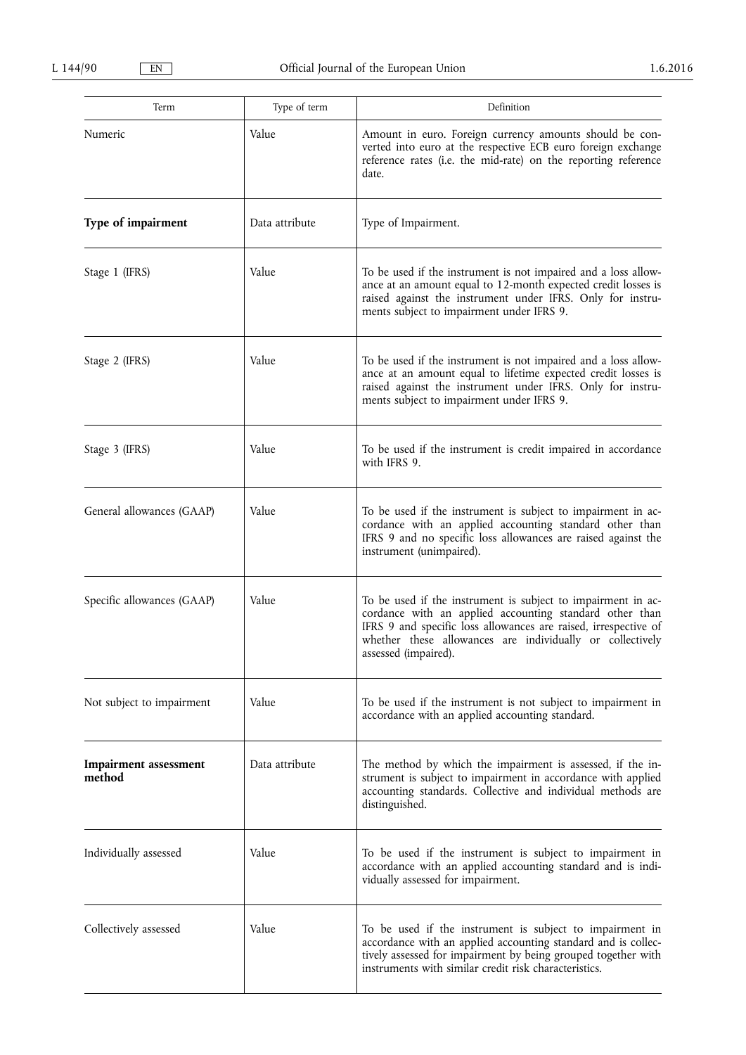| Term                                   | Type of term   | Definition                                                                                                                                                                                                                                                                      |
|----------------------------------------|----------------|---------------------------------------------------------------------------------------------------------------------------------------------------------------------------------------------------------------------------------------------------------------------------------|
| Numeric                                | Value          | Amount in euro. Foreign currency amounts should be con-<br>verted into euro at the respective ECB euro foreign exchange<br>reference rates (i.e. the mid-rate) on the reporting reference<br>date.                                                                              |
| Type of impairment                     | Data attribute | Type of Impairment.                                                                                                                                                                                                                                                             |
| Stage 1 (IFRS)                         | Value          | To be used if the instrument is not impaired and a loss allow-<br>ance at an amount equal to 12-month expected credit losses is<br>raised against the instrument under IFRS. Only for instru-<br>ments subject to impairment under IFRS 9.                                      |
| Stage 2 (IFRS)                         | Value          | To be used if the instrument is not impaired and a loss allow-<br>ance at an amount equal to lifetime expected credit losses is<br>raised against the instrument under IFRS. Only for instru-<br>ments subject to impairment under IFRS 9.                                      |
| Stage 3 (IFRS)                         | Value          | To be used if the instrument is credit impaired in accordance<br>with IFRS 9.                                                                                                                                                                                                   |
| General allowances (GAAP)              | Value          | To be used if the instrument is subject to impairment in ac-<br>cordance with an applied accounting standard other than<br>IFRS 9 and no specific loss allowances are raised against the<br>instrument (unimpaired).                                                            |
| Specific allowances (GAAP)             | Value          | To be used if the instrument is subject to impairment in ac-<br>cordance with an applied accounting standard other than<br>IFRS 9 and specific loss allowances are raised, irrespective of<br>whether these allowances are individually or collectively<br>assessed (impaired). |
| Not subject to impairment              | Value          | To be used if the instrument is not subject to impairment in<br>accordance with an applied accounting standard.                                                                                                                                                                 |
| <b>Impairment</b> assessment<br>method | Data attribute | The method by which the impairment is assessed, if the in-<br>strument is subject to impairment in accordance with applied<br>accounting standards. Collective and individual methods are<br>distinguished.                                                                     |
| Individually assessed                  | Value          | To be used if the instrument is subject to impairment in<br>accordance with an applied accounting standard and is indi-<br>vidually assessed for impairment.                                                                                                                    |
| Collectively assessed                  | Value          | To be used if the instrument is subject to impairment in<br>accordance with an applied accounting standard and is collec-<br>tively assessed for impairment by being grouped together with<br>instruments with similar credit risk characteristics.                             |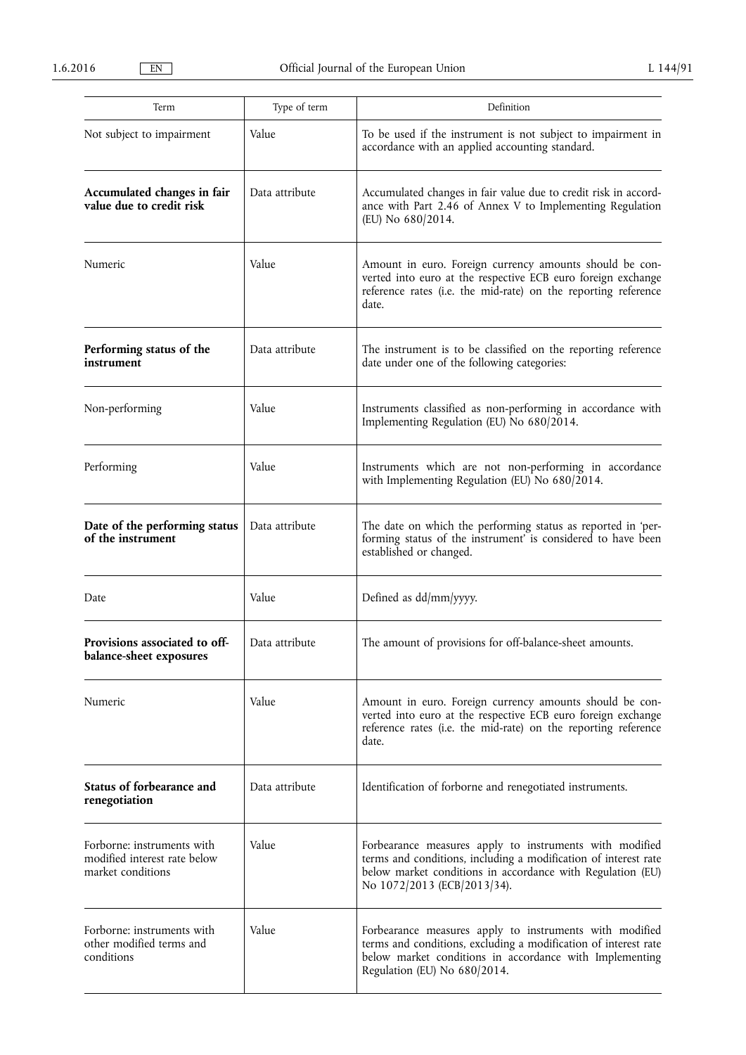| Term                                                                            | Type of term   | Definition                                                                                                                                                                                                              |
|---------------------------------------------------------------------------------|----------------|-------------------------------------------------------------------------------------------------------------------------------------------------------------------------------------------------------------------------|
| Not subject to impairment                                                       | Value          | To be used if the instrument is not subject to impairment in<br>accordance with an applied accounting standard.                                                                                                         |
| Accumulated changes in fair<br>value due to credit risk                         | Data attribute | Accumulated changes in fair value due to credit risk in accord-<br>ance with Part 2.46 of Annex V to Implementing Regulation<br>(EU) No 680/2014.                                                                       |
| Numeric                                                                         | Value          | Amount in euro. Foreign currency amounts should be con-<br>verted into euro at the respective ECB euro foreign exchange<br>reference rates (i.e. the mid-rate) on the reporting reference<br>date.                      |
| Performing status of the<br>instrument                                          | Data attribute | The instrument is to be classified on the reporting reference<br>date under one of the following categories:                                                                                                            |
| Non-performing                                                                  | Value          | Instruments classified as non-performing in accordance with<br>Implementing Regulation (EU) No 680/2014.                                                                                                                |
| Performing                                                                      | Value          | Instruments which are not non-performing in accordance<br>with Implementing Regulation (EU) No 680/2014.                                                                                                                |
| Date of the performing status<br>of the instrument                              | Data attribute | The date on which the performing status as reported in 'per-<br>forming status of the instrument' is considered to have been<br>established or changed.                                                                 |
| Date                                                                            | Value          | Defined as dd/mm/yyyy.                                                                                                                                                                                                  |
| Provisions associated to off-<br>balance-sheet exposures                        | Data attribute | The amount of provisions for off-balance-sheet amounts.                                                                                                                                                                 |
| Numeric                                                                         | Value          | Amount in euro. Foreign currency amounts should be con-<br>verted into euro at the respective ECB euro foreign exchange<br>reference rates (i.e. the mid-rate) on the reporting reference<br>date.                      |
| Status of forbearance and<br>renegotiation                                      | Data attribute | Identification of forborne and renegotiated instruments.                                                                                                                                                                |
| Forborne: instruments with<br>modified interest rate below<br>market conditions | Value          | Forbearance measures apply to instruments with modified<br>terms and conditions, including a modification of interest rate<br>below market conditions in accordance with Regulation (EU)<br>No 1072/2013 (ECB/2013/34). |
| Forborne: instruments with<br>other modified terms and<br>conditions            | Value          | Forbearance measures apply to instruments with modified<br>terms and conditions, excluding a modification of interest rate<br>below market conditions in accordance with Implementing<br>Regulation (EU) No 680/2014.   |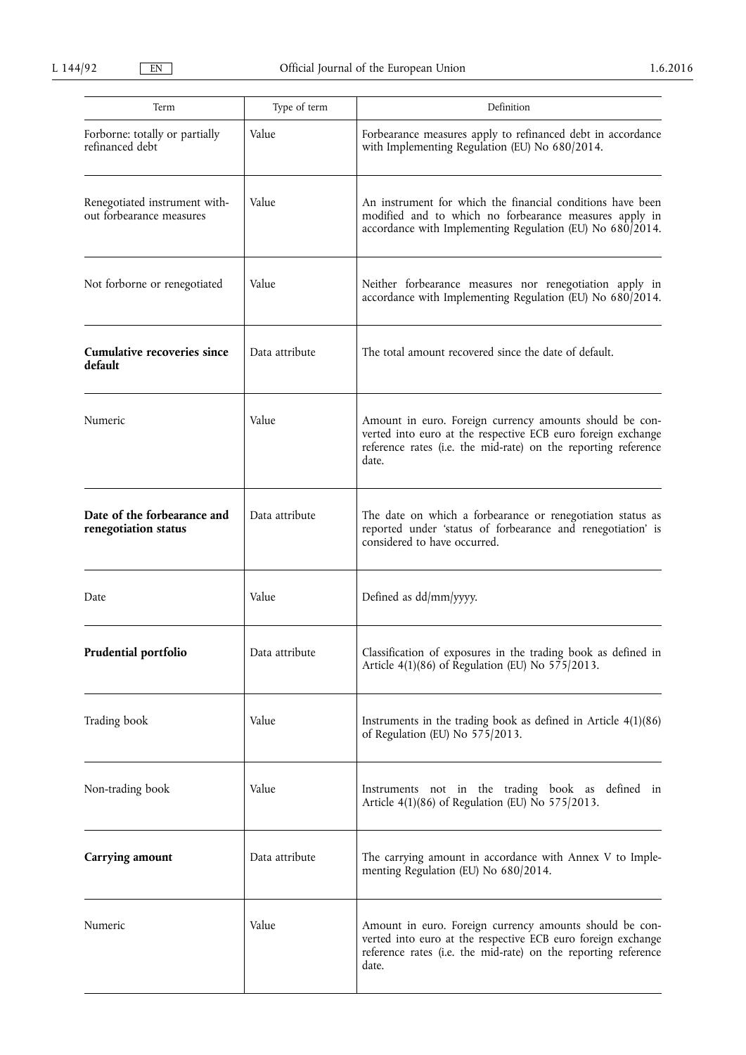| Term                                                      | Type of term   | Definition                                                                                                                                                                                         |
|-----------------------------------------------------------|----------------|----------------------------------------------------------------------------------------------------------------------------------------------------------------------------------------------------|
| Forborne: totally or partially<br>refinanced debt         | Value          | Forbearance measures apply to refinanced debt in accordance<br>with Implementing Regulation (EU) No 680/2014.                                                                                      |
| Renegotiated instrument with-<br>out forbearance measures | Value          | An instrument for which the financial conditions have been<br>modified and to which no forbearance measures apply in<br>accordance with Implementing Regulation (EU) No 680/2014.                  |
| Not forborne or renegotiated                              | Value          | Neither forbearance measures nor renegotiation apply in<br>accordance with Implementing Regulation (EU) No 680/2014.                                                                               |
| <b>Cumulative recoveries since</b><br>default             | Data attribute | The total amount recovered since the date of default.                                                                                                                                              |
| Numeric                                                   | Value          | Amount in euro. Foreign currency amounts should be con-<br>verted into euro at the respective ECB euro foreign exchange<br>reference rates (i.e. the mid-rate) on the reporting reference<br>date. |
| Date of the forbearance and<br>renegotiation status       | Data attribute | The date on which a forbearance or renegotiation status as<br>reported under 'status of forbearance and renegotiation' is<br>considered to have occurred.                                          |
| Date                                                      | Value          | Defined as dd/mm/yyyy.                                                                                                                                                                             |
| Prudential portfolio                                      | Data attribute | Classification of exposures in the trading book as defined in<br>Article $4(1)(86)$ of Regulation (EU) No $575/2013$ .                                                                             |
| Trading book                                              | Value          | Instruments in the trading book as defined in Article $4(1)(86)$<br>of Regulation (EU) No 575/2013.                                                                                                |
| Non-trading book                                          | Value          | Instruments not in the trading book as defined in<br>Article 4(1)(86) of Regulation (EU) No 575/2013.                                                                                              |
| Carrying amount                                           | Data attribute | The carrying amount in accordance with Annex V to Imple-<br>menting Regulation (EU) No 680/2014.                                                                                                   |
| Numeric                                                   | Value          | Amount in euro. Foreign currency amounts should be con-<br>verted into euro at the respective ECB euro foreign exchange<br>reference rates (i.e. the mid-rate) on the reporting reference<br>date. |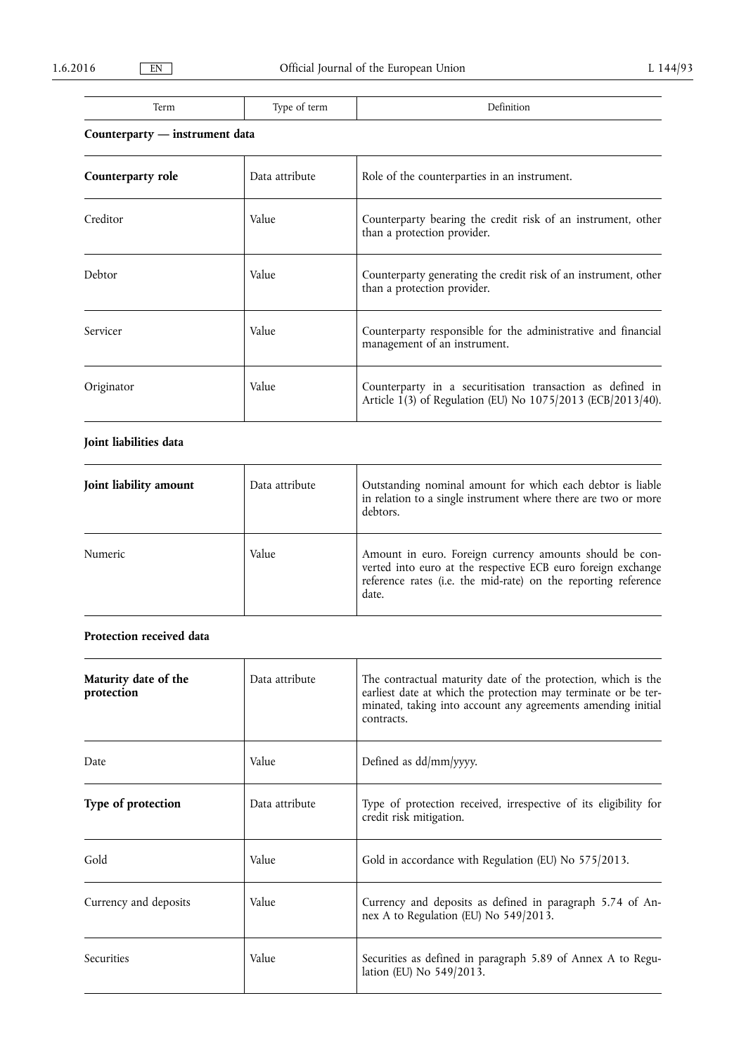Term Type of term Nefinition

## **Counterparty — instrument data**

| Counterparty role | Data attribute | Role of the counterparties in an instrument.                                                                              |
|-------------------|----------------|---------------------------------------------------------------------------------------------------------------------------|
| Creditor          | Value          | Counterparty bearing the credit risk of an instrument, other<br>than a protection provider.                               |
| Debtor            | Value          | Counterparty generating the credit risk of an instrument, other<br>than a protection provider.                            |
| Servicer          | Value          | Counterparty responsible for the administrative and financial<br>management of an instrument.                             |
| Originator        | Value          | Counterparty in a securitisation transaction as defined in<br>Article 1(3) of Regulation (EU) No 1075/2013 (ECB/2013/40). |

### **Joint liabilities data**

| Joint liability amount | Data attribute | Outstanding nominal amount for which each debtor is liable<br>in relation to a single instrument where there are two or more<br>debtors.                                                           |
|------------------------|----------------|----------------------------------------------------------------------------------------------------------------------------------------------------------------------------------------------------|
| Numeric                | Value          | Amount in euro. Foreign currency amounts should be con-<br>verted into euro at the respective ECB euro foreign exchange<br>reference rates (i.e. the mid-rate) on the reporting reference<br>date. |

## **Protection received data**

| Maturity date of the<br>protection | Data attribute | The contractual maturity date of the protection, which is the<br>earliest date at which the protection may terminate or be ter-<br>minated, taking into account any agreements amending initial<br>contracts. |
|------------------------------------|----------------|---------------------------------------------------------------------------------------------------------------------------------------------------------------------------------------------------------------|
| Date                               | Value          | Defined as dd/mm/yyyy.                                                                                                                                                                                        |
| Type of protection                 | Data attribute | Type of protection received, irrespective of its eligibility for<br>credit risk mitigation.                                                                                                                   |
| Gold                               | Value          | Gold in accordance with Regulation (EU) No 575/2013.                                                                                                                                                          |
| Currency and deposits              | Value          | Currency and deposits as defined in paragraph 5.74 of An-<br>nex A to Regulation (EU) No 549/2013.                                                                                                            |
| Securities                         | Value          | Securities as defined in paragraph 5.89 of Annex A to Regu-<br>lation (EU) No 549/2013.                                                                                                                       |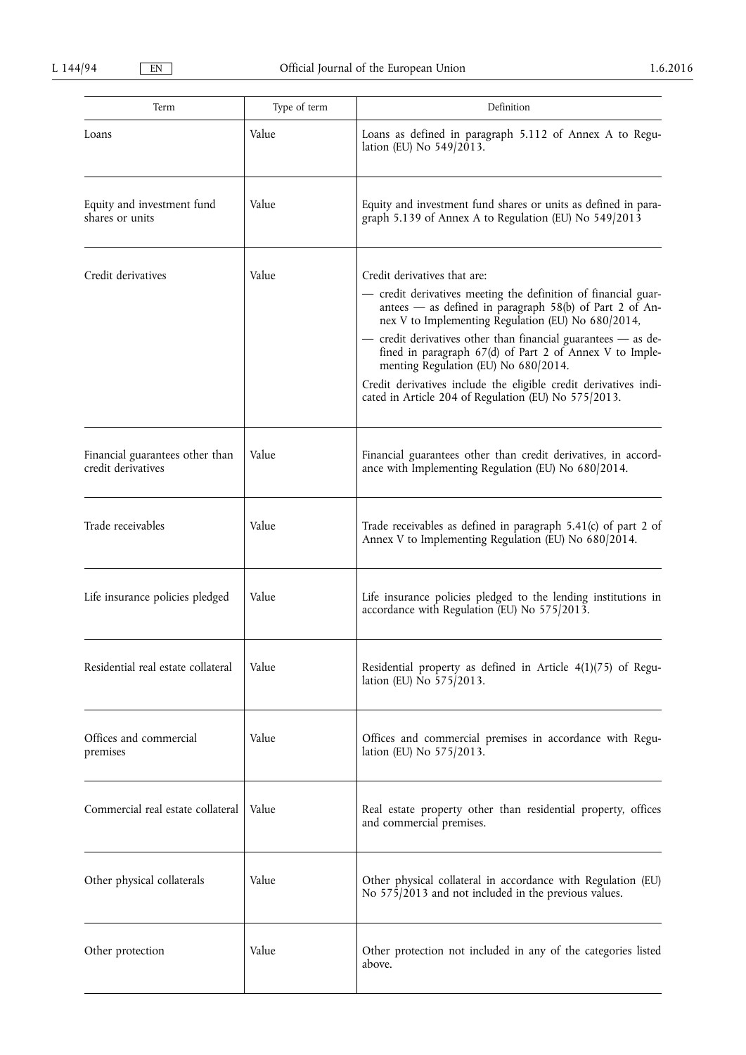| Term                                                  | Type of term | Definition                                                                                                                                                                                                                                                                                                                                                                                                                                                                                                        |
|-------------------------------------------------------|--------------|-------------------------------------------------------------------------------------------------------------------------------------------------------------------------------------------------------------------------------------------------------------------------------------------------------------------------------------------------------------------------------------------------------------------------------------------------------------------------------------------------------------------|
| Loans                                                 | Value        | Loans as defined in paragraph 5.112 of Annex A to Regu-<br>lation (EU) No 549/2013.                                                                                                                                                                                                                                                                                                                                                                                                                               |
| Equity and investment fund<br>shares or units         | Value        | Equity and investment fund shares or units as defined in para-<br>graph 5.139 of Annex A to Regulation (EU) No 549/2013                                                                                                                                                                                                                                                                                                                                                                                           |
| Credit derivatives                                    | Value        | Credit derivatives that are:<br>- credit derivatives meeting the definition of financial guar-<br>antees — as defined in paragraph $58(b)$ of Part 2 of An-<br>nex V to Implementing Regulation (EU) No 680/2014,<br>- credit derivatives other than financial guarantees - as de-<br>fined in paragraph 67(d) of Part 2 of Annex V to Imple-<br>menting Regulation (EU) No 680/2014.<br>Credit derivatives include the eligible credit derivatives indi-<br>cated in Article 204 of Regulation (EU) No 575/2013. |
| Financial guarantees other than<br>credit derivatives | Value        | Financial guarantees other than credit derivatives, in accord-<br>ance with Implementing Regulation (EU) No 680/2014.                                                                                                                                                                                                                                                                                                                                                                                             |
| Trade receivables                                     | Value        | Trade receivables as defined in paragraph $5.41(c)$ of part 2 of<br>Annex V to Implementing Regulation (EU) No 680/2014.                                                                                                                                                                                                                                                                                                                                                                                          |
| Life insurance policies pledged                       | Value        | Life insurance policies pledged to the lending institutions in<br>accordance with Regulation (EU) No 575/2013.                                                                                                                                                                                                                                                                                                                                                                                                    |
| Residential real estate collateral                    | Value        | Residential property as defined in Article $4(1)(75)$ of Regu-<br>lation (EU) No 575/2013.                                                                                                                                                                                                                                                                                                                                                                                                                        |
| Offices and commercial<br>premises                    | Value        | Offices and commercial premises in accordance with Regu-<br>lation (EU) No 575/2013.                                                                                                                                                                                                                                                                                                                                                                                                                              |
| Commercial real estate collateral                     | Value        | Real estate property other than residential property, offices<br>and commercial premises.                                                                                                                                                                                                                                                                                                                                                                                                                         |
| Other physical collaterals                            | Value        | Other physical collateral in accordance with Regulation (EU)<br>No $57\frac{2013}{3}$ and not included in the previous values.                                                                                                                                                                                                                                                                                                                                                                                    |
| Other protection                                      | Value        | Other protection not included in any of the categories listed<br>above.                                                                                                                                                                                                                                                                                                                                                                                                                                           |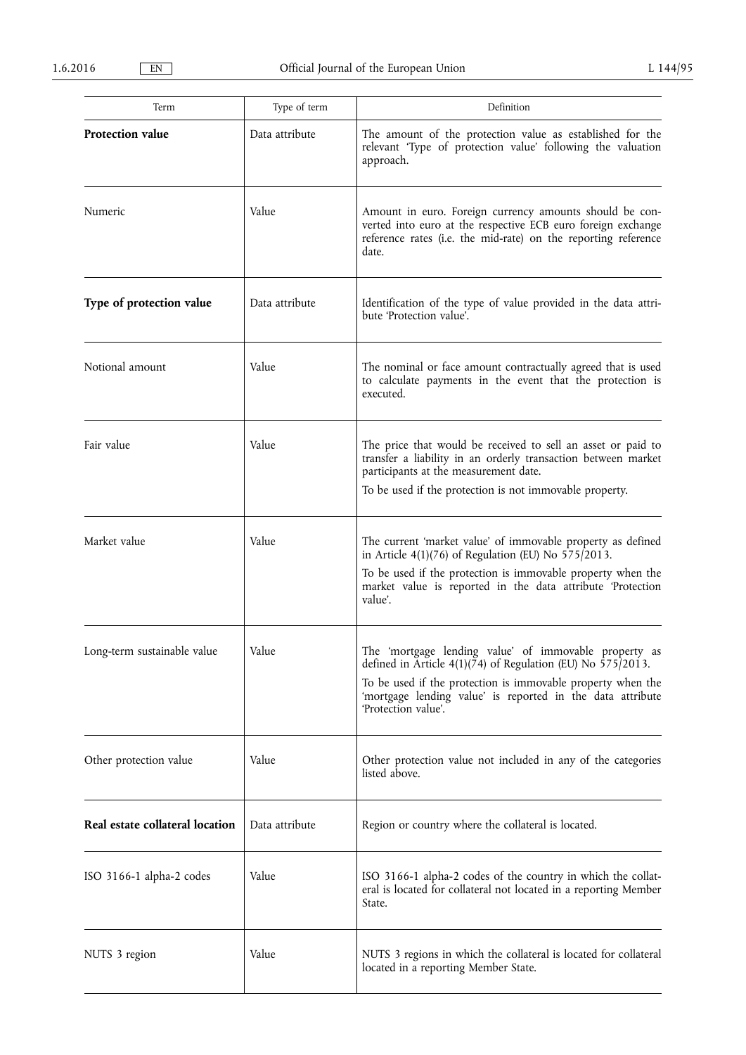| Term                            | Type of term   | Definition                                                                                                                                                                                                                                                                         |
|---------------------------------|----------------|------------------------------------------------------------------------------------------------------------------------------------------------------------------------------------------------------------------------------------------------------------------------------------|
| Protection value                | Data attribute | The amount of the protection value as established for the<br>relevant 'Type of protection value' following the valuation<br>approach.                                                                                                                                              |
| Numeric                         | Value          | Amount in euro. Foreign currency amounts should be con-<br>verted into euro at the respective ECB euro foreign exchange<br>reference rates (i.e. the mid-rate) on the reporting reference<br>date.                                                                                 |
| Type of protection value        | Data attribute | Identification of the type of value provided in the data attri-<br>bute 'Protection value'.                                                                                                                                                                                        |
| Notional amount                 | Value          | The nominal or face amount contractually agreed that is used<br>to calculate payments in the event that the protection is<br>executed.                                                                                                                                             |
| Fair value                      | Value          | The price that would be received to sell an asset or paid to<br>transfer a liability in an orderly transaction between market<br>participants at the measurement date.<br>To be used if the protection is not immovable property.                                                  |
| Market value                    | Value          | The current 'market value' of immovable property as defined<br>in Article $4(1)(76)$ of Regulation (EU) No $575/2013$ .<br>To be used if the protection is immovable property when the<br>market value is reported in the data attribute 'Protection<br>value'.                    |
| Long-term sustainable value     | Value          | The 'mortgage lending value' of immovable property as<br>defined in Article 4(1)( $\bar{7}$ 4) of Regulation (EU) No 575/2013.<br>To be used if the protection is immovable property when the<br>'mortgage lending value' is reported in the data attribute<br>'Protection value'. |
| Other protection value          | Value          | Other protection value not included in any of the categories<br>listed above.                                                                                                                                                                                                      |
| Real estate collateral location | Data attribute | Region or country where the collateral is located.                                                                                                                                                                                                                                 |
| ISO 3166-1 alpha-2 codes        | Value          | ISO 3166-1 alpha-2 codes of the country in which the collat-<br>eral is located for collateral not located in a reporting Member<br>State.                                                                                                                                         |
| NUTS 3 region                   | Value          | NUTS 3 regions in which the collateral is located for collateral<br>located in a reporting Member State.                                                                                                                                                                           |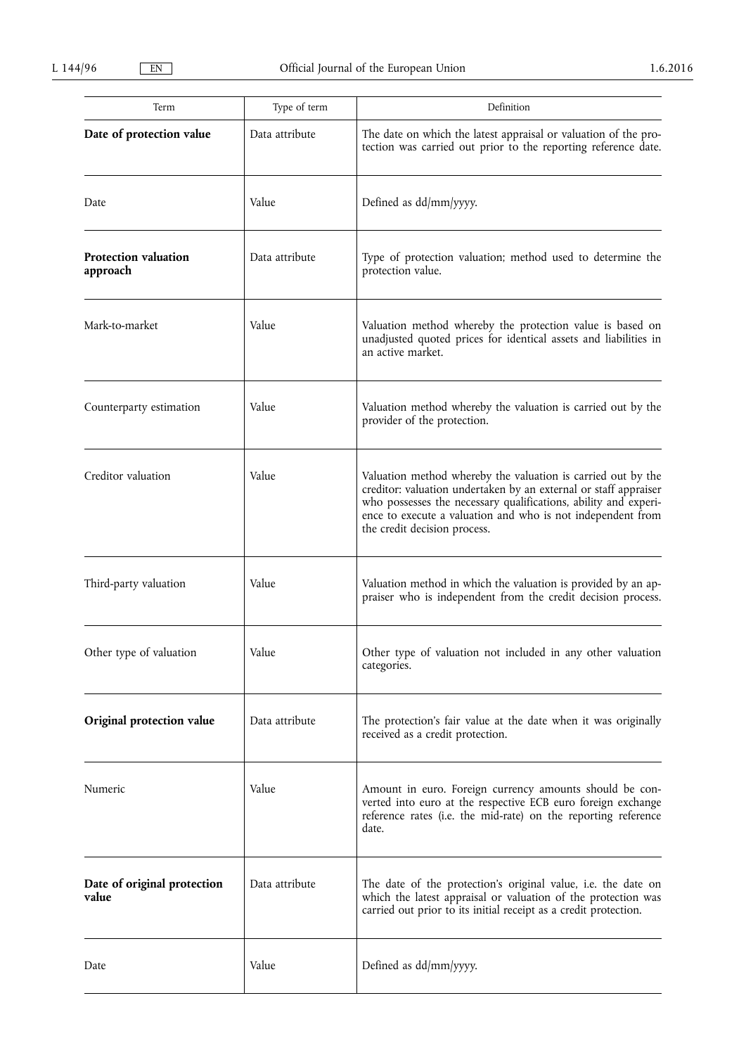| Term                                    | Type of term   | Definition                                                                                                                                                                                                                                                                                         |
|-----------------------------------------|----------------|----------------------------------------------------------------------------------------------------------------------------------------------------------------------------------------------------------------------------------------------------------------------------------------------------|
| Date of protection value                | Data attribute | The date on which the latest appraisal or valuation of the pro-<br>tection was carried out prior to the reporting reference date.                                                                                                                                                                  |
| Date                                    | Value          | Defined as dd/mm/yyyy.                                                                                                                                                                                                                                                                             |
| <b>Protection valuation</b><br>approach | Data attribute | Type of protection valuation; method used to determine the<br>protection value.                                                                                                                                                                                                                    |
| Mark-to-market                          | Value          | Valuation method whereby the protection value is based on<br>unadjusted quoted prices for identical assets and liabilities in<br>an active market.                                                                                                                                                 |
| Counterparty estimation                 | Value          | Valuation method whereby the valuation is carried out by the<br>provider of the protection.                                                                                                                                                                                                        |
| Creditor valuation                      | Value          | Valuation method whereby the valuation is carried out by the<br>creditor: valuation undertaken by an external or staff appraiser<br>who possesses the necessary qualifications, ability and experi-<br>ence to execute a valuation and who is not independent from<br>the credit decision process. |
| Third-party valuation                   | Value          | Valuation method in which the valuation is provided by an ap-<br>praiser who is independent from the credit decision process.                                                                                                                                                                      |
| Other type of valuation                 | Value          | Other type of valuation not included in any other valuation<br>categories.                                                                                                                                                                                                                         |
| Original protection value               | Data attribute | The protection's fair value at the date when it was originally<br>received as a credit protection.                                                                                                                                                                                                 |
| Numeric                                 | Value          | Amount in euro. Foreign currency amounts should be con-<br>verted into euro at the respective ECB euro foreign exchange<br>reference rates (i.e. the mid-rate) on the reporting reference<br>date.                                                                                                 |
| Date of original protection<br>value    | Data attribute | The date of the protection's original value, i.e. the date on<br>which the latest appraisal or valuation of the protection was<br>carried out prior to its initial receipt as a credit protection.                                                                                                 |
| Date                                    | Value          | Defined as dd/mm/yyyy.                                                                                                                                                                                                                                                                             |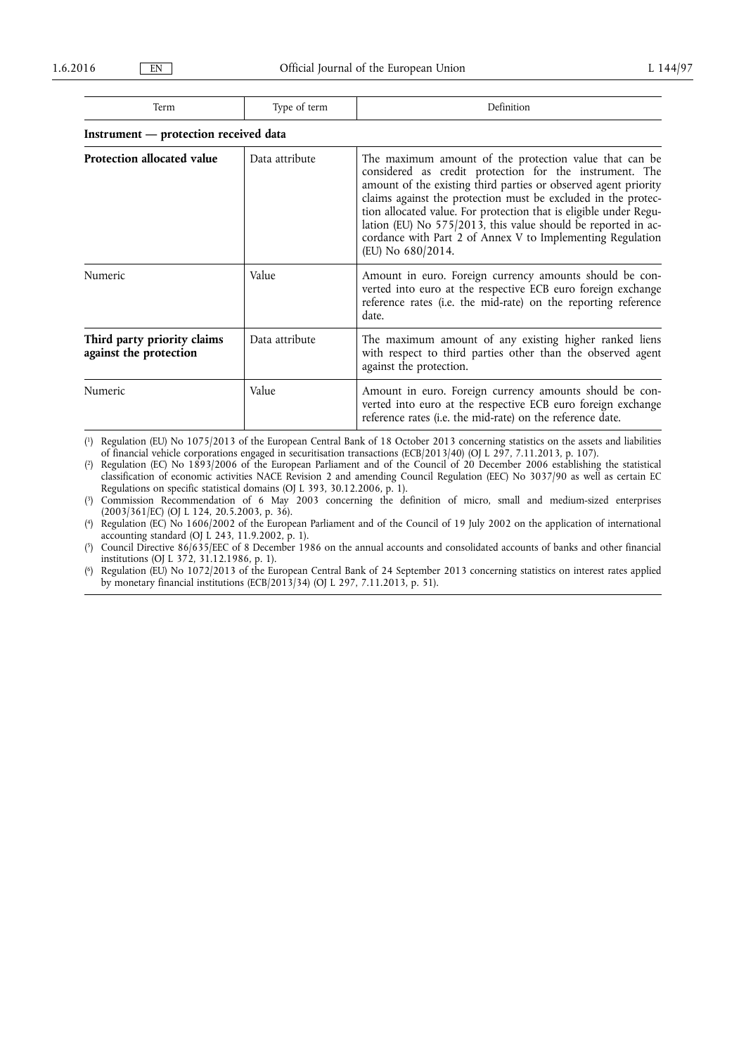| Term                                                  | Type of term   | Definition                                                                                                                                                                                                                                                                                                                                                                                                                                                                        |  |
|-------------------------------------------------------|----------------|-----------------------------------------------------------------------------------------------------------------------------------------------------------------------------------------------------------------------------------------------------------------------------------------------------------------------------------------------------------------------------------------------------------------------------------------------------------------------------------|--|
| Instrument — protection received data                 |                |                                                                                                                                                                                                                                                                                                                                                                                                                                                                                   |  |
| <b>Protection allocated value</b>                     | Data attribute | The maximum amount of the protection value that can be<br>considered as credit protection for the instrument. The<br>amount of the existing third parties or observed agent priority<br>claims against the protection must be excluded in the protec-<br>tion allocated value. For protection that is eligible under Regu-<br>lation (EU) No $575/2013$ , this value should be reported in ac-<br>cordance with Part 2 of Annex V to Implementing Regulation<br>(EU) No 680/2014. |  |
| Numeric                                               | Value          | Amount in euro. Foreign currency amounts should be con-<br>verted into euro at the respective ECB euro foreign exchange<br>reference rates (i.e. the mid-rate) on the reporting reference<br>date.                                                                                                                                                                                                                                                                                |  |
| Third party priority claims<br>against the protection | Data attribute | The maximum amount of any existing higher ranked liens<br>with respect to third parties other than the observed agent<br>against the protection.                                                                                                                                                                                                                                                                                                                                  |  |
| Numeric                                               | Value          | Amount in euro. Foreign currency amounts should be con-                                                                                                                                                                                                                                                                                                                                                                                                                           |  |

reference rates (i.e. the mid-rate) on the reference date.  $(1)$ Regulation (EU) No 1075/2013 of the European Central Bank of 18 October 2013 concerning statistics on the assets and liabilities

verted into euro at the respective ECB euro foreign exchange

of financial vehicle corporations engaged in securitisation transactions (ECB/2013/40) (OJ L 297, 7.11.2013, p. 107).  $(2)$ 2) Regulation (EC) No 1893/2006 of the European Parliament and of the Council of 20 December 2006 establishing the statistical

classification of economic activities NACE Revision 2 and amending Council Regulation (EEC) No 3037/90 as well as certain EC Regulations on specific statistical domains (OJ L 393, 30.12.2006, p. 1).

( 3) Commission Recommendation of 6 May 2003 concerning the definition of micro, small and medium-sized enterprises (2003/361/EC) (OJ L 124, 20.5.2003, p. 36).

 $(4)$ 4) Regulation (EC) No 1606/2002 of the European Parliament and of the Council of 19 July 2002 on the application of international accounting standard (OJ L 243, 11.9.2002, p. 1).

 $(5)$ 5) Council Directive 86/635/EEC of 8 December 1986 on the annual accounts and consolidated accounts of banks and other financial institutions (OJ L 372, 31.12.1986, p. 1).

 $(6)$ 6) Regulation (EU) No 1072/2013 of the European Central Bank of 24 September 2013 concerning statistics on interest rates applied by monetary financial institutions (ECB/2013/34) (OJ L 297, 7.11.2013, p. 51).